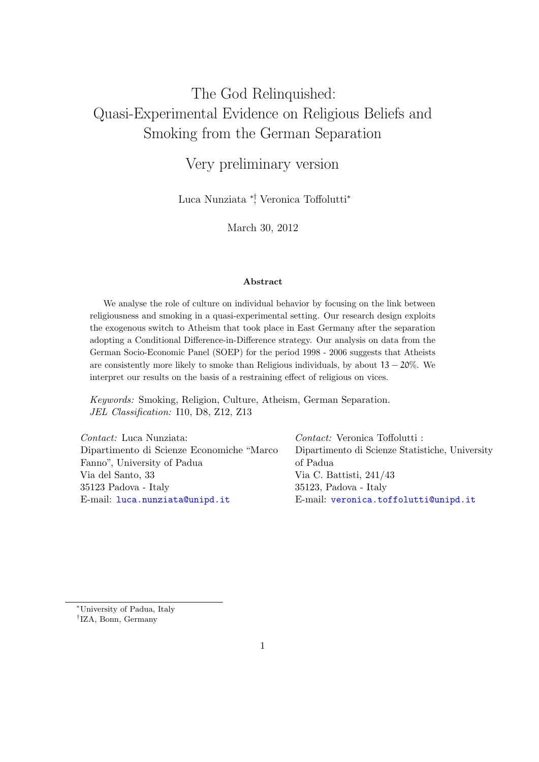# The God Relinquished: Quasi-Experimental Evidence on Religious Beliefs and Smoking from the German Separation

# Very preliminary version

Luca Nunziata ∗†, Veronica Toffolutti<sup>∗</sup>

March 30, 2012

### Abstract

We analyse the role of culture on individual behavior by focusing on the link between religiousness and smoking in a quasi-experimental setting. Our research design exploits the exogenous switch to Atheism that took place in East Germany after the separation adopting a Conditional Difference-in-Difference strategy. Our analysis on data from the German Socio-Economic Panel (SOEP) for the period 1998 - 2006 suggests that Atheists are consistently more likely to smoke than Religious individuals, by about  $13 - 20\%$ . We interpret our results on the basis of a restraining effect of religious on vices.

Keywords: Smoking, Religion, Culture, Atheism, German Separation. JEL Classification: I10, D8, Z12, Z13

| <i>Contact:</i> Luca Nunziata:             | <i>Contact:</i> Veronica Toffolutti :           |
|--------------------------------------------|-------------------------------------------------|
| Dipartimento di Scienze Economiche "Marco" | Dipartimento di Scienze Statistiche, University |
| Fanno", University of Padua                | of Padua                                        |
| Via del Santo, 33                          | Via C. Battisti, $241/43$                       |
| 35123 Padova - Italy                       | $35123$ , Padova - Italy                        |
| E-mail: luca.nunziata@unipd.it             | E-mail: veronica.toffolutti@unipd.it            |

<sup>∗</sup>University of Padua, Italy

† IZA, Bonn, Germany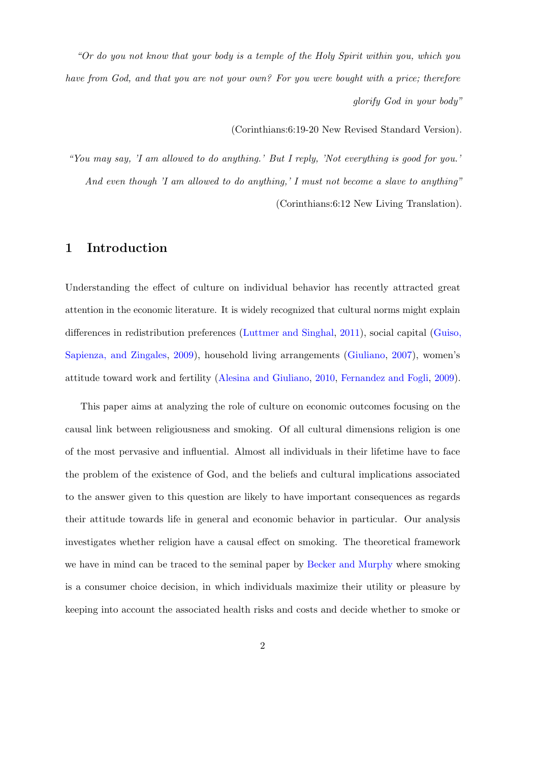"Or do you not know that your body is a temple of the Holy Spirit within you, which you have from God, and that you are not your own? For you were bought with a price; therefore glorify God in your body"

(Corinthians:6:19-20 New Revised Standard Version).

"You may say, 'I am allowed to do anything.' But I reply, 'Not everything is good for you.' And even though 'I am allowed to do anything,' I must not become a slave to anything" (Corinthians:6:12 New Living Translation).

### 1 Introduction

Understanding the effect of culture on individual behavior has recently attracted great attention in the economic literature. It is widely recognized that cultural norms might explain differences in redistribution preferences [\(Luttmer and Singhal,](#page-33-0) [2011\)](#page-33-0), social capital [\(Guiso,](#page-31-0) [Sapienza, and Zingales,](#page-31-0) [2009\)](#page-31-0), household living arrangements [\(Giuliano,](#page-31-1) [2007\)](#page-31-1), women's attitude toward work and fertility [\(Alesina and Giuliano,](#page-29-0) [2010,](#page-29-0) [Fernandez and Fogli,](#page-31-2) [2009\)](#page-31-2).

This paper aims at analyzing the role of culture on economic outcomes focusing on the causal link between religiousness and smoking. Of all cultural dimensions religion is one of the most pervasive and influential. Almost all individuals in their lifetime have to face the problem of the existence of God, and the beliefs and cultural implications associated to the answer given to this question are likely to have important consequences as regards their attitude towards life in general and economic behavior in particular. Our analysis investigates whether religion have a causal effect on smoking. The theoretical framework we have in mind can be traced to the seminal paper by [Becker and Murphy](#page-29-1) where smoking is a consumer choice decision, in which individuals maximize their utility or pleasure by keeping into account the associated health risks and costs and decide whether to smoke or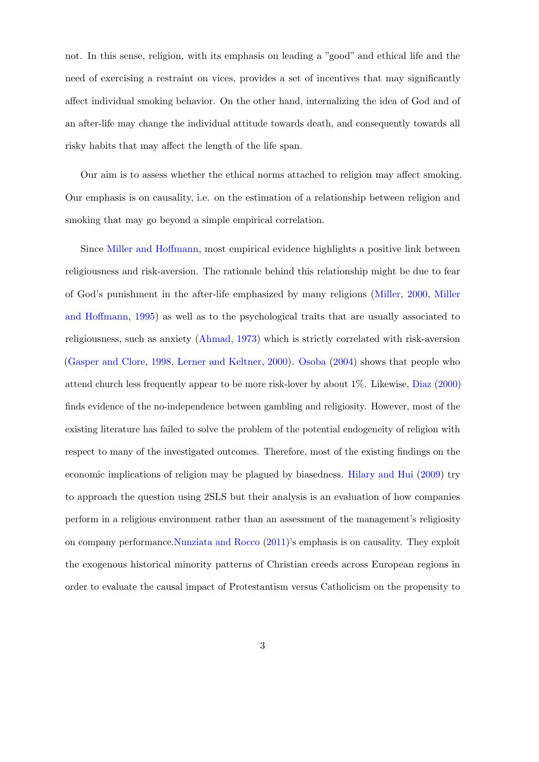not. In this sense, religion, with its emphasis on leading a "good" and ethical life and the need of exercising a restraint on vices, provides a set of incentives that may significantly affect individual smoking behavior. On the other hand, internalizing the idea of God and of an after-life may change the individual attitude towards death, and consequently towards all risky habits that may affect the length of the life span.

Our aim is to assess whether the ethical norms attached to religion may affect smoking. Our emphasis is on causality, i.e. on the estimation of a relationship between religion and smoking that may go beyond a simple empirical correlation.

Since [Miller and Hoffmann,](#page-33-1) most empirical evidence highlights a positive link between religiousness and risk-aversion. The rationale behind this relationship might be due to fear of God's punishment in the after-life emphasized by many religions [\(Miller,](#page-33-2) [2000,](#page-33-2) [Miller](#page-33-1) [and Hoffmann,](#page-33-1) [1995\)](#page-33-1) as well as to the psychological traits that are usually associated to religiousness, such as anxiety [\(Ahmad,](#page-29-2) [1973\)](#page-29-2) which is strictly correlated with risk-aversion [\(Gasper and Clore,](#page-31-3) [1998,](#page-31-3) [Lerner and Keltner,](#page-32-0) [2000\)](#page-32-0). [Osoba](#page-34-0) [\(2004\)](#page-34-0) shows that people who attend church less frequently appear to be more risk-lover by about 1%. Likewise, [Diaz](#page-31-4) [\(2000\)](#page-31-4) finds evidence of the no-independence between gambling and religiosity. However, most of the existing literature has failed to solve the problem of the potential endogeneity of religion with respect to many of the investigated outcomes. Therefore, most of the existing findings on the economic implications of religion may be plagued by biasedness. [Hilary and Hui](#page-32-1) [\(2009\)](#page-32-1) try to approach the question using 2SLS but their analysis is an evaluation of how companies perform in a religious environment rather than an assessment of the management's religiosity on company performance[.Nunziata and Rocco](#page-33-3) [\(2011\)](#page-33-3)'s emphasis is on causality. They exploit the exogenous historical minority patterns of Christian creeds across European regions in order to evaluate the causal impact of Protestantism versus Catholicism on the propensity to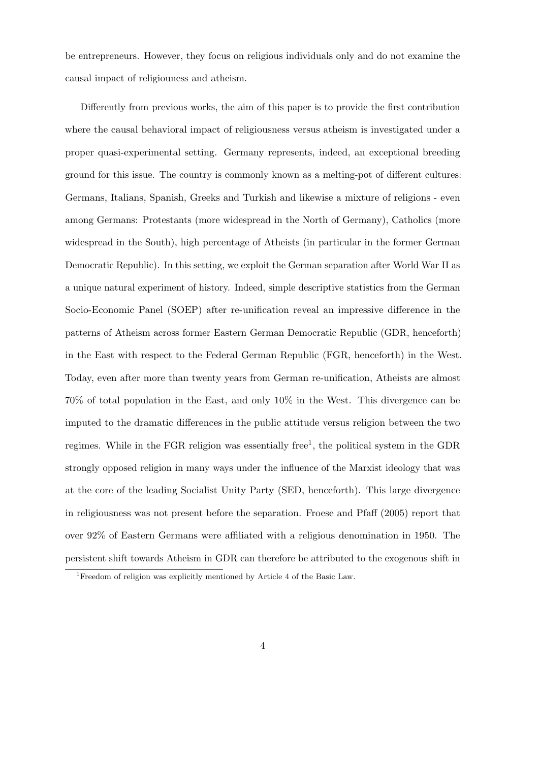be entrepreneurs. However, they focus on religious individuals only and do not examine the causal impact of religiouness and atheism.

Differently from previous works, the aim of this paper is to provide the first contribution where the causal behavioral impact of religiousness versus atheism is investigated under a proper quasi-experimental setting. Germany represents, indeed, an exceptional breeding ground for this issue. The country is commonly known as a melting-pot of different cultures: Germans, Italians, Spanish, Greeks and Turkish and likewise a mixture of religions - even among Germans: Protestants (more widespread in the North of Germany), Catholics (more widespread in the South), high percentage of Atheists (in particular in the former German Democratic Republic). In this setting, we exploit the German separation after World War II as a unique natural experiment of history. Indeed, simple descriptive statistics from the German Socio-Economic Panel (SOEP) after re-unification reveal an impressive difference in the patterns of Atheism across former Eastern German Democratic Republic (GDR, henceforth) in the East with respect to the Federal German Republic (FGR, henceforth) in the West. Today, even after more than twenty years from German re-unification, Atheists are almost 70% of total population in the East, and only 10% in the West. This divergence can be imputed to the dramatic differences in the public attitude versus religion between the two regimes. While in the FGR religion was essentially free<sup>1</sup>, the political system in the GDR strongly opposed religion in many ways under the influence of the Marxist ideology that was at the core of the leading Socialist Unity Party (SED, henceforth). This large divergence in religiousness was not present before the separation. Froese and Pfaff (2005) report that over 92% of Eastern Germans were affiliated with a religious denomination in 1950. The persistent shift towards Atheism in GDR can therefore be attributed to the exogenous shift in

<sup>&</sup>lt;sup>1</sup>Freedom of religion was explicitly mentioned by Article 4 of the Basic Law.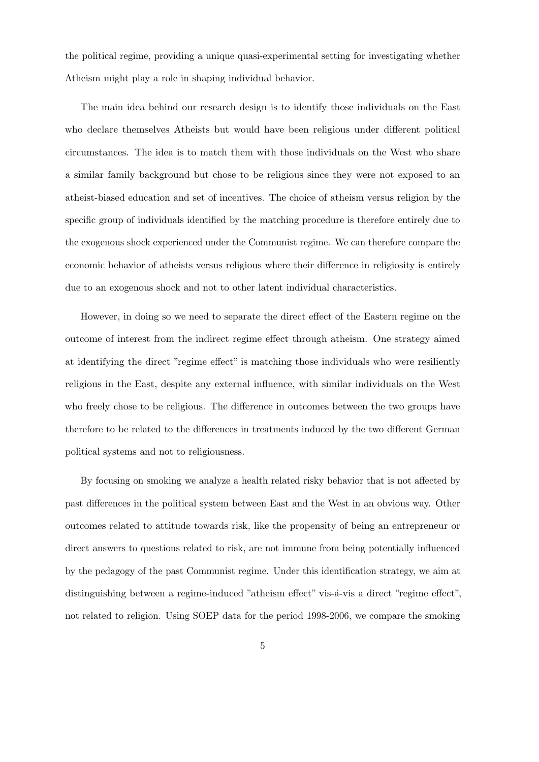the political regime, providing a unique quasi-experimental setting for investigating whether Atheism might play a role in shaping individual behavior.

The main idea behind our research design is to identify those individuals on the East who declare themselves Atheists but would have been religious under different political circumstances. The idea is to match them with those individuals on the West who share a similar family background but chose to be religious since they were not exposed to an atheist-biased education and set of incentives. The choice of atheism versus religion by the specific group of individuals identified by the matching procedure is therefore entirely due to the exogenous shock experienced under the Communist regime. We can therefore compare the economic behavior of atheists versus religious where their difference in religiosity is entirely due to an exogenous shock and not to other latent individual characteristics.

However, in doing so we need to separate the direct effect of the Eastern regime on the outcome of interest from the indirect regime effect through atheism. One strategy aimed at identifying the direct "regime effect" is matching those individuals who were resiliently religious in the East, despite any external influence, with similar individuals on the West who freely chose to be religious. The difference in outcomes between the two groups have therefore to be related to the differences in treatments induced by the two different German political systems and not to religiousness.

By focusing on smoking we analyze a health related risky behavior that is not affected by past differences in the political system between East and the West in an obvious way. Other outcomes related to attitude towards risk, like the propensity of being an entrepreneur or direct answers to questions related to risk, are not immune from being potentially influenced by the pedagogy of the past Communist regime. Under this identification strategy, we aim at distinguishing between a regime-induced "atheism effect" vis- $\acute{a}$ -vis a direct "regime effect", not related to religion. Using SOEP data for the period 1998-2006, we compare the smoking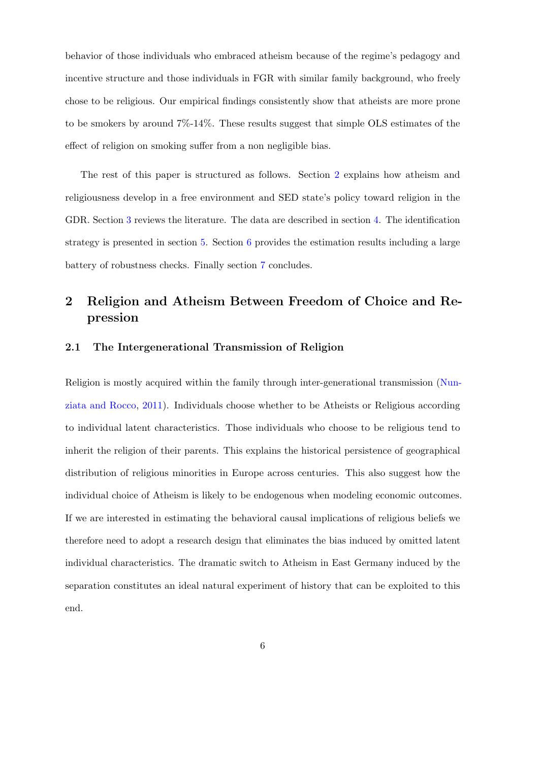behavior of those individuals who embraced atheism because of the regime's pedagogy and incentive structure and those individuals in FGR with similar family background, who freely chose to be religious. Our empirical findings consistently show that atheists are more prone to be smokers by around 7%-14%. These results suggest that simple OLS estimates of the effect of religion on smoking suffer from a non negligible bias.

The rest of this paper is structured as follows. Section [2](#page-5-0) explains how atheism and religiousness develop in a free environment and SED state's policy toward religion in the GDR. Section [3](#page-7-0) reviews the literature. The data are described in section [4.](#page-12-0) The identification strategy is presented in section [5.](#page-14-0) Section [6](#page-22-0) provides the estimation results including a large battery of robustness checks. Finally section [7](#page-27-0) concludes.

## <span id="page-5-0"></span>2 Religion and Atheism Between Freedom of Choice and Repression

### 2.1 The Intergenerational Transmission of Religion

Religion is mostly acquired within the family through inter-generational transmission [\(Nun](#page-33-3)[ziata and Rocco,](#page-33-3) [2011\)](#page-33-3). Individuals choose whether to be Atheists or Religious according to individual latent characteristics. Those individuals who choose to be religious tend to inherit the religion of their parents. This explains the historical persistence of geographical distribution of religious minorities in Europe across centuries. This also suggest how the individual choice of Atheism is likely to be endogenous when modeling economic outcomes. If we are interested in estimating the behavioral causal implications of religious beliefs we therefore need to adopt a research design that eliminates the bias induced by omitted latent individual characteristics. The dramatic switch to Atheism in East Germany induced by the separation constitutes an ideal natural experiment of history that can be exploited to this end.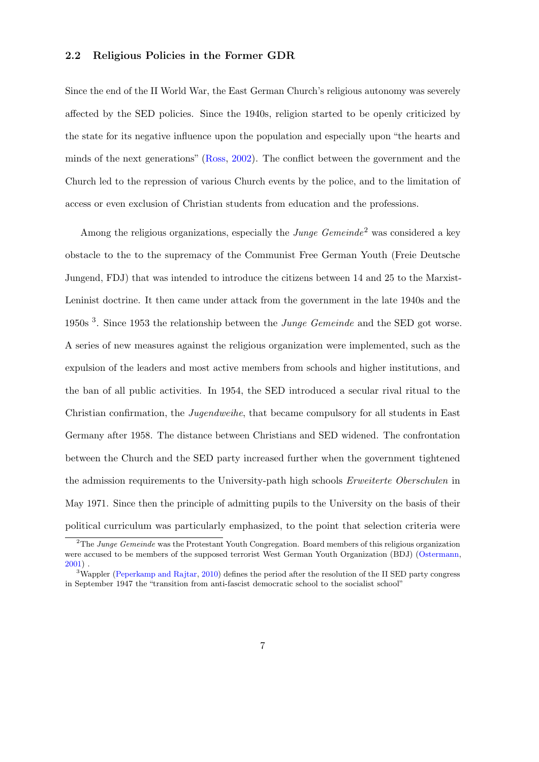### 2.2 Religious Policies in the Former GDR

Since the end of the II World War, the East German Church's religious autonomy was severely affected by the SED policies. Since the 1940s, religion started to be openly criticized by the state for its negative influence upon the population and especially upon "the hearts and minds of the next generations" [\(Ross,](#page-34-1) [2002\)](#page-34-1). The conflict between the government and the Church led to the repression of various Church events by the police, and to the limitation of access or even exclusion of Christian students from education and the professions.

Among the religious organizations, especially the *Junge Gemeinde*<sup>2</sup> was considered a key obstacle to the to the supremacy of the Communist Free German Youth (Freie Deutsche Jungend, FDJ) that was intended to introduce the citizens between 14 and 25 to the Marxist-Leninist doctrine. It then came under attack from the government in the late 1940s and the 1950s  $3$ . Since 1953 the relationship between the *Junge Gemeinde* and the SED got worse. A series of new measures against the religious organization were implemented, such as the expulsion of the leaders and most active members from schools and higher institutions, and the ban of all public activities. In 1954, the SED introduced a secular rival ritual to the Christian confirmation, the Jugendweihe, that became compulsory for all students in East Germany after 1958. The distance between Christians and SED widened. The confrontation between the Church and the SED party increased further when the government tightened the admission requirements to the University-path high schools Erweiterte Oberschulen in May 1971. Since then the principle of admitting pupils to the University on the basis of their political curriculum was particularly emphasized, to the point that selection criteria were

 $2$ The Junge Gemeinde was the Protestant Youth Congregation. Board members of this religious organization were accused to be members of the supposed terrorist West German Youth Organization (BDJ) [\(Ostermann,](#page-34-2) [2001\)](#page-34-2) .

<sup>&</sup>lt;sup>3</sup>Wappler [\(Peperkamp and Rajtar,](#page-34-3) [2010\)](#page-34-3) defines the period after the resolution of the II SED party congress in September 1947 the "transition from anti-fascist democratic school to the socialist school"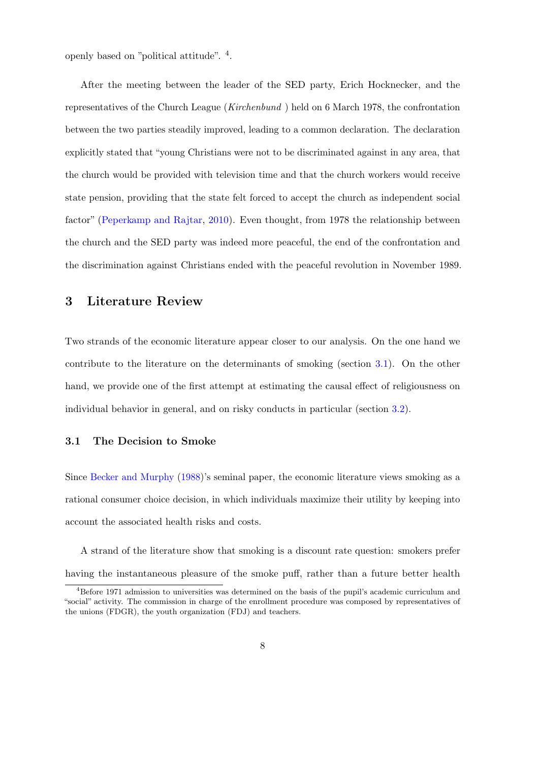openly based on "political attitude". <sup>4</sup> .

After the meeting between the leader of the SED party, Erich Hocknecker, and the representatives of the Church League (Kirchenbund ) held on 6 March 1978, the confrontation between the two parties steadily improved, leading to a common declaration. The declaration explicitly stated that "young Christians were not to be discriminated against in any area, that the church would be provided with television time and that the church workers would receive state pension, providing that the state felt forced to accept the church as independent social factor" [\(Peperkamp and Rajtar,](#page-34-3) [2010\)](#page-34-3). Even thought, from 1978 the relationship between the church and the SED party was indeed more peaceful, the end of the confrontation and the discrimination against Christians ended with the peaceful revolution in November 1989.

### <span id="page-7-0"></span>3 Literature Review

Two strands of the economic literature appear closer to our analysis. On the one hand we contribute to the literature on the determinants of smoking (section [3.1\)](#page-7-1). On the other hand, we provide one of the first attempt at estimating the causal effect of religiousness on individual behavior in general, and on risky conducts in particular (section [3.2\)](#page-10-0).

### <span id="page-7-1"></span>3.1 The Decision to Smoke

Since [Becker and Murphy](#page-29-1) [\(1988\)](#page-29-1)'s seminal paper, the economic literature views smoking as a rational consumer choice decision, in which individuals maximize their utility by keeping into account the associated health risks and costs.

A strand of the literature show that smoking is a discount rate question: smokers prefer having the instantaneous pleasure of the smoke puff, rather than a future better health

<sup>4</sup>Before 1971 admission to universities was determined on the basis of the pupil's academic curriculum and "social" activity. The commission in charge of the enrollment procedure was composed by representatives of the unions (FDGR), the youth organization (FDJ) and teachers.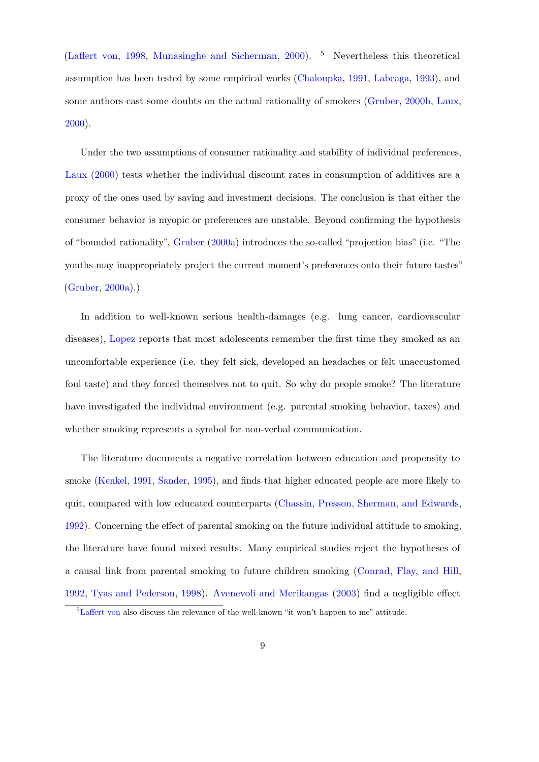[\(Laffert von,](#page-32-2) [1998,](#page-32-2) [Munasinghe and Sicherman,](#page-33-4) [2000\)](#page-33-4). <sup>5</sup> Nevertheless this theoretical assumption has been tested by some empirical works [\(Chaloupka,](#page-30-0) [1991,](#page-30-0) [Labeaga,](#page-32-3) [1993\)](#page-32-3), and some authors cast some doubts on the actual rationality of smokers [\(Gruber,](#page-31-5) [2000b,](#page-31-5) [Laux,](#page-32-4) [2000\)](#page-32-4).

Under the two assumptions of consumer rationality and stability of individual preferences, [Laux](#page-32-4) [\(2000\)](#page-32-4) tests whether the individual discount rates in consumption of additives are a proxy of the ones used by saving and investment decisions. The conclusion is that either the consumer behavior is myopic or preferences are unstable. Beyond confirming the hypothesis of "bounded rationality", [Gruber](#page-31-6) [\(2000a\)](#page-31-6) introduces the so-called "projection bias" (i.e. "The youths may inappropriately project the current moment's preferences onto their future tastes" [\(Gruber,](#page-31-6) [2000a\)](#page-31-6).)

In addition to well-known serious health-damages (e.g. lung cancer, cardiovascular diseases), [Lopez](#page-33-5) reports that most adolescents remember the first time they smoked as an uncomfortable experience (i.e. they felt sick, developed an headaches or felt unaccustomed foul taste) and they forced themselves not to quit. So why do people smoke? The literature have investigated the individual environment (e.g. parental smoking behavior, taxes) and whether smoking represents a symbol for non-verbal communication.

The literature documents a negative correlation between education and propensity to smoke [\(Kenkel,](#page-32-5) [1991,](#page-32-5) [Sander,](#page-34-4) [1995\)](#page-34-4), and finds that higher educated people are more likely to quit, compared with low educated counterparts [\(Chassin, Presson, Sherman, and Edwards,](#page-30-1) [1992\)](#page-30-1). Concerning the effect of parental smoking on the future individual attitude to smoking, the literature have found mixed results. Many empirical studies reject the hypotheses of a causal link from parental smoking to future children smoking [\(Conrad, Flay, and Hill,](#page-30-2) [1992,](#page-30-2) [Tyas and Pederson,](#page-34-5) [1998\)](#page-34-5). [Avenevoli and Merikangas](#page-29-3) [\(2003\)](#page-29-3) find a negligible effect

<sup>5</sup>[Laffert von](#page-32-2) also discuss the relevance of the well-known "it won't happen to me" attitude.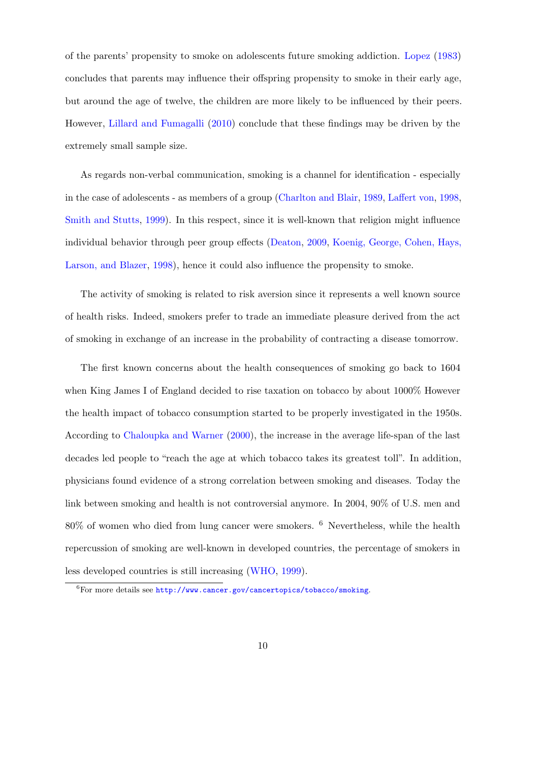of the parents' propensity to smoke on adolescents future smoking addiction. [Lopez](#page-33-5) [\(1983\)](#page-33-5) concludes that parents may influence their offspring propensity to smoke in their early age, but around the age of twelve, the children are more likely to be influenced by their peers. However, [Lillard and Fumagalli](#page-33-6) [\(2010\)](#page-33-6) conclude that these findings may be driven by the extremely small sample size.

As regards non-verbal communication, smoking is a channel for identification - especially in the case of adolescents - as members of a group [\(Charlton and Blair,](#page-30-3) [1989,](#page-30-3) [Laffert von,](#page-32-2) [1998,](#page-32-2) [Smith and Stutts,](#page-34-6) [1999\)](#page-34-6). In this respect, since it is well-known that religion might influence individual behavior through peer group effects [\(Deaton,](#page-30-4) [2009,](#page-30-4) [Koenig, George, Cohen, Hays,](#page-32-6) [Larson, and Blazer,](#page-32-6) [1998\)](#page-32-6), hence it could also influence the propensity to smoke.

The activity of smoking is related to risk aversion since it represents a well known source of health risks. Indeed, smokers prefer to trade an immediate pleasure derived from the act of smoking in exchange of an increase in the probability of contracting a disease tomorrow.

The first known concerns about the health consequences of smoking go back to 1604 when King James I of England decided to rise taxation on tobacco by about 1000% However the health impact of tobacco consumption started to be properly investigated in the 1950s. According to [Chaloupka and Warner](#page-30-5) [\(2000\)](#page-30-5), the increase in the average life-span of the last decades led people to "reach the age at which tobacco takes its greatest toll". In addition, physicians found evidence of a strong correlation between smoking and diseases. Today the link between smoking and health is not controversial anymore. In 2004, 90% of U.S. men and 80% of women who died from lung cancer were smokers. <sup>6</sup> Nevertheless, while the health repercussion of smoking are well-known in developed countries, the percentage of smokers in less developed countries is still increasing [\(WHO,](#page-34-7) [1999\)](#page-34-7).

 ${}^{6}$ For more details see <http://www.cancer.gov/cancertopics/tobacco/smoking>.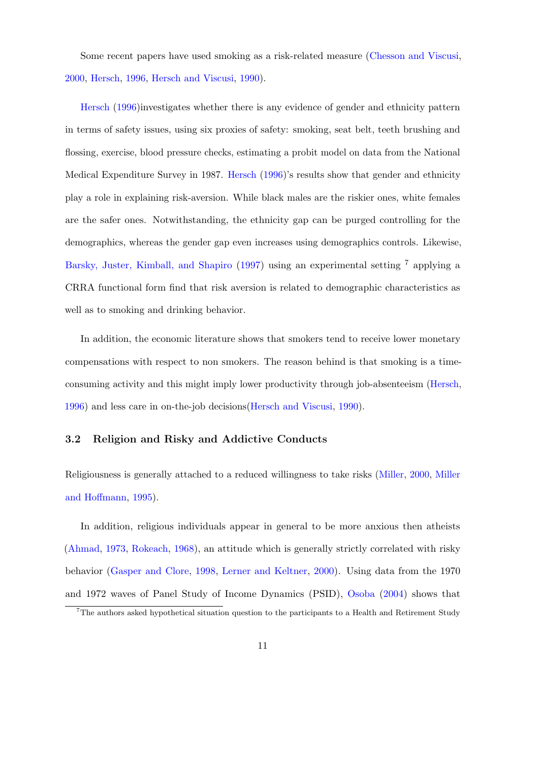Some recent papers have used smoking as a risk-related measure [\(Chesson and Viscusi,](#page-30-6) [2000,](#page-30-6) [Hersch,](#page-32-7) [1996,](#page-32-7) [Hersch and Viscusi,](#page-32-8) [1990\)](#page-32-8).

[Hersch](#page-32-7) [\(1996\)](#page-32-7)investigates whether there is any evidence of gender and ethnicity pattern in terms of safety issues, using six proxies of safety: smoking, seat belt, teeth brushing and flossing, exercise, blood pressure checks, estimating a probit model on data from the National Medical Expenditure Survey in 1987. [Hersch](#page-32-7) [\(1996\)](#page-32-7)'s results show that gender and ethnicity play a role in explaining risk-aversion. While black males are the riskier ones, white females are the safer ones. Notwithstanding, the ethnicity gap can be purged controlling for the demographics, whereas the gender gap even increases using demographics controls. Likewise, [Barsky, Juster, Kimball, and Shapiro](#page-29-4) [\(1997\)](#page-29-4) using an experimental setting <sup>7</sup> applying a CRRA functional form find that risk aversion is related to demographic characteristics as well as to smoking and drinking behavior.

In addition, the economic literature shows that smokers tend to receive lower monetary compensations with respect to non smokers. The reason behind is that smoking is a timeconsuming activity and this might imply lower productivity through job-absenteeism [\(Hersch,](#page-32-7) [1996\)](#page-32-7) and less care in on-the-job decisions[\(Hersch and Viscusi,](#page-32-8) [1990\)](#page-32-8).

### <span id="page-10-0"></span>3.2 Religion and Risky and Addictive Conducts

Religiousness is generally attached to a reduced willingness to take risks [\(Miller,](#page-33-2) [2000,](#page-33-2) [Miller](#page-33-1) [and Hoffmann,](#page-33-1) [1995\)](#page-33-1).

In addition, religious individuals appear in general to be more anxious then atheists [\(Ahmad,](#page-29-2) [1973,](#page-29-2) [Rokeach,](#page-34-8) [1968\)](#page-34-8), an attitude which is generally strictly correlated with risky behavior [\(Gasper and Clore,](#page-31-3) [1998,](#page-31-3) [Lerner and Keltner,](#page-32-0) [2000\)](#page-32-0). Using data from the 1970 and 1972 waves of Panel Study of Income Dynamics (PSID), [Osoba](#page-34-0) [\(2004\)](#page-34-0) shows that

<sup>7</sup>The authors asked hypothetical situation question to the participants to a Health and Retirement Study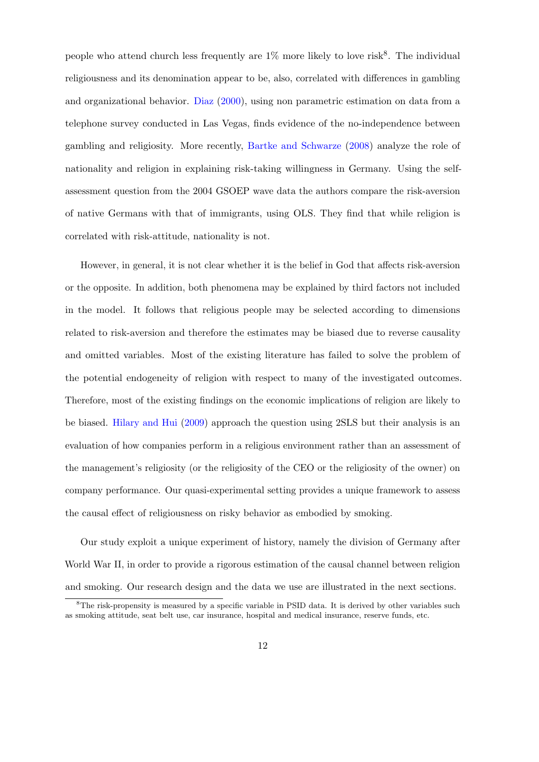people who attend church less frequently are  $1\%$  more likely to love risk<sup>8</sup>. The individual religiousness and its denomination appear to be, also, correlated with differences in gambling and organizational behavior. [Diaz](#page-31-4) [\(2000\)](#page-31-4), using non parametric estimation on data from a telephone survey conducted in Las Vegas, finds evidence of the no-independence between gambling and religiosity. More recently, [Bartke and Schwarze](#page-29-5) [\(2008\)](#page-29-5) analyze the role of nationality and religion in explaining risk-taking willingness in Germany. Using the selfassessment question from the 2004 GSOEP wave data the authors compare the risk-aversion of native Germans with that of immigrants, using OLS. They find that while religion is correlated with risk-attitude, nationality is not.

However, in general, it is not clear whether it is the belief in God that affects risk-aversion or the opposite. In addition, both phenomena may be explained by third factors not included in the model. It follows that religious people may be selected according to dimensions related to risk-aversion and therefore the estimates may be biased due to reverse causality and omitted variables. Most of the existing literature has failed to solve the problem of the potential endogeneity of religion with respect to many of the investigated outcomes. Therefore, most of the existing findings on the economic implications of religion are likely to be biased. [Hilary and Hui](#page-32-1) [\(2009\)](#page-32-1) approach the question using 2SLS but their analysis is an evaluation of how companies perform in a religious environment rather than an assessment of the management's religiosity (or the religiosity of the CEO or the religiosity of the owner) on company performance. Our quasi-experimental setting provides a unique framework to assess the causal effect of religiousness on risky behavior as embodied by smoking.

Our study exploit a unique experiment of history, namely the division of Germany after World War II, in order to provide a rigorous estimation of the causal channel between religion and smoking. Our research design and the data we use are illustrated in the next sections.

 ${}^{8}$ The risk-propensity is measured by a specific variable in PSID data. It is derived by other variables such as smoking attitude, seat belt use, car insurance, hospital and medical insurance, reserve funds, etc.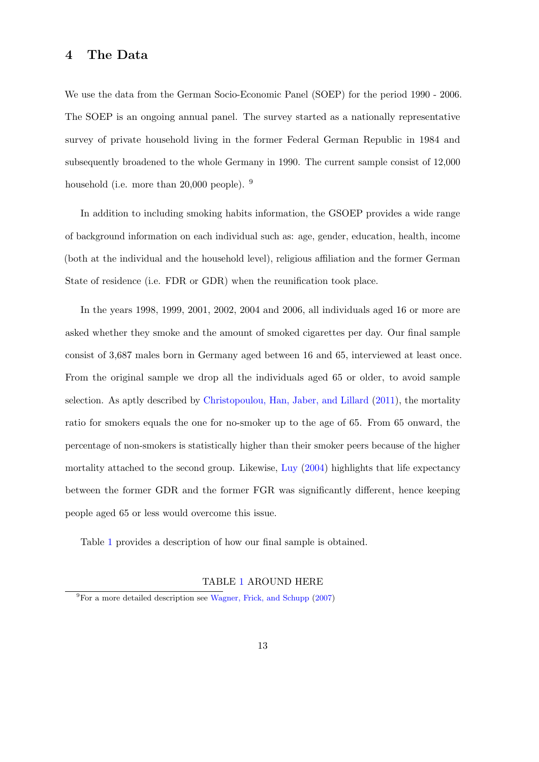### <span id="page-12-0"></span>4 The Data

We use the data from the German Socio-Economic Panel (SOEP) for the period 1990 - 2006. The SOEP is an ongoing annual panel. The survey started as a nationally representative survey of private household living in the former Federal German Republic in 1984 and subsequently broadened to the whole Germany in 1990. The current sample consist of 12,000 household (i.e. more than 20,000 people). <sup>9</sup>

In addition to including smoking habits information, the GSOEP provides a wide range of background information on each individual such as: age, gender, education, health, income (both at the individual and the household level), religious affiliation and the former German State of residence (i.e. FDR or GDR) when the reunification took place.

In the years 1998, 1999, 2001, 2002, 2004 and 2006, all individuals aged 16 or more are asked whether they smoke and the amount of smoked cigarettes per day. Our final sample consist of 3,687 males born in Germany aged between 16 and 65, interviewed at least once. From the original sample we drop all the individuals aged 65 or older, to avoid sample selection. As aptly described by [Christopoulou, Han, Jaber, and Lillard](#page-30-7) [\(2011\)](#page-30-7), the mortality ratio for smokers equals the one for no-smoker up to the age of 65. From 65 onward, the percentage of non-smokers is statistically higher than their smoker peers because of the higher mortality attached to the second group. Likewise, [Luy](#page-33-7) [\(2004\)](#page-33-7) highlights that life expectancy between the former GDR and the former FGR was significantly different, hence keeping people aged 65 or less would overcome this issue.

Table [1](#page-43-0) provides a description of how our final sample is obtained.

### TABLE [1](#page-43-0) AROUND HERE

 ${}^{9}$ For a more detailed description see [Wagner, Frick, and Schupp](#page-34-9) [\(2007\)](#page-34-9)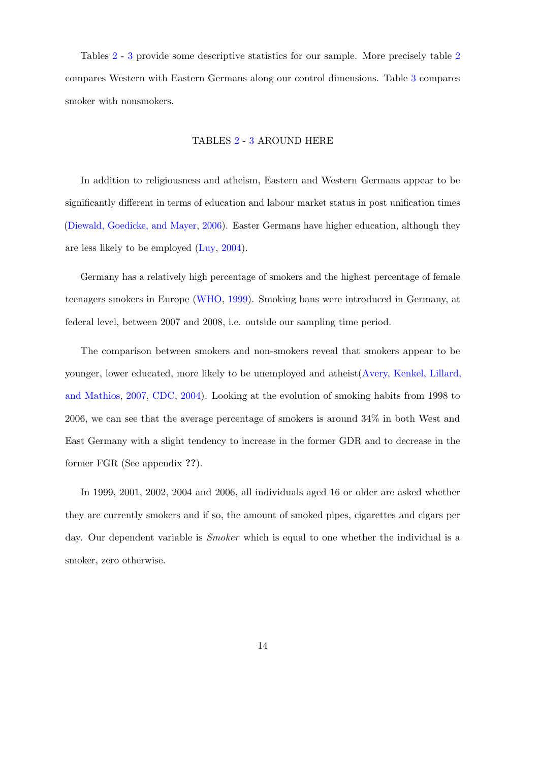Tables [2](#page-44-0) - [3](#page-44-0) provide some descriptive statistics for our sample. More precisely table [2](#page-44-0) compares Western with Eastern Germans along our control dimensions. Table [3](#page-44-0) compares smoker with nonsmokers.

#### TABLES [2](#page-44-0) - [3](#page-44-0) AROUND HERE

In addition to religiousness and atheism, Eastern and Western Germans appear to be significantly different in terms of education and labour market status in post unification times [\(Diewald, Goedicke, and Mayer,](#page-31-7) [2006\)](#page-31-7). Easter Germans have higher education, although they are less likely to be employed [\(Luy,](#page-33-7) [2004\)](#page-33-7).

Germany has a relatively high percentage of smokers and the highest percentage of female teenagers smokers in Europe [\(WHO,](#page-34-7) [1999\)](#page-34-7). Smoking bans were introduced in Germany, at federal level, between 2007 and 2008, i.e. outside our sampling time period.

The comparison between smokers and non-smokers reveal that smokers appear to be younger, lower educated, more likely to be unemployed and atheist[\(Avery, Kenkel, Lillard,](#page-29-6) [and Mathios,](#page-29-6) [2007,](#page-29-6) [CDC,](#page-30-8) [2004\)](#page-30-8). Looking at the evolution of smoking habits from 1998 to 2006, we can see that the average percentage of smokers is around 34% in both West and East Germany with a slight tendency to increase in the former GDR and to decrease in the former FGR (See appendix ??).

In 1999, 2001, 2002, 2004 and 2006, all individuals aged 16 or older are asked whether they are currently smokers and if so, the amount of smoked pipes, cigarettes and cigars per day. Our dependent variable is *Smoker* which is equal to one whether the individual is a smoker, zero otherwise.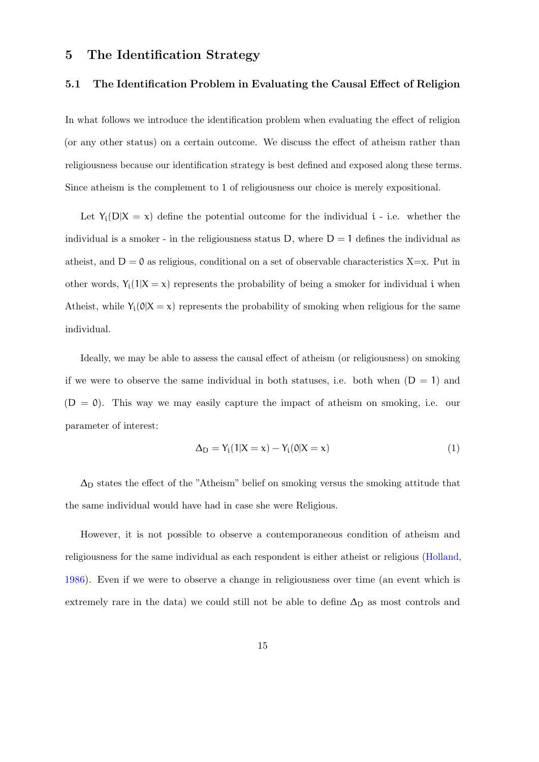### <span id="page-14-0"></span>5 The Identification Strategy

### 5.1 The Identification Problem in Evaluating the Causal Effect of Religion

In what follows we introduce the identification problem when evaluating the effect of religion (or any other status) on a certain outcome. We discuss the effect of atheism rather than religiousness because our identification strategy is best defined and exposed along these terms. Since atheism is the complement to 1 of religiousness our choice is merely expositional.

Let  $Y_i(D|X = x)$  define the potential outcome for the individual i - i.e. whether the individual is a smoker - in the religiousness status D, where  $D = 1$  defines the individual as atheist, and  $D = 0$  as religious, conditional on a set of observable characteristics X=x. Put in other words,  $Y_i(1|X = x)$  represents the probability of being a smoker for individual i when Atheist, while  $Y_i(0|X=x)$  represents the probability of smoking when religious for the same individual.

Ideally, we may be able to assess the causal effect of atheism (or religiousness) on smoking if we were to observe the same individual in both statuses, i.e. both when  $(D = 1)$  and  $(D = 0)$ . This way we may easily capture the impact of atheism on smoking, i.e. our parameter of interest:

$$
\Delta_D = Y_i(1|X = x) - Y_i(0|X = x) \tag{1}
$$

 $\Delta_D$  states the effect of the "Atheism" belief on smoking versus the smoking attitude that the same individual would have had in case she were Religious.

However, it is not possible to observe a contemporaneous condition of atheism and religiousness for the same individual as each respondent is either atheist or religious [\(Holland,](#page-32-9) [1986\)](#page-32-9). Even if we were to observe a change in religiousness over time (an event which is extremely rare in the data) we could still not be able to define  $\Delta_D$  as most controls and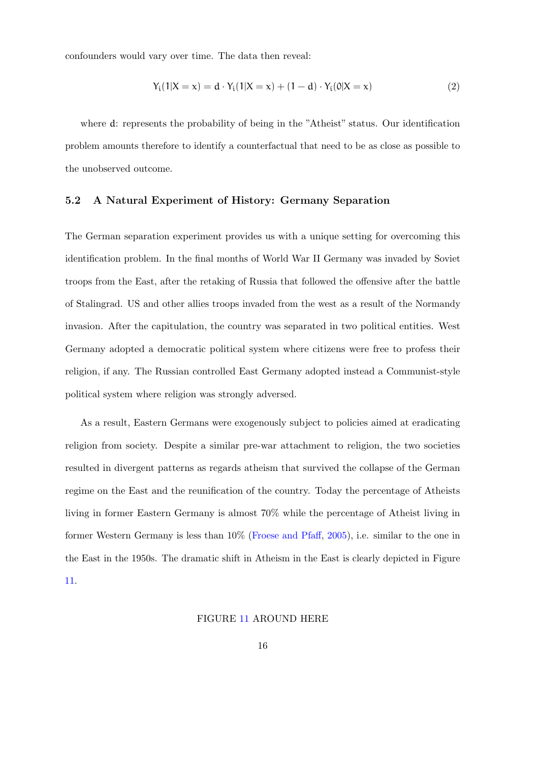confounders would vary over time. The data then reveal:

$$
Y_i(1|X = x) = d \cdot Y_i(1|X = x) + (1 - d) \cdot Y_i(0|X = x)
$$
\n(2)

where d: represents the probability of being in the "Atheist" status. Our identification problem amounts therefore to identify a counterfactual that need to be as close as possible to the unobserved outcome.

### 5.2 A Natural Experiment of History: Germany Separation

The German separation experiment provides us with a unique setting for overcoming this identification problem. In the final months of World War II Germany was invaded by Soviet troops from the East, after the retaking of Russia that followed the offensive after the battle of Stalingrad. US and other allies troops invaded from the west as a result of the Normandy invasion. After the capitulation, the country was separated in two political entities. West Germany adopted a democratic political system where citizens were free to profess their religion, if any. The Russian controlled East Germany adopted instead a Communist-style political system where religion was strongly adversed.

As a result, Eastern Germans were exogenously subject to policies aimed at eradicating religion from society. Despite a similar pre-war attachment to religion, the two societies resulted in divergent patterns as regards atheism that survived the collapse of the German regime on the East and the reunification of the country. Today the percentage of Atheists living in former Eastern Germany is almost 70% while the percentage of Atheist living in former Western Germany is less than 10% [\(Froese and Pfaff,](#page-31-8) [2005\)](#page-31-8), i.e. similar to the one in the East in the 1950s. The dramatic shift in Atheism in the East is clearly depicted in Figure [11.](#page-42-0)

### FIGURE [11](#page-42-0) AROUND HERE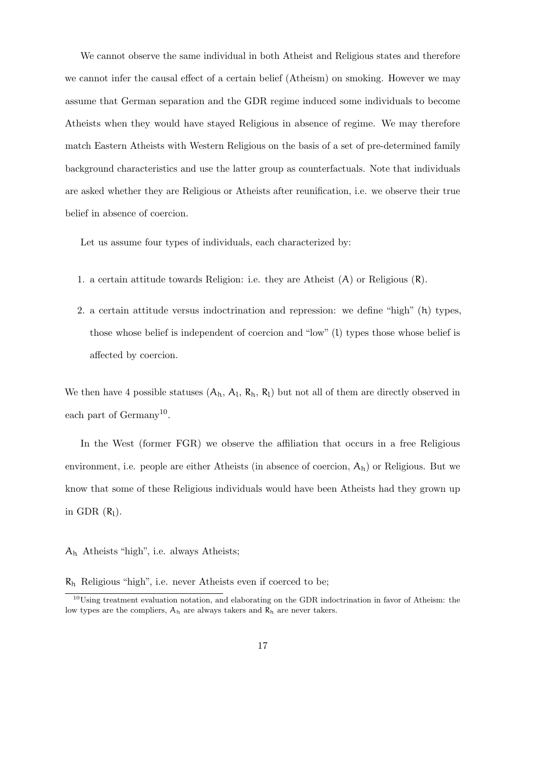We cannot observe the same individual in both Atheist and Religious states and therefore we cannot infer the causal effect of a certain belief (Atheism) on smoking. However we may assume that German separation and the GDR regime induced some individuals to become Atheists when they would have stayed Religious in absence of regime. We may therefore match Eastern Atheists with Western Religious on the basis of a set of pre-determined family background characteristics and use the latter group as counterfactuals. Note that individuals are asked whether they are Religious or Atheists after reunification, i.e. we observe their true belief in absence of coercion.

Let us assume four types of individuals, each characterized by:

- 1. a certain attitude towards Religion: i.e. they are Atheist (A) or Religious (R).
- 2. a certain attitude versus indoctrination and repression: we define "high" (h) types, those whose belief is independent of coercion and "low" (l) types those whose belief is affected by coercion.

We then have 4 possible statuses  $(A_h, A_l, R_h, R_l)$  but not all of them are directly observed in each part of Germany<sup>10</sup>.

In the West (former FGR) we observe the affiliation that occurs in a free Religious environment, i.e. people are either Atheists (in absence of coercion,  $A<sub>h</sub>$ ) or Religious. But we know that some of these Religious individuals would have been Atheists had they grown up in GDR  $(R_1)$ .

A<sup>h</sup> Atheists "high", i.e. always Atheists;

 $R_h$  Religious "high", i.e. never Atheists even if coerced to be;

<sup>10</sup>Using treatment evaluation notation, and elaborating on the GDR indoctrination in favor of Atheism: the low types are the compliers,  $A_h$  are always takers and  $R_h$  are never takers.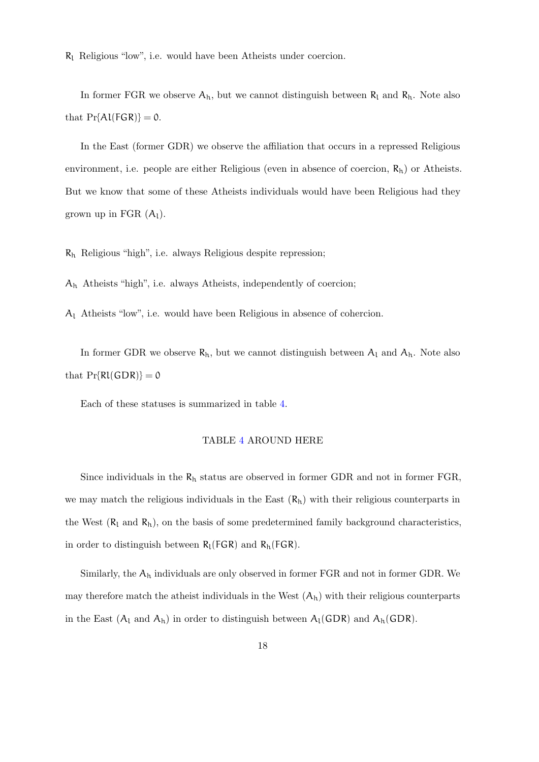$R_1$  Religious "low", i.e. would have been Atheists under coercion.

In former FGR we observe  $A_h$ , but we cannot distinguish between  $R_l$  and  $R_h$ . Note also that  $Pr{A \cup \{FGR\}} = 0$ .

In the East (former GDR) we observe the affiliation that occurs in a repressed Religious environment, i.e. people are either Religious (even in absence of coercion,  $R_h$ ) or Atheists. But we know that some of these Atheists individuals would have been Religious had they grown up in FGR  $(A_1)$ .

 $R_h$  Religious "high", i.e. always Religious despite repression;

A<sup>h</sup> Atheists "high", i.e. always Atheists, independently of coercion;

A<sup>l</sup> Atheists "low", i.e. would have been Religious in absence of cohercion.

In former GDR we observe  $R_h$ , but we cannot distinguish between  $A_l$  and  $A_h$ . Note also that  $Pr\{Rl(GDR)\} = 0$ 

Each of these statuses is summarized in table [4.](#page-43-1)

### TABLE [4](#page-43-1) AROUND HERE

Since individuals in the  $R_h$  status are observed in former GDR and not in former FGR, we may match the religious individuals in the East  $(R_h)$  with their religious counterparts in the West  $(R_l$  and  $R_h$ ), on the basis of some predetermined family background characteristics, in order to distinguish between  $R_l(FGR)$  and  $R_h(FGR)$ .

Similarly, the  $A_h$  individuals are only observed in former FGR and not in former GDR. We may therefore match the atheist individuals in the West  $(A_h)$  with their religious counterparts in the East  $(A_l \text{ and } A_h)$  in order to distinguish between  $A_l(GDR)$  and  $A_h(GDR)$ .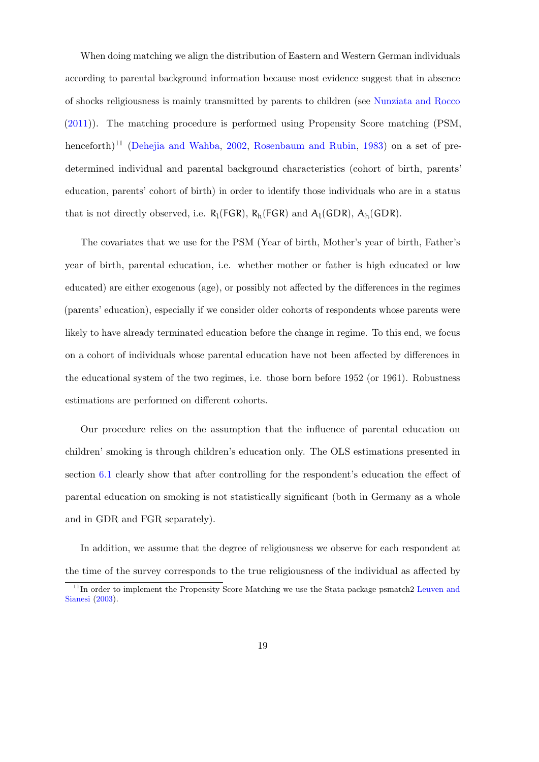When doing matching we align the distribution of Eastern and Western German individuals according to parental background information because most evidence suggest that in absence of shocks religiousness is mainly transmitted by parents to children (see [Nunziata and Rocco](#page-33-3) [\(2011\)](#page-33-3)). The matching procedure is performed using Propensity Score matching (PSM, henceforth)<sup>11</sup> [\(Dehejia and Wahba,](#page-30-9) [2002,](#page-30-9) [Rosenbaum and Rubin,](#page-34-10) [1983\)](#page-34-10) on a set of predetermined individual and parental background characteristics (cohort of birth, parents' education, parents' cohort of birth) in order to identify those individuals who are in a status that is not directly observed, i.e.  $R_l(FGR)$ ,  $R_h(FGR)$  and  $A_l(GDR)$ ,  $A_h(GDR)$ .

The covariates that we use for the PSM (Year of birth, Mother's year of birth, Father's year of birth, parental education, i.e. whether mother or father is high educated or low educated) are either exogenous (age), or possibly not affected by the differences in the regimes (parents' education), especially if we consider older cohorts of respondents whose parents were likely to have already terminated education before the change in regime. To this end, we focus on a cohort of individuals whose parental education have not been affected by differences in the educational system of the two regimes, i.e. those born before 1952 (or 1961). Robustness estimations are performed on different cohorts.

Our procedure relies on the assumption that the influence of parental education on children' smoking is through children's education only. The OLS estimations presented in section [6.1](#page-22-1) clearly show that after controlling for the respondent's education the effect of parental education on smoking is not statistically significant (both in Germany as a whole and in GDR and FGR separately).

In addition, we assume that the degree of religiousness we observe for each respondent at the time of the survey corresponds to the true religiousness of the individual as affected by

<sup>&</sup>lt;sup>11</sup>In order to implement the Propensity Score Matching we use the Stata package psmatch2 [Leuven and](#page-33-8) [Sianesi](#page-33-8) [\(2003\)](#page-33-8).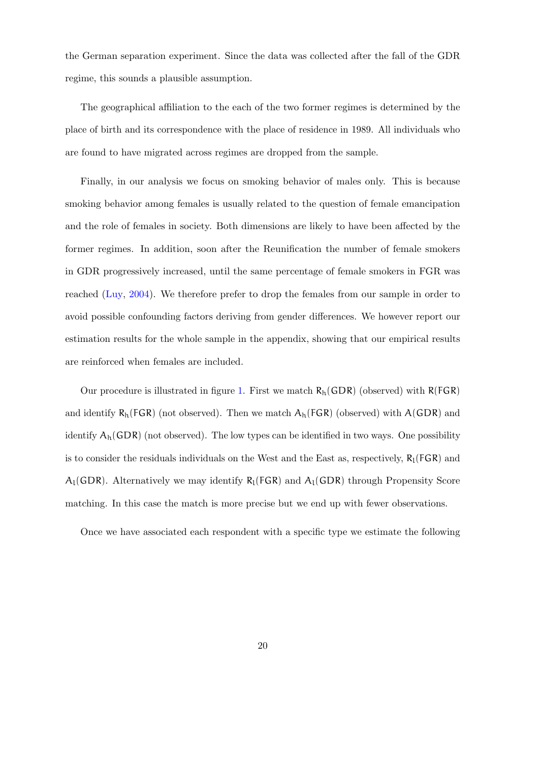the German separation experiment. Since the data was collected after the fall of the GDR regime, this sounds a plausible assumption.

The geographical affiliation to the each of the two former regimes is determined by the place of birth and its correspondence with the place of residence in 1989. All individuals who are found to have migrated across regimes are dropped from the sample.

Finally, in our analysis we focus on smoking behavior of males only. This is because smoking behavior among females is usually related to the question of female emancipation and the role of females in society. Both dimensions are likely to have been affected by the former regimes. In addition, soon after the Reunification the number of female smokers in GDR progressively increased, until the same percentage of female smokers in FGR was reached [\(Luy,](#page-33-7) [2004\)](#page-33-7). We therefore prefer to drop the females from our sample in order to avoid possible confounding factors deriving from gender differences. We however report our estimation results for the whole sample in the appendix, showing that our empirical results are reinforced when females are included.

Our procedure is illustrated in figure [1.](#page-20-0) First we match  $R_h(GDR)$  (observed) with  $R(FGR)$ and identify  $R_h(FGR)$  (not observed). Then we match  $A_h(FGR)$  (observed) with  $A(GDR)$  and identify  $A_h(GDR)$  (not observed). The low types can be identified in two ways. One possibility is to consider the residuals individuals on the West and the East as, respectively,  $R_l(FGR)$  and  $A_l(GDR)$ . Alternatively we may identify  $R_l(FGR)$  and  $A_l(GDR)$  through Propensity Score matching. In this case the match is more precise but we end up with fewer observations.

Once we have associated each respondent with a specific type we estimate the following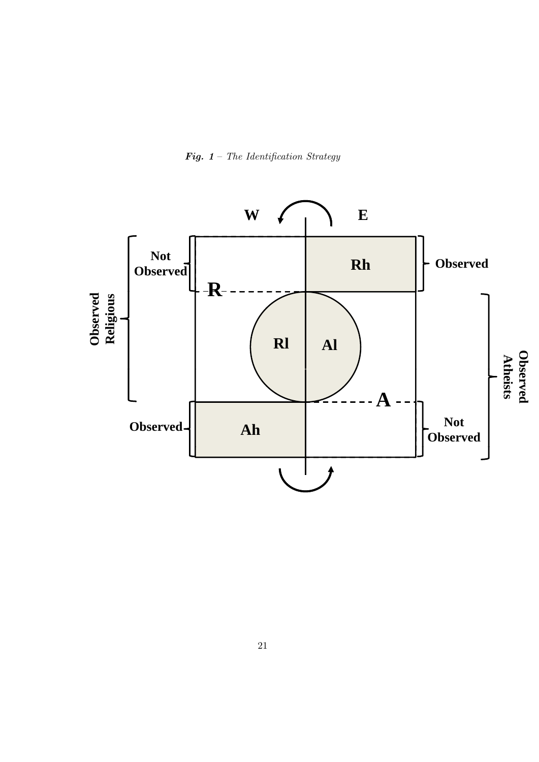

<span id="page-20-0"></span>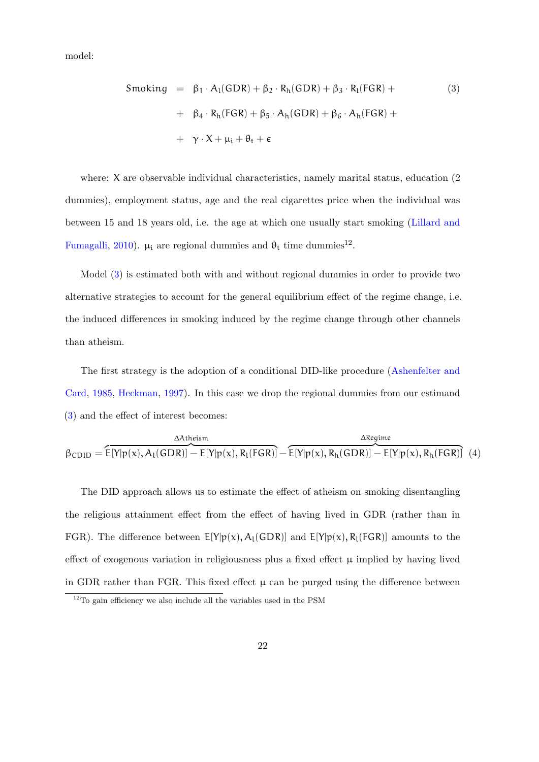model:

<span id="page-21-0"></span>
$$
Smoking = \beta_1 \cdot A_1(GDR) + \beta_2 \cdot R_h(GDR) + \beta_3 \cdot R_l(FGR) + + \beta_4 \cdot R_h(FGR) + \beta_5 \cdot A_h(GDR) + \beta_6 \cdot A_h(FGR) + + \gamma \cdot X + \mu_i + \theta_t + \epsilon
$$
 (3)

where: X are observable individual characteristics, namely marital status, education (2) dummies), employment status, age and the real cigarettes price when the individual was between 15 and 18 years old, i.e. the age at which one usually start smoking [\(Lillard and](#page-33-6) [Fumagalli,](#page-33-6) [2010\)](#page-33-6).  $\mu_i$  are regional dummies and  $\theta_t$  time dummies<sup>12</sup>.

Model [\(3\)](#page-21-0) is estimated both with and without regional dummies in order to provide two alternative strategies to account for the general equilibrium effect of the regime change, i.e. the induced differences in smoking induced by the regime change through other channels than atheism.

The first strategy is the adoption of a conditional DID-like procedure [\(Ashenfelter and](#page-29-7) [Card,](#page-29-7) [1985,](#page-29-7) [Heckman,](#page-31-9) [1997\)](#page-31-9). In this case we drop the regional dummies from our estimand [\(3\)](#page-21-0) and the effect of interest becomes:

| AAtheism.                                                                                                  | ∆Reaime |
|------------------------------------------------------------------------------------------------------------|---------|
| $\beta_{CDID} = E[Y p(x), A_1(GDR)] - E[Y p(x), R_1(FGR)] - E[Y p(x), R_h(GDR)] - E[Y p(x), R_h(FGR)]$ (4) |         |

The DID approach allows us to estimate the effect of atheism on smoking disentangling the religious attainment effect from the effect of having lived in GDR (rather than in FGR). The difference between  $E[Y|p(x), A_i(GDR)]$  and  $E[Y|p(x), R_i(FGR)]$  amounts to the effect of exogenous variation in religiousness plus a fixed effect  $\mu$  implied by having lived in GDR rather than FGR. This fixed effect  $\mu$  can be purged using the difference between

 $12$ To gain efficiency we also include all the variables used in the PSM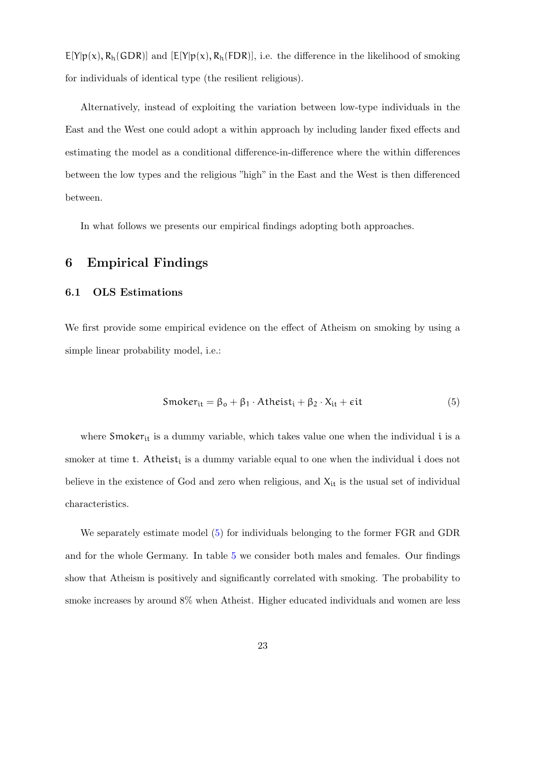$E[Y|p(x), R_h(GDR)]$  and  $[E[Y|p(x), R_h(FDR)]$ , i.e. the difference in the likelihood of smoking for individuals of identical type (the resilient religious).

Alternatively, instead of exploiting the variation between low-type individuals in the East and the West one could adopt a within approach by including lander fixed effects and estimating the model as a conditional difference-in-difference where the within differences between the low types and the religious "high" in the East and the West is then differenced between.

In what follows we presents our empirical findings adopting both approaches.

### <span id="page-22-0"></span>6 Empirical Findings

### <span id="page-22-1"></span>6.1 OLS Estimations

We first provide some empirical evidence on the effect of Atheism on smoking by using a simple linear probability model, i.e.:

<span id="page-22-2"></span>
$$
Smoker_{it} = \beta_o + \beta_1 \cdot \text{Atheist}_i + \beta_2 \cdot X_{it} + \epsilon it \tag{5}
$$

where  $\mathsf{Smoker}_{\text{it}}$  is a dummy variable, which takes value one when the individual  $\mathfrak i$  is a smoker at time  $t$ . Atheist<sub>i</sub> is a dummy variable equal to one when the individual  $i$  does not believe in the existence of God and zero when religious, and  $X_{it}$  is the usual set of individual characteristics.

We separately estimate model [\(5\)](#page-22-2) for individuals belonging to the former FGR and GDR and for the whole Germany. In table [5](#page-45-0) we consider both males and females. Our findings show that Atheism is positively and significantly correlated with smoking. The probability to smoke increases by around 8% when Atheist. Higher educated individuals and women are less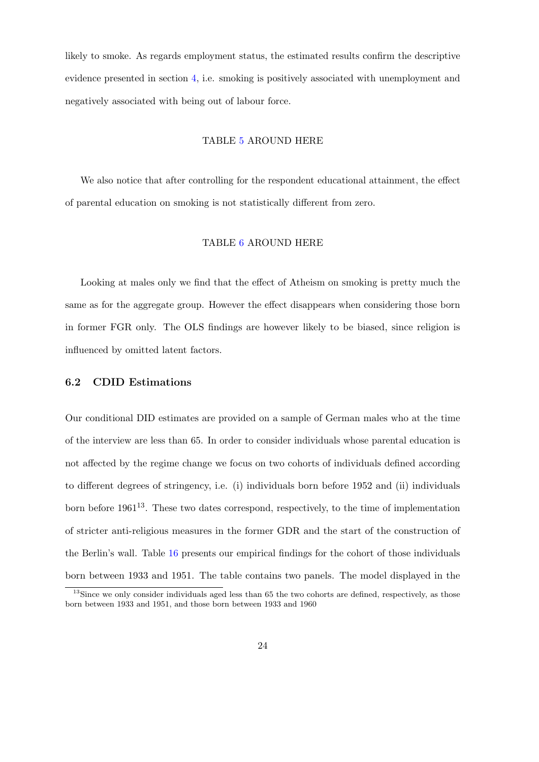likely to smoke. As regards employment status, the estimated results confirm the descriptive evidence presented in section [4,](#page-12-0) i.e. smoking is positively associated with unemployment and negatively associated with being out of labour force.

#### TABLE [5](#page-45-0) AROUND HERE

We also notice that after controlling for the respondent educational attainment, the effect of parental education on smoking is not statistically different from zero.

### TABLE [6](#page-46-0) AROUND HERE

Looking at males only we find that the effect of Atheism on smoking is pretty much the same as for the aggregate group. However the effect disappears when considering those born in former FGR only. The OLS findings are however likely to be biased, since religion is influenced by omitted latent factors.

### 6.2 CDID Estimations

Our conditional DID estimates are provided on a sample of German males who at the time of the interview are less than 65. In order to consider individuals whose parental education is not affected by the regime change we focus on two cohorts of individuals defined according to different degrees of stringency, i.e. (i) individuals born before 1952 and (ii) individuals born before  $1961^{13}$ . These two dates correspond, respectively, to the time of implementation of stricter anti-religious measures in the former GDR and the start of the construction of the Berlin's wall. Table [16](#page-56-0) presents our empirical findings for the cohort of those individuals born between 1933 and 1951. The table contains two panels. The model displayed in the

 $13$ Since we only consider individuals aged less than 65 the two cohorts are defined, respectively, as those born between 1933 and 1951, and those born between 1933 and 1960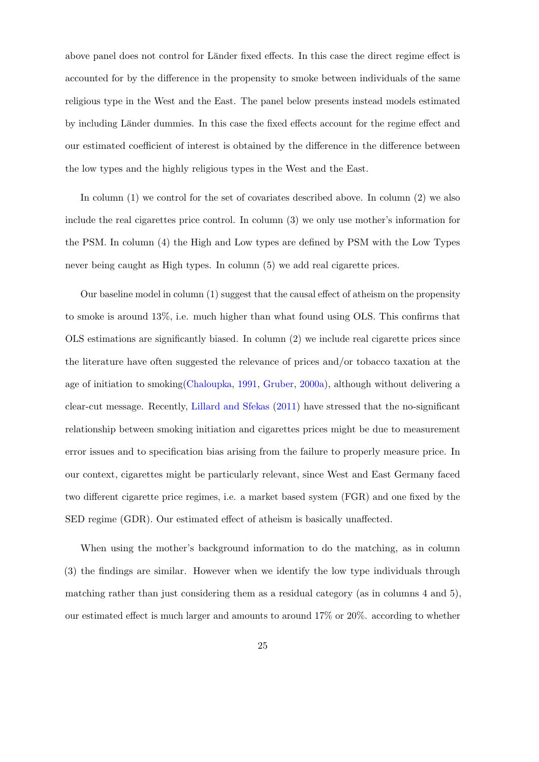above panel does not control for Länder fixed effects. In this case the direct regime effect is accounted for by the difference in the propensity to smoke between individuals of the same religious type in the West and the East. The panel below presents instead models estimated by including Länder dummies. In this case the fixed effects account for the regime effect and our estimated coefficient of interest is obtained by the difference in the difference between the low types and the highly religious types in the West and the East.

In column (1) we control for the set of covariates described above. In column (2) we also include the real cigarettes price control. In column (3) we only use mother's information for the PSM. In column (4) the High and Low types are defined by PSM with the Low Types never being caught as High types. In column (5) we add real cigarette prices.

Our baseline model in column (1) suggest that the causal effect of atheism on the propensity to smoke is around 13%, i.e. much higher than what found using OLS. This confirms that OLS estimations are significantly biased. In column (2) we include real cigarette prices since the literature have often suggested the relevance of prices and/or tobacco taxation at the age of initiation to smoking[\(Chaloupka,](#page-30-0) [1991,](#page-30-0) [Gruber,](#page-31-6) [2000a\)](#page-31-6), although without delivering a clear-cut message. Recently, [Lillard and Sfekas](#page-33-9) [\(2011\)](#page-33-9) have stressed that the no-significant relationship between smoking initiation and cigarettes prices might be due to measurement error issues and to specification bias arising from the failure to properly measure price. In our context, cigarettes might be particularly relevant, since West and East Germany faced two different cigarette price regimes, i.e. a market based system (FGR) and one fixed by the SED regime (GDR). Our estimated effect of atheism is basically unaffected.

When using the mother's background information to do the matching, as in column (3) the findings are similar. However when we identify the low type individuals through matching rather than just considering them as a residual category (as in columns 4 and 5), our estimated effect is much larger and amounts to around 17% or 20%. according to whether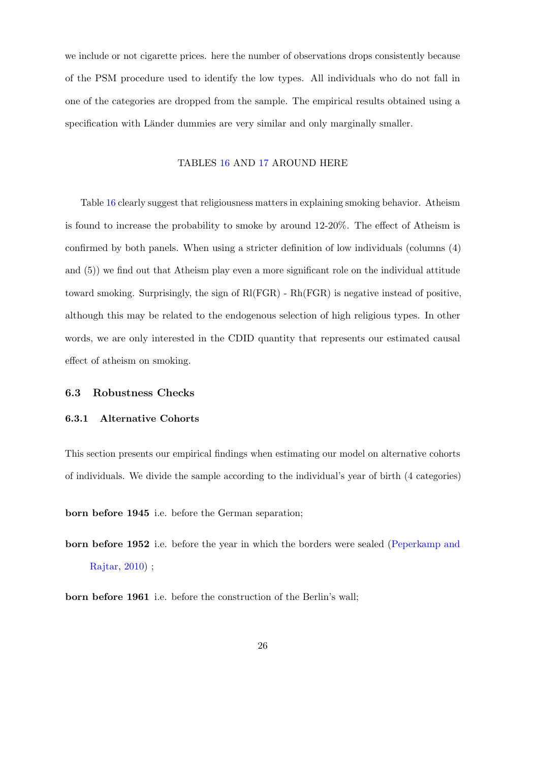we include or not cigarette prices. here the number of observations drops consistently because of the PSM procedure used to identify the low types. All individuals who do not fall in one of the categories are dropped from the sample. The empirical results obtained using a specification with Länder dummies are very similar and only marginally smaller.

### TABLES [16](#page-56-0) AND [17](#page-57-0) AROUND HERE

Table [16](#page-56-0) clearly suggest that religiousness matters in explaining smoking behavior. Atheism is found to increase the probability to smoke by around 12-20%. The effect of Atheism is confirmed by both panels. When using a stricter definition of low individuals (columns (4) and (5)) we find out that Atheism play even a more significant role on the individual attitude toward smoking. Surprisingly, the sign of Rl(FGR) - Rh(FGR) is negative instead of positive, although this may be related to the endogenous selection of high religious types. In other words, we are only interested in the CDID quantity that represents our estimated causal effect of atheism on smoking.

### 6.3 Robustness Checks

#### 6.3.1 Alternative Cohorts

This section presents our empirical findings when estimating our model on alternative cohorts of individuals. We divide the sample according to the individual's year of birth (4 categories)

born before 1945 i.e. before the German separation;

born before 1952 i.e. before the year in which the borders were sealed [\(Peperkamp and](#page-34-3) [Rajtar,](#page-34-3) [2010\)](#page-34-3) ;

born before 1961 i.e. before the construction of the Berlin's wall;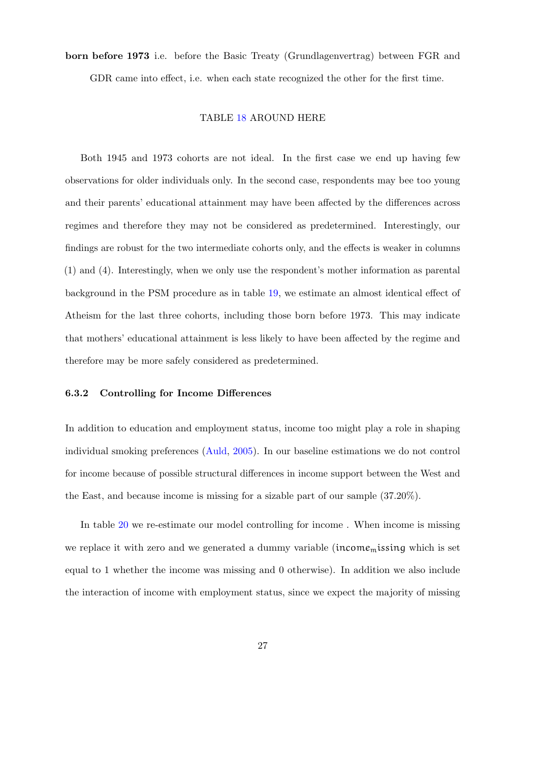born before 1973 i.e. before the Basic Treaty (Grundlagenvertrag) between FGR and

GDR came into effect, i.e. when each state recognized the other for the first time.

### TABLE [18](#page-58-0) AROUND HERE

Both 1945 and 1973 cohorts are not ideal. In the first case we end up having few observations for older individuals only. In the second case, respondents may bee too young and their parents' educational attainment may have been affected by the differences across regimes and therefore they may not be considered as predetermined. Interestingly, our findings are robust for the two intermediate cohorts only, and the effects is weaker in columns (1) and (4). Interestingly, when we only use the respondent's mother information as parental background in the PSM procedure as in table [19,](#page-59-0) we estimate an almost identical effect of Atheism for the last three cohorts, including those born before 1973. This may indicate that mothers' educational attainment is less likely to have been affected by the regime and therefore may be more safely considered as predetermined.

#### 6.3.2 Controlling for Income Differences

In addition to education and employment status, income too might play a role in shaping individual smoking preferences [\(Auld,](#page-29-8) [2005\)](#page-29-8). In our baseline estimations we do not control for income because of possible structural differences in income support between the West and the East, and because income is missing for a sizable part of our sample (37.20%).

In table [20](#page-60-0) we re-estimate our model controlling for income . When income is missing we replace it with zero and we generated a dummy variable (income<sub>m</sub>issing which is set equal to 1 whether the income was missing and 0 otherwise). In addition we also include the interaction of income with employment status, since we expect the majority of missing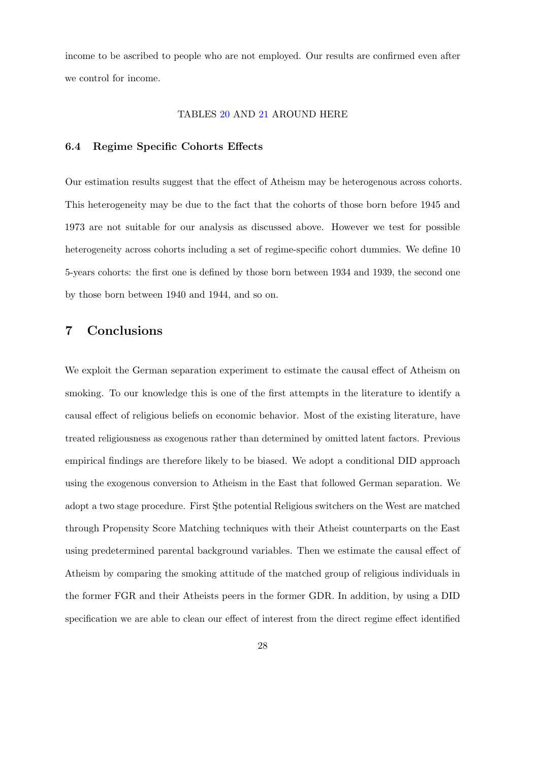income to be ascribed to people who are not employed. Our results are confirmed even after we control for income.

#### TABLES [20](#page-60-0) AND [21](#page-61-0) AROUND HERE

#### 6.4 Regime Specific Cohorts Effects

Our estimation results suggest that the effect of Atheism may be heterogenous across cohorts. This heterogeneity may be due to the fact that the cohorts of those born before 1945 and 1973 are not suitable for our analysis as discussed above. However we test for possible heterogeneity across cohorts including a set of regime-specific cohort dummies. We define 10 5-years cohorts: the first one is defined by those born between 1934 and 1939, the second one by those born between 1940 and 1944, and so on.

### <span id="page-27-0"></span>7 Conclusions

We exploit the German separation experiment to estimate the causal effect of Atheism on smoking. To our knowledge this is one of the first attempts in the literature to identify a causal effect of religious beliefs on economic behavior. Most of the existing literature, have treated religiousness as exogenous rather than determined by omitted latent factors. Previous empirical findings are therefore likely to be biased. We adopt a conditional DID approach using the exogenous conversion to Atheism in the East that followed German separation. We adopt a two stage procedure. First Sthe potential Religious switchers on the West are matched through Propensity Score Matching techniques with their Atheist counterparts on the East using predetermined parental background variables. Then we estimate the causal effect of Atheism by comparing the smoking attitude of the matched group of religious individuals in the former FGR and their Atheists peers in the former GDR. In addition, by using a DID specification we are able to clean our effect of interest from the direct regime effect identified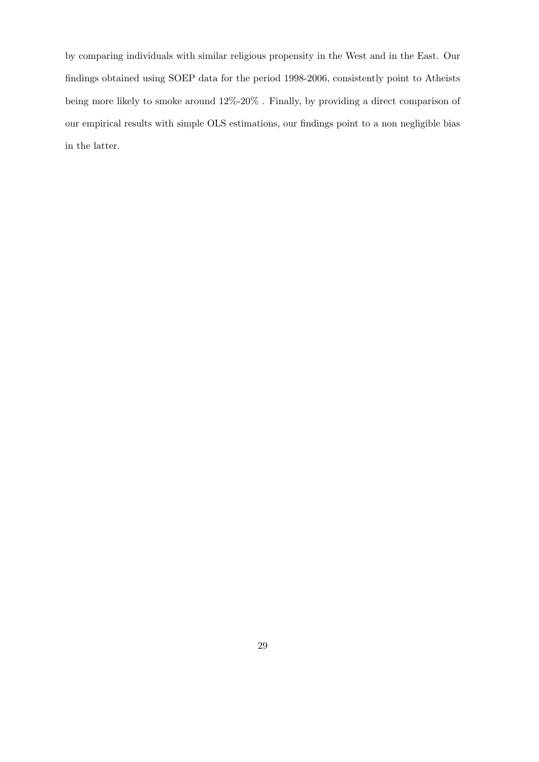by comparing individuals with similar religious propensity in the West and in the East. Our findings obtained using SOEP data for the period 1998-2006, consistently point to Atheists being more likely to smoke around 12%-20% . Finally, by providing a direct comparison of our empirical results with simple OLS estimations, our findings point to a non negligible bias in the latter.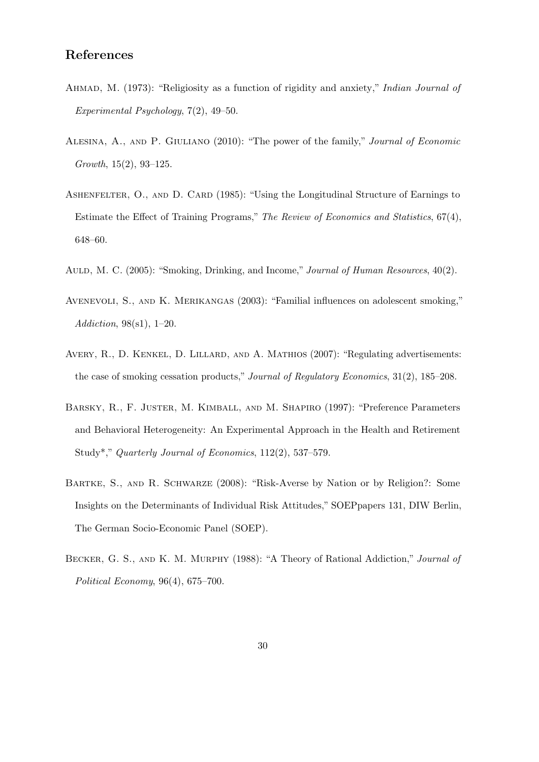### References

- <span id="page-29-2"></span>AHMAD, M. (1973): "Religiosity as a function of rigidity and anxiety," Indian Journal of Experimental Psychology, 7(2), 49–50.
- <span id="page-29-0"></span>ALESINA, A., AND P. GIULIANO (2010): "The power of the family," Journal of Economic Growth, 15(2), 93–125.
- <span id="page-29-7"></span>ASHENFELTER, O., AND D. CARD (1985): "Using the Longitudinal Structure of Earnings to Estimate the Effect of Training Programs," The Review of Economics and Statistics, 67(4), 648–60.
- <span id="page-29-8"></span>AULD, M. C. (2005): "Smoking, Drinking, and Income," Journal of Human Resources, 40(2).
- <span id="page-29-3"></span>AVENEVOLI, S., AND K. MERIKANGAS (2003): "Familial influences on adolescent smoking," Addiction, 98(s1), 1–20.
- <span id="page-29-6"></span>Avery, R., D. Kenkel, D. Lillard, and A. Mathios (2007): "Regulating advertisements: the case of smoking cessation products," Journal of Regulatory Economics, 31(2), 185–208.
- <span id="page-29-4"></span>Barsky, R., F. Juster, M. Kimball, and M. Shapiro (1997): "Preference Parameters and Behavioral Heterogeneity: An Experimental Approach in the Health and Retirement Study\*," Quarterly Journal of Economics, 112(2), 537–579.
- <span id="page-29-5"></span>BARTKE, S., AND R. SCHWARZE (2008): "Risk-Averse by Nation or by Religion?: Some Insights on the Determinants of Individual Risk Attitudes," SOEPpapers 131, DIW Berlin, The German Socio-Economic Panel (SOEP).
- <span id="page-29-1"></span>BECKER, G. S., AND K. M. MURPHY (1988): "A Theory of Rational Addiction," Journal of Political Economy, 96(4), 675–700.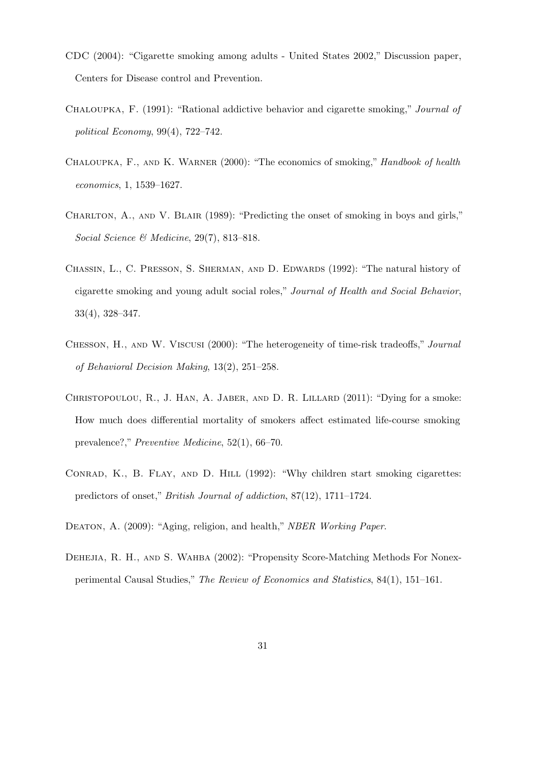- <span id="page-30-8"></span>CDC (2004): "Cigarette smoking among adults - United States 2002," Discussion paper, Centers for Disease control and Prevention.
- <span id="page-30-0"></span>Chaloupka, F. (1991): "Rational addictive behavior and cigarette smoking," Journal of political Economy, 99(4), 722–742.
- <span id="page-30-5"></span>Chaloupka, F., and K. Warner (2000): "The economics of smoking," Handbook of health economics, 1, 1539–1627.
- <span id="page-30-3"></span>CHARLTON, A., AND V. BLAIR (1989): "Predicting the onset of smoking in boys and girls." Social Science & Medicine, 29(7), 813-818.
- <span id="page-30-1"></span>CHASSIN, L., C. PRESSON, S. SHERMAN, AND D. EDWARDS (1992): "The natural history of cigarette smoking and young adult social roles," Journal of Health and Social Behavior, 33(4), 328–347.
- <span id="page-30-6"></span>Chesson, H., and W. Viscusi (2000): "The heterogeneity of time-risk tradeoffs," Journal of Behavioral Decision Making, 13(2), 251–258.
- <span id="page-30-7"></span>CHRISTOPOULOU, R., J. HAN, A. JABER, AND D. R. LILLARD  $(2011)$ : "Dying for a smoke: How much does differential mortality of smokers affect estimated life-course smoking prevalence?," Preventive Medicine, 52(1), 66–70.
- <span id="page-30-2"></span>CONRAD, K., B. FLAY, AND D. HILL (1992): "Why children start smoking cigarettes: predictors of onset," British Journal of addiction, 87(12), 1711–1724.
- <span id="page-30-9"></span><span id="page-30-4"></span>DEATON, A. (2009): "Aging, religion, and health," NBER Working Paper.
- Dehejia, R. H., and S. Wahba (2002): "Propensity Score-Matching Methods For Nonexperimental Causal Studies," The Review of Economics and Statistics, 84(1), 151–161.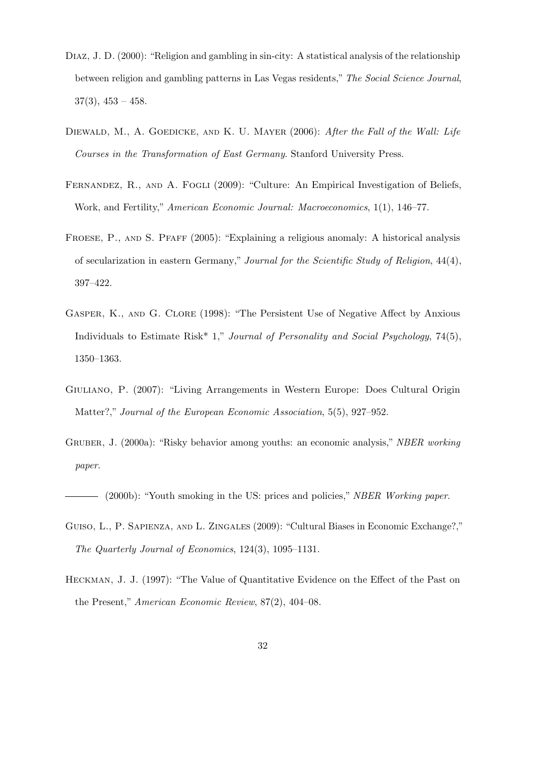- <span id="page-31-4"></span>DIAZ, J. D. (2000): "Religion and gambling in sin-city: A statistical analysis of the relationship between religion and gambling patterns in Las Vegas residents," The Social Science Journal,  $37(3)$ ,  $453 - 458$ .
- <span id="page-31-7"></span>DIEWALD, M., A. GOEDICKE, AND K. U. MAYER (2006): After the Fall of the Wall: Life Courses in the Transformation of East Germany. Stanford University Press.
- <span id="page-31-2"></span>FERNANDEZ, R., AND A. FOGLI (2009): "Culture: An Empirical Investigation of Beliefs, Work, and Fertility," American Economic Journal: Macroeconomics, 1(1), 146–77.
- <span id="page-31-8"></span>Froese, P., and S. Pfaff (2005): "Explaining a religious anomaly: A historical analysis of secularization in eastern Germany," Journal for the Scientific Study of Religion, 44(4), 397–422.
- <span id="page-31-3"></span>Gasper, K., and G. Clore (1998): "The Persistent Use of Negative Affect by Anxious Individuals to Estimate Risk<sup>\*</sup> 1," *Journal of Personality and Social Psychology*, 74(5), 1350–1363.
- <span id="page-31-1"></span>Giuliano, P. (2007): "Living Arrangements in Western Europe: Does Cultural Origin Matter?," Journal of the European Economic Association, 5(5), 927–952.
- <span id="page-31-6"></span>GRUBER, J. (2000a): "Risky behavior among youths: an economic analysis," NBER working paper.

<span id="page-31-5"></span>(2000b): "Youth smoking in the US: prices and policies," NBER Working paper.

- <span id="page-31-0"></span>GUISO, L., P. SAPIENZA, AND L. ZINGALES (2009): "Cultural Biases in Economic Exchange?," The Quarterly Journal of Economics, 124(3), 1095–1131.
- <span id="page-31-9"></span>Heckman, J. J. (1997): "The Value of Quantitative Evidence on the Effect of the Past on the Present," American Economic Review, 87(2), 404–08.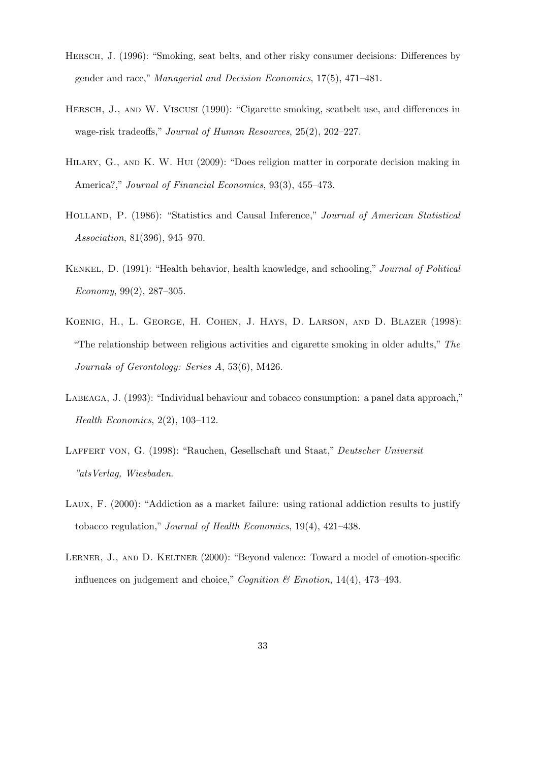- <span id="page-32-7"></span>Hersch, J. (1996): "Smoking, seat belts, and other risky consumer decisions: Differences by gender and race," Managerial and Decision Economics, 17(5), 471–481.
- <span id="page-32-8"></span>HERSCH, J., AND W. VISCUSI (1990): "Cigarette smoking, seatbelt use, and differences in wage-risk tradeoffs," Journal of Human Resources, 25(2), 202–227.
- <span id="page-32-1"></span>Hilary, G., and K. W. Hui (2009): "Does religion matter in corporate decision making in America?," Journal of Financial Economics, 93(3), 455–473.
- <span id="page-32-9"></span>HOLLAND, P. (1986): "Statistics and Causal Inference," *Journal of American Statistical* Association, 81(396), 945–970.
- <span id="page-32-5"></span>Kenkel, D. (1991): "Health behavior, health knowledge, and schooling," Journal of Political Economy, 99(2), 287–305.
- <span id="page-32-6"></span>Koenig, H., L. George, H. Cohen, J. Hays, D. Larson, and D. Blazer (1998): "The relationship between religious activities and cigarette smoking in older adults," The Journals of Gerontology: Series A, 53(6), M426.
- <span id="page-32-3"></span>Labeaga, J. (1993): "Individual behaviour and tobacco consumption: a panel data approach," Health Economics, 2(2), 103–112.
- <span id="page-32-2"></span>LAFFERT VON, G. (1998): "Rauchen, Gesellschaft und Staat," Deutscher Universit "atsVerlag, Wiesbaden.
- <span id="page-32-4"></span>Laux, F. (2000): "Addiction as a market failure: using rational addiction results to justify tobacco regulation," Journal of Health Economics, 19(4), 421–438.
- <span id="page-32-0"></span>LERNER, J., AND D. KELTNER (2000): "Beyond valence: Toward a model of emotion-specific influences on judgement and choice," *Cognition*  $\mathcal C$  *Emotion*, 14(4), 473–493.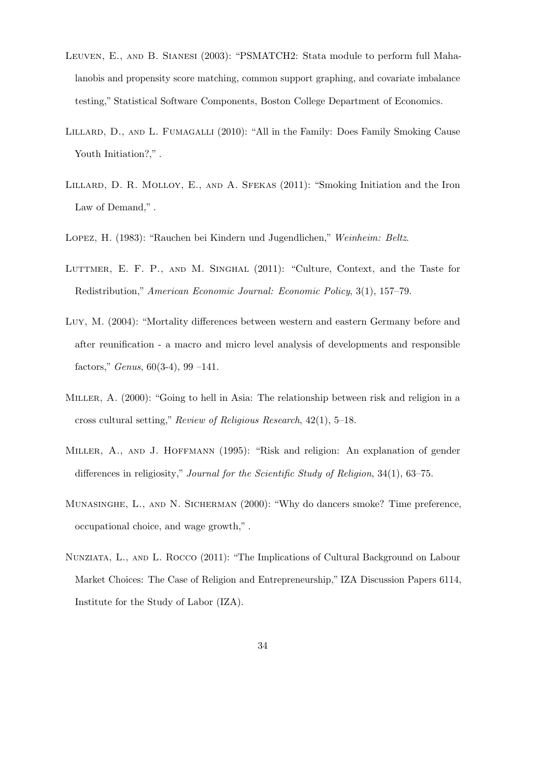- <span id="page-33-8"></span>LEUVEN, E., AND B. SIANESI (2003): "PSMATCH2: Stata module to perform full Mahalanobis and propensity score matching, common support graphing, and covariate imbalance testing," Statistical Software Components, Boston College Department of Economics.
- <span id="page-33-6"></span>LILLARD, D., AND L. FUMAGALLI (2010): "All in the Family: Does Family Smoking Cause Youth Initiation?,".
- <span id="page-33-9"></span>Lillard, D. R. Molloy, E., and A. Sfekas (2011): "Smoking Initiation and the Iron Law of Demand,".
- <span id="page-33-5"></span><span id="page-33-0"></span>Lopez, H. (1983): "Rauchen bei Kindern und Jugendlichen," Weinheim: Beltz.
- LUTTMER, E. F. P., AND M. SINGHAL (2011): "Culture, Context, and the Taste for Redistribution," American Economic Journal: Economic Policy, 3(1), 157–79.
- <span id="page-33-7"></span>Luy, M. (2004): "Mortality differences between western and eastern Germany before and after reunification - a macro and micro level analysis of developments and responsible factors," *Genus*,  $60(3-4)$ ,  $99-141$ .
- <span id="page-33-2"></span>Miller, A. (2000): "Going to hell in Asia: The relationship between risk and religion in a cross cultural setting," Review of Religious Research, 42(1), 5–18.
- <span id="page-33-1"></span>Miller, A., and J. Hoffmann (1995): "Risk and religion: An explanation of gender differences in religiosity," Journal for the Scientific Study of Religion, 34(1), 63–75.
- <span id="page-33-4"></span>MUNASINGHE, L., AND N. SICHERMAN (2000): "Why do dancers smoke? Time preference, occupational choice, and wage growth," .
- <span id="page-33-3"></span>Nunziata, L., and L. Rocco (2011): "The Implications of Cultural Background on Labour Market Choices: The Case of Religion and Entrepreneurship," IZA Discussion Papers 6114, Institute for the Study of Labor (IZA).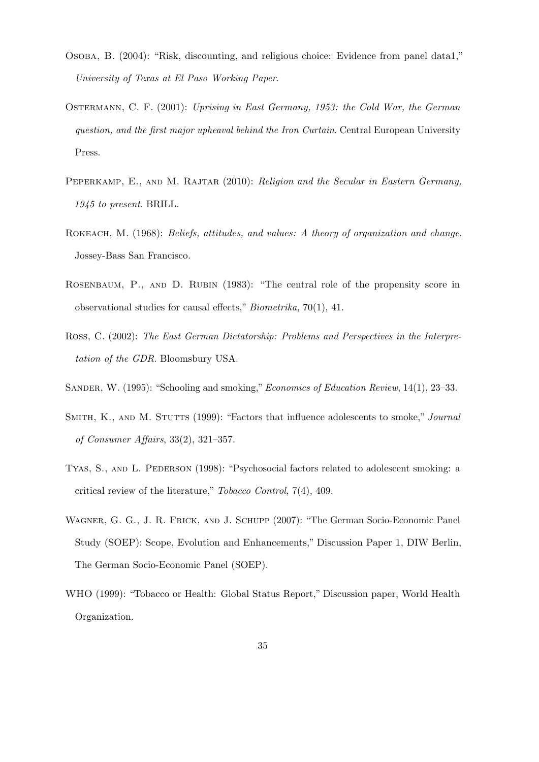- <span id="page-34-0"></span>Osoba, B. (2004): "Risk, discounting, and religious choice: Evidence from panel data1," University of Texas at El Paso Working Paper.
- <span id="page-34-2"></span>Ostermann, C. F. (2001): Uprising in East Germany, 1953: the Cold War, the German question, and the first major upheaval behind the Iron Curtain. Central European University Press.
- <span id="page-34-3"></span>PEPERKAMP, E., AND M. RAJTAR (2010): Religion and the Secular in Eastern Germany, 1945 to present. BRILL.
- <span id="page-34-8"></span>ROKEACH, M. (1968): *Beliefs, attitudes, and values: A theory of organization and change.* Jossey-Bass San Francisco.
- <span id="page-34-10"></span>ROSENBAUM, P., AND D. RUBIN (1983): "The central role of the propensity score in observational studies for causal effects," Biometrika, 70(1), 41.
- <span id="page-34-1"></span>Ross, C. (2002): The East German Dictatorship: Problems and Perspectives in the Interpretation of the GDR. Bloomsbury USA.
- <span id="page-34-6"></span><span id="page-34-4"></span>SANDER, W. (1995): "Schooling and smoking," Economics of Education Review, 14(1), 23–33.
- SMITH, K., AND M. STUTTS (1999): "Factors that influence adolescents to smoke," Journal of Consumer Affairs, 33(2), 321–357.
- <span id="page-34-5"></span>TYAS, S., AND L. PEDERSON (1998): "Psychosocial factors related to adolescent smoking: a critical review of the literature," Tobacco Control, 7(4), 409.
- <span id="page-34-9"></span>Wagner, G. G., J. R. Frick, and J. Schupp (2007): "The German Socio-Economic Panel Study (SOEP): Scope, Evolution and Enhancements," Discussion Paper 1, DIW Berlin, The German Socio-Economic Panel (SOEP).
- <span id="page-34-7"></span>WHO (1999): "Tobacco or Health: Global Status Report," Discussion paper, World Health Organization.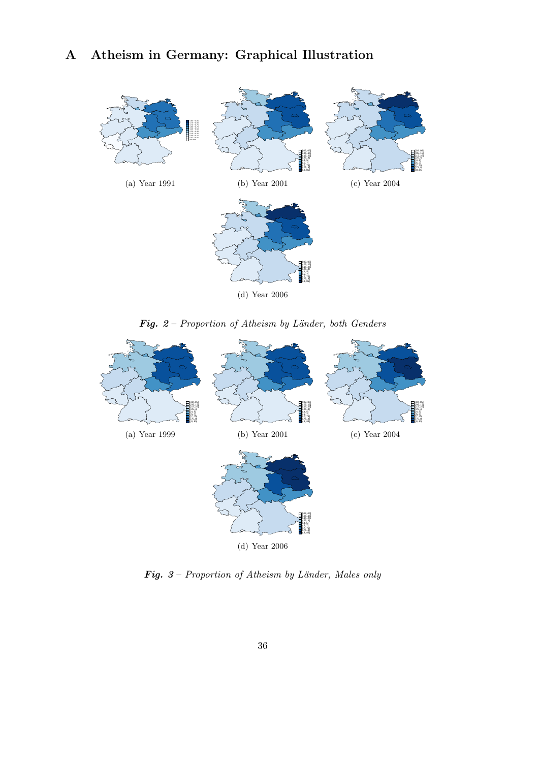# A Atheism in Germany: Graphical Illustration



Fig.  $2$  – Proportion of Atheism by Länder, both Genders



Fig.  $3$  – Proportion of Atheism by Länder, Males only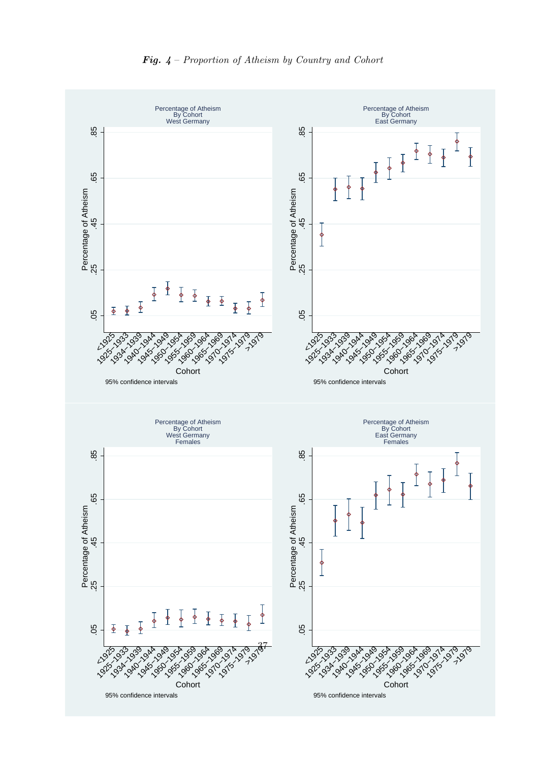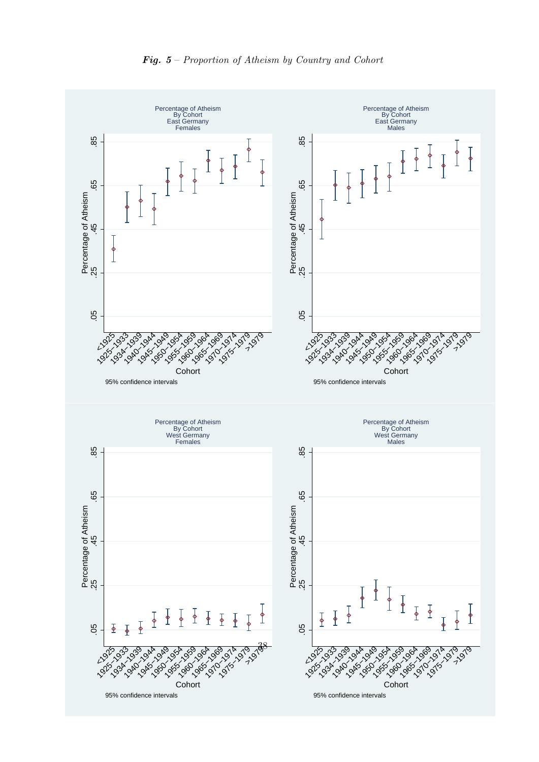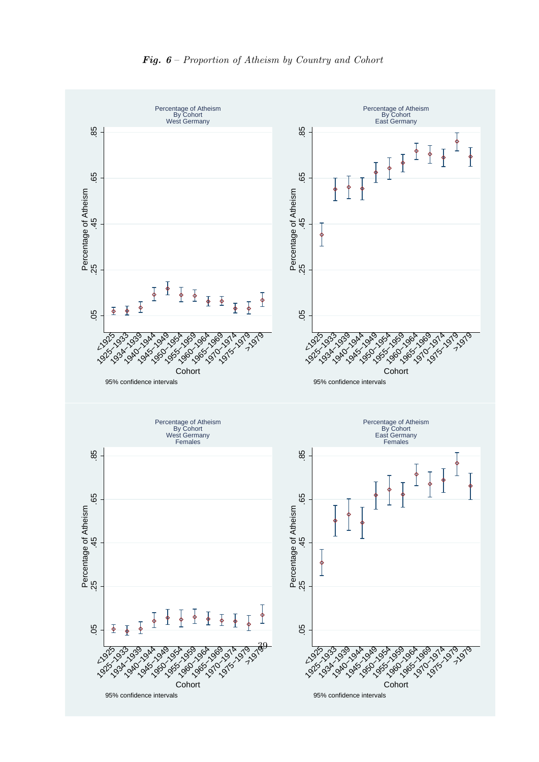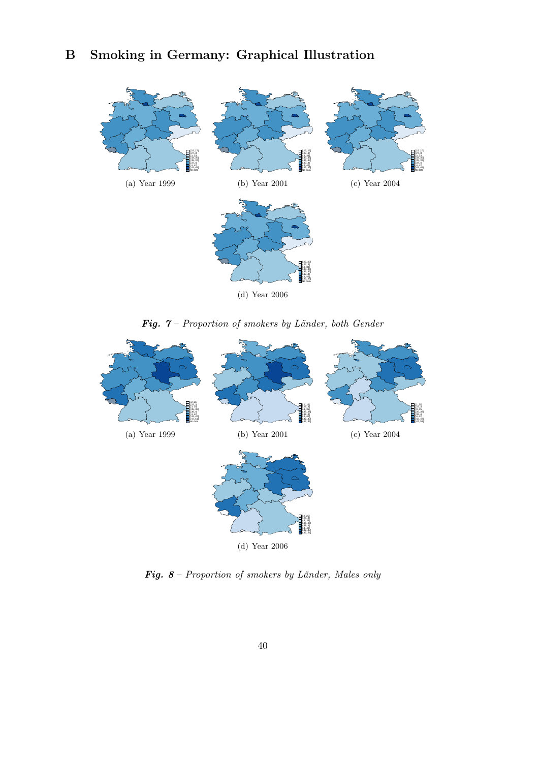

Fig.  $7$  – Proportion of smokers by Länder, both Gender



Fig.  $8$  – Proportion of smokers by Länder, Males only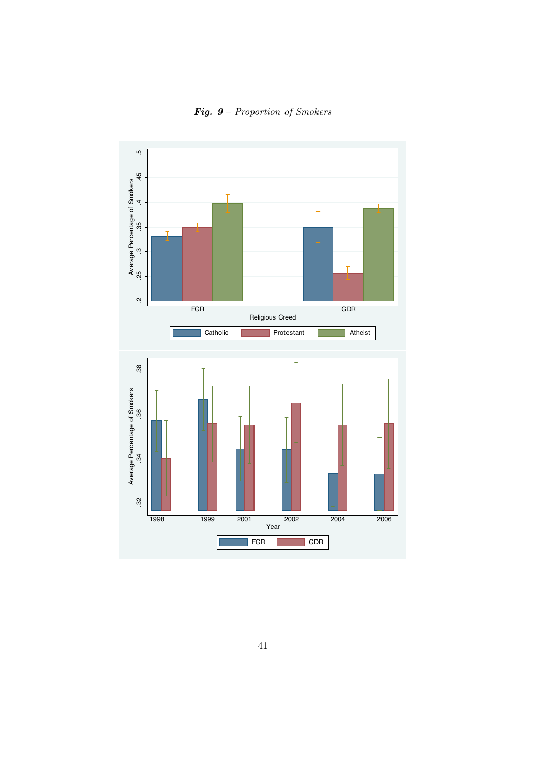

**Fig. 9** – Proportion of Smokers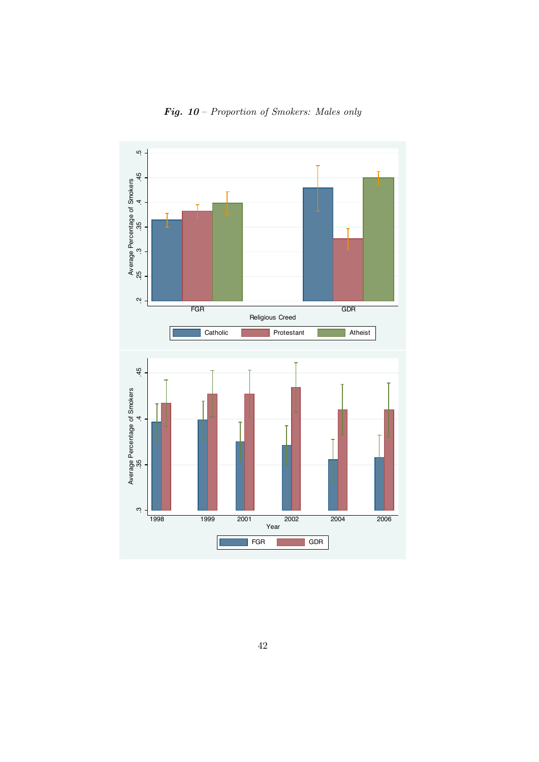

Fig. 10 – Proportion of Smokers: Males only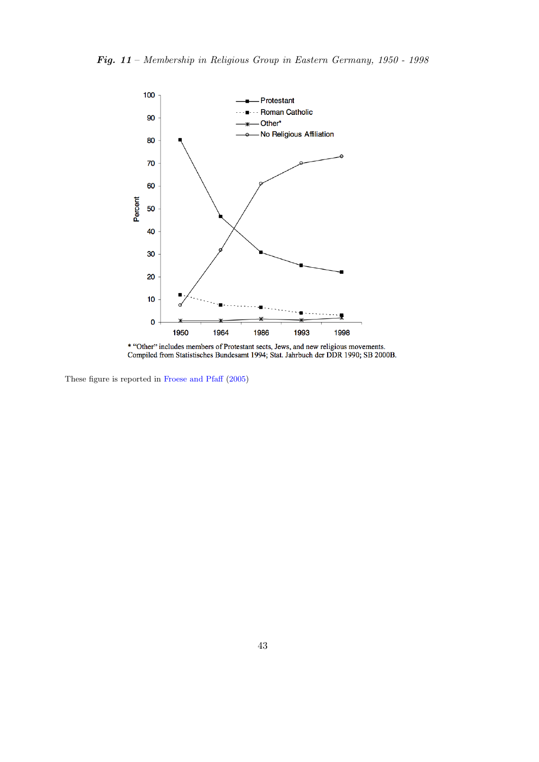<span id="page-42-0"></span>

\* "Other" includes members of Protestant sects, Jews, and new religious movements. Compiled from Statistisches Bundesamt 1994; Stat. Jahrbuch der DDR 1990; SB 2000B.

These figure is reported in [Froese and Pfaff](#page-31-8) [\(2005\)](#page-31-8)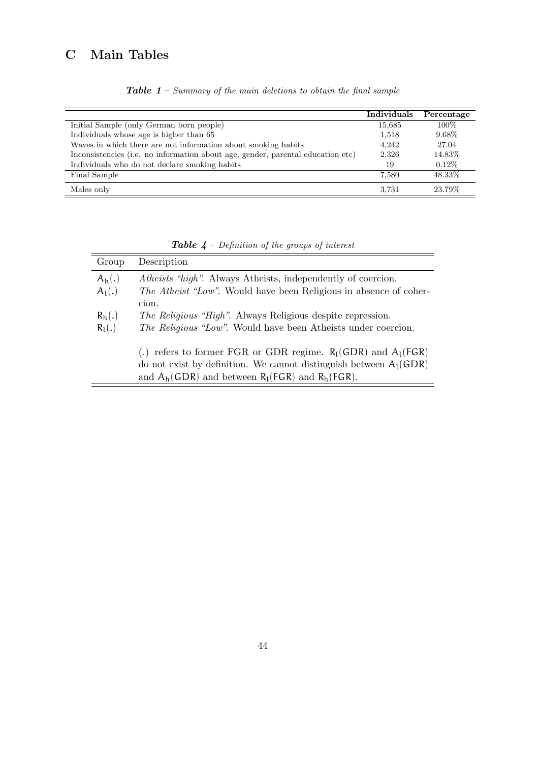# <span id="page-43-0"></span>C Main Tables

|                                                                                 | Individuals | Percentage |
|---------------------------------------------------------------------------------|-------------|------------|
| Initial Sample (only German born people)                                        | 15,685      | $100\%$    |
| Individuals whose age is higher than 65                                         | 1,518       | $9.68\%$   |
| Waves in which there are not information about smoking habits                   | 4,242       | 27.04      |
| Inconsistencies (i.e. no information about age, gender, parental education etc) | 2,326       | 14.83%     |
| Individuals who do not declare smoking habits                                   | 19          | $0.12\%$   |
| Final Sample                                                                    | 7.580       | 48.33%     |
| Males only                                                                      | 3.731       | 23.79%     |

**Table 1** – Summary of the main deletions to obtain the final sample

<span id="page-43-1"></span>

| Group                | Description                                                                                                                                                                                         |
|----------------------|-----------------------------------------------------------------------------------------------------------------------------------------------------------------------------------------------------|
| $A_h(.)$<br>$A_l(.)$ | <i>Atheists "high".</i> Always Atheists, independently of coercion.<br><i>The Atheist "Low"</i> . Would have been Religious in absence of coher-<br>cion.                                           |
| $R_h(.)$<br>$R_1(.)$ | <i>The Religious "High".</i> Always Religious despite repression.<br><i>The Religious "Low"</i> . Would have been Atheists under coercion.                                                          |
|                      | (.) refers to former FGR or GDR regime. $R_l(GDR)$ and $A_l(FGR)$<br>do not exist by definition. We cannot distinguish between $A_1(GDR)$<br>and $A_h(GDR)$ and between $R_l(FGR)$ and $R_h(FGR)$ . |

**Table**  $4$  – Definition of the groups of interest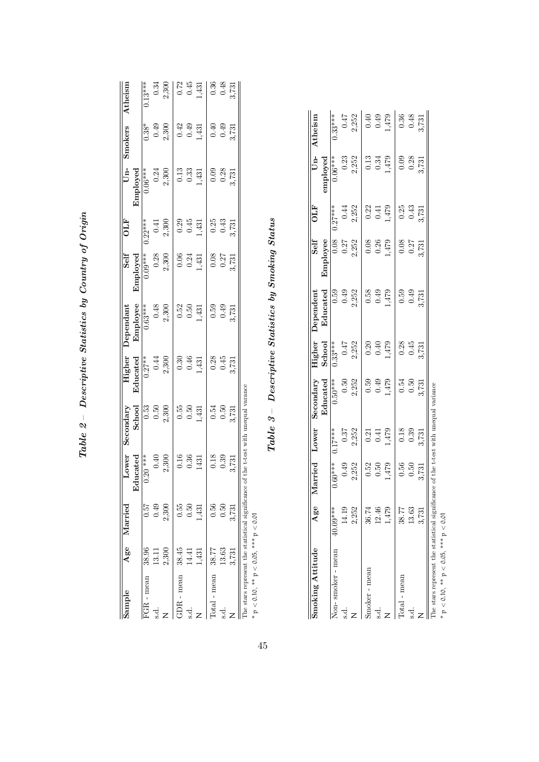<span id="page-44-0"></span>

|                                                                                                    |                                                                                  |                                                                                                                                 |                                                                         |                                                                                                                                                                   |                                                                                                |                                                      |                                                                                        |                                                      | ر<br>م  | 573            |                |
|----------------------------------------------------------------------------------------------------|----------------------------------------------------------------------------------|---------------------------------------------------------------------------------------------------------------------------------|-------------------------------------------------------------------------|-------------------------------------------------------------------------------------------------------------------------------------------------------------------|------------------------------------------------------------------------------------------------|------------------------------------------------------|----------------------------------------------------------------------------------------|------------------------------------------------------|---------|----------------|----------------|
|                                                                                                    |                                                                                  |                                                                                                                                 |                                                                         |                                                                                                                                                                   | $0.59$<br>$0.49$<br>$3.731$                                                                    |                                                      |                                                                                        |                                                      | 0.50    | 13.63          |                |
| $\begin{array}{c c} 0.34 \\ 2,300 \\ 0.72 \\ 0.45 \\ 1,431 \\ 0.36 \\ 8,731 \\ \hline \end{array}$ | $\begin{array}{c} 0.40 \\ 0.49 \\ 3.731 \end{array}$                             | $\begin{array}{c} 0.09 \\ 0.28 \\ 3.731 \end{array}$                                                                            | $\begin{array}{c} 0.25 \\ 0.43 \\ 3.731 \end{array}$                    | $\frac{0.08}{0.27}$<br>3,731                                                                                                                                      |                                                                                                | $\begin{array}{c} 0.28 \\ 0.45 \\ 3.731 \end{array}$ | $\frac{0.54}{0.50}$                                                                    | $\begin{array}{c} 0.18 \\ 0.39 \\ 3.731 \end{array}$ | .56     | 38.77          | $0$ tal – mear |
|                                                                                                    | $\begin{array}{c} 0.38^* \\ 0.49 \\ 2.300 \\ 0.42 \\ 0.43 \\ \hline \end{array}$ | $\begin{array}{c c} \textbf{Employee} \\ \hline 0.06*** & 0.24\\ 0.24 & 0.30\\ 2.300 & 0.13\\ 0.33 & 0.33\\ \hline \end{array}$ |                                                                         | $\begin{array}{c c} \textbf{Enployed} \\\hline 0.09*** & 0.28 \\ \hline 0.0300 & 0.24 \\ 2,300 & 0.04 \\ 0.04 & 0.24 \\ \hline 1,431 & 1,4 \\ \hline \end{array}$ | $\begin{array}{c} 0.52 \\ 0.50 \\ 1,431 \end{array}$                                           | $0.30$<br>$0.46$<br>$1,431$                          | $\frac{0.55}{0.50}$                                                                    | $\begin{array}{c} 0.16 \\ 0.36 \\ 1431 \end{array}$  | ,431    | $\frac{3}{43}$ |                |
|                                                                                                    |                                                                                  |                                                                                                                                 |                                                                         |                                                                                                                                                                   |                                                                                                |                                                      |                                                                                        |                                                      | 0.50    | 14.41          |                |
|                                                                                                    |                                                                                  |                                                                                                                                 |                                                                         |                                                                                                                                                                   |                                                                                                |                                                      |                                                                                        |                                                      | 0.55    | 38.45          | - mean         |
|                                                                                                    |                                                                                  |                                                                                                                                 | $\begin{array}{c c} 0.41 \\ 2,300 \\ 0.29 \\ 0.45 \\ 1,431 \end{array}$ |                                                                                                                                                                   | Employee<br>$\begin{array}{r} 6.63** \ \begin{array}{r} 0.63** \ 0.48 \end{array} \end{array}$ | $\frac{0.27**}{0.44}$<br>2,300                       | $\begin{array}{r} {\bf Stahool} \\ \hline 0.53 \\ 0.50 \\ 2,300 \\ \hline \end{array}$ | $0.40$<br>2,300                                      | 2,300   | 2,300          |                |
|                                                                                                    |                                                                                  |                                                                                                                                 |                                                                         |                                                                                                                                                                   |                                                                                                |                                                      |                                                                                        |                                                      | 0.49    | 13.11          |                |
| $0.13***$                                                                                          |                                                                                  |                                                                                                                                 | $0.22***$                                                               |                                                                                                                                                                   |                                                                                                |                                                      |                                                                                        | $0.20***$                                            | 0.57    | 38.96          | - mear         |
|                                                                                                    |                                                                                  |                                                                                                                                 |                                                                         |                                                                                                                                                                   |                                                                                                | Educated                                             |                                                                                        | lucated<br>몃                                         |         |                |                |
| Atheism                                                                                            | Smokers                                                                          | $Un-$                                                                                                                           | OLF                                                                     | Self                                                                                                                                                              | $\mathbf D$ ependanı                                                                           | Higher                                               | Secondary                                                                              | Lower                                                | Marriec | Age            |                |
|                                                                                                    |                                                                                  |                                                                                                                                 |                                                                         |                                                                                                                                                                   |                                                                                                |                                                      |                                                                                        |                                                      |         |                |                |

 $Table~2 - Descriptive\ Statistics~by~Country~of~Origin$  $Table~2-$  Descriptive Statistics by Country of Origin

The stars represent the statistical significance of the t-test with unequal varance The stars represent the statistical significance of the t-test with unequal varance  $*$   $p$   $<$   $0.10,$   $**$   $p$   $<$   $0.05,$   $***$   $p$   $<$   $0.01$ 

 $p < 0.10$ , \*\*  $p < 0.05$ , \*\*\*  $p < 0.01$ 

 $Table \ 3 - \ Descriptive \ Statistics \ by \ Smoking \ Statistics$  $Table\ 3-$  Descriptive Statistics by Smoking Status

| Smoking Attitude                                                                     | Age            | Married Lower                                        |                                                      | Secondary                                                             |                                                      | Higher Dependent                                     | Self                                                 | OLF                                                                          | $Un-$                                                | Atheism                                                                      |
|--------------------------------------------------------------------------------------|----------------|------------------------------------------------------|------------------------------------------------------|-----------------------------------------------------------------------|------------------------------------------------------|------------------------------------------------------|------------------------------------------------------|------------------------------------------------------------------------------|------------------------------------------------------|------------------------------------------------------------------------------|
|                                                                                      |                |                                                      |                                                      | Educated                                                              | School                                               | Educated                                             | Employee                                             |                                                                              | employed                                             |                                                                              |
| Non-smoker - mean                                                                    | 40.09***       | $0.60***$                                            | $\overline{0.17***}$                                 | $0.50***$                                                             | $\frac{1}{0.33***}$                                  |                                                      |                                                      | $0.27***$                                                                    | $\frac{0.06***}{0.06***}$                            | $0.33***$                                                                    |
| ಕ್ಷ                                                                                  |                |                                                      |                                                      |                                                                       |                                                      |                                                      |                                                      |                                                                              |                                                      |                                                                              |
|                                                                                      | 2,252          | $\frac{0.49}{2,252}$                                 | $\begin{array}{c} 0.37 \\ 2.252 \end{array}$         |                                                                       | $\frac{0.47}{2,252}$                                 | $\frac{1}{0.59}$<br>0.49<br>2,252                    | $\begin{array}{c} 0.08 \\ 0.27 \\ 2,252 \end{array}$ |                                                                              | $0.23$<br>$2,252$                                    |                                                                              |
| Smoker - mean                                                                        | 36.74          |                                                      |                                                      | $\begin{array}{c} 0.50 \\ 2,252 \\ 0.59 \\ 0.49 \\ 1,479 \end{array}$ |                                                      |                                                      |                                                      | $\begin{array}{c} 0.44 \\ 2,252 \\ \hline 0.22 \\ 0.41 \\ 1,479 \end{array}$ |                                                      | $\begin{array}{c} 0.47 \\ 2,252 \\ \hline 0.40 \\ 0.49 \\ 1,479 \end{array}$ |
|                                                                                      | 12.4           |                                                      |                                                      |                                                                       |                                                      |                                                      |                                                      |                                                                              |                                                      |                                                                              |
|                                                                                      | 47             | $\begin{array}{c} 0.52 \\ 0.50 \\ 1,479 \end{array}$ | $\begin{array}{c} 0.21 \\ 0.41 \\ 1.479 \end{array}$ |                                                                       | $\begin{array}{c} 0.20 \\ 0.40 \\ 1.479 \end{array}$ | $\begin{array}{c} 0.58 \\ 0.49 \\ 1,479 \end{array}$ | $\begin{array}{c} 0.08 \\ 0.26 \\ 1.479 \end{array}$ |                                                                              | $\frac{0.13}{0.34}$                                  |                                                                              |
| <b>lotal</b> - mean                                                                  | 38.7           |                                                      |                                                      |                                                                       |                                                      |                                                      |                                                      |                                                                              |                                                      |                                                                              |
| ರ.                                                                                   | $\frac{8}{13}$ | $\begin{array}{c} 0.56 \\ 0.50 \\ 3.731 \end{array}$ | $\begin{array}{c} 0.18 \\ 0.39 \end{array}$          | $\begin{array}{c} 0.54 \\ 0.50 \end{array}$                           | $\frac{0.28}{0.45}$<br>3,731                         | $65.0$<br>0.49                                       | $\begin{array}{c} 0.08 \\ 0.27 \end{array}$          | $\frac{0.25}{0.43}$<br>3,731                                                 | $\begin{array}{c} 0.09 \\ 0.28 \\ 3.731 \end{array}$ |                                                                              |
|                                                                                      | 3.73           |                                                      | 3,731                                                | 3,731                                                                 |                                                      | 3,731                                                | 3,731                                                |                                                                              |                                                      | $\frac{0.36}{0.48}$                                                          |
| The stars represent the statistical significance of the t-test with unequal variance |                |                                                      |                                                      |                                                                       |                                                      |                                                      |                                                      |                                                                              |                                                      |                                                                              |

 $*$   $\rm p < 0.10,$   $^{**} \rm p < 0.05,$   $^{***} \rm p < 0.01$  $p < 0.10$ , \*\*  $p < 0.05$ , \*\*\*  $p < 0.01$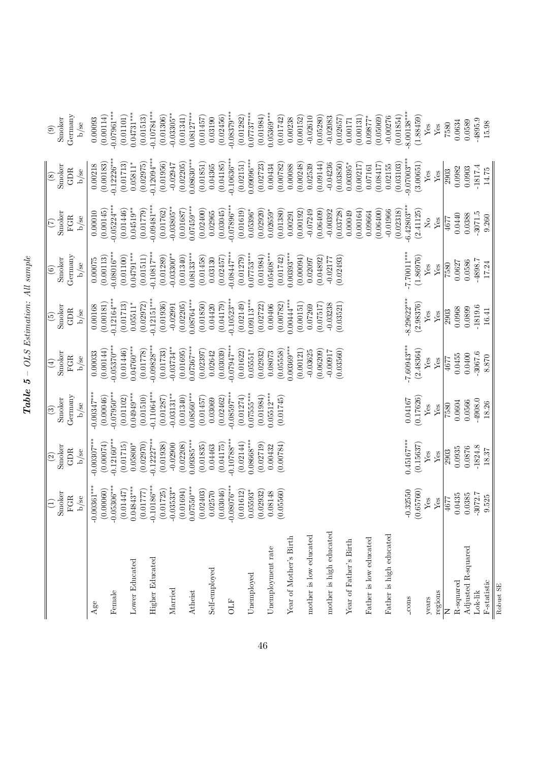<span id="page-45-0"></span>

|                         | $\begin{pmatrix} 1 \end{pmatrix}$                                      | $\odot$                   | $\circledS$          | $\bigoplus$                | $\widehat{E}$              | $\odot$                  | $\left( \tilde{c} \right)$                                             | $\circledast$             | $\circledcirc$             |
|-------------------------|------------------------------------------------------------------------|---------------------------|----------------------|----------------------------|----------------------------|--------------------------|------------------------------------------------------------------------|---------------------------|----------------------------|
|                         | Smoker                                                                 | Smoker                    | Smoker               | Smoker                     | Smoker                     | Smoker                   | Smoker                                                                 | Smoker                    | Smoker                     |
|                         | $_{\rm FGR}$                                                           | <b>GDR</b>                | Germany              | $_{\rm FGR}$               | <b>GDR</b>                 | Germany                  | $_{\rm FGR}$                                                           | GDR                       | Germany                    |
|                         | b/se                                                                   | $b$ /se                   | $b$ /se              | $\rm b/sec$                | b/se                       | $b$ /se                  | $\rm b/sec$                                                            | b/se                      | $b$ /se                    |
| Age                     | $-0.00361***$                                                          | $-0.00307***$             | $-0.00347***$        | 0.00033                    | 0.00168                    | 0.00075                  | 0.00010                                                                | 0.00218                   | 0.00093                    |
|                         | (0.00060)                                                              | (0.00074)                 | (0.00046)            | (0.00144)                  | (0.00181)                  | (0.00113)                | (0.00145)                                                              | (0.00183)                 | (0.00114)                  |
| Female                  | $-0.05306***$                                                          | $-0.12160***$             | $-0.07950***$        | $-0.05370***$              | $-0.12164***$              | $-0.08016***$            | $-0.05224***$                                                          | $-0.12226***$             | $-0.07961***$              |
|                         | (0.01447)                                                              | (0.01715)                 | (0.01102)            | (0.01446)                  | (0.01713)                  | (0.01100)                | (0.01446)                                                              | (0.01713)                 | (0.01101)                  |
| Lower Educated          | $0.04843***$                                                           | $0.05800*$                | $0.04949^{***}$      | $0.04760***$               | $0.05511*$                 | $0.04791***$             | $0.04519***$                                                           | $0.05811*$                | $0.04731***$               |
|                         | $(0.01777)$<br>-0.10186***                                             | (0.02970)                 | (0.01510)            | (0.01778)                  | (0.02972)                  | (0.01511)                | (0.01779)                                                              | (0.02975)                 | (0.01513)                  |
| <b>Higher Educated</b>  |                                                                        | $-0.12227***$             | $-0.11064***$        | $0.09828***$               | $-0.12151***$              | $-0.10817***$            | $0.09481***$                                                           | $0.12094***$              | $-0.10784***$              |
|                         |                                                                        | (0.01938)                 | (0.01287)            | (0.01733)                  | (0.01936)                  | (0.01289)                | (0.01762)                                                              | (0.01956)                 | (0.01306)                  |
| Married                 | $\begin{array}{c} (0.01725) \\ -0.03533^{**} \\ (0.01694) \end{array}$ | $-0.02900$                | $-0.03131***$        | $0.03734***$               | $-0.02991$                 | $-0.03300**$             | $0.03805***$                                                           | $-0.02947$                | $-0.03305**$               |
|                         |                                                                        | (0.02208)                 | (0.01340)            | (0.01695)                  | (0.02205)                  | (0.01340)                | (0.01687)                                                              | (0.02205)                 | (0.01341)                  |
| Atheist                 | $0.07550***$<br>(0.02403)                                              | $0.09385***$              | $0.08560***$         | $0.07367***$               | $0.08764***$               | $0.08133***$             | $0.07459***$                                                           | $0.08630***$              | $0.08127***$               |
|                         | 0.02570                                                                | (0.01835)<br>0.04463      | (0.01457)            | (0.02397)                  | (0.01850)                  | (0.01458)                | (0.02400)<br>0.02965                                                   | (0.01851)                 | (0.01457)                  |
| Self-employed           | (0.03046)                                                              | (0.04175)                 | (0.02462)<br>0.03069 | (0.03039)<br>0.02642       | (0.04179)<br>0.04420       | (0.02457)<br>0.03130     | (0.03045)                                                              | (0.04185)<br>0.04365      | (0.02456)<br>0.03190       |
| <b>ETO</b>              | $-0.08076***$                                                          | $-0.10788***$             | $-0.08597***$        | $0.07947***$               | $-0.10523***$              | $-0.08447***$            | $0.07896***$                                                           | $-0.10636***$             | $-0.08379***$              |
|                         | (0.01612)                                                              | (0.02144)                 | (0.01274)            | (0.01622)                  | (0.02149)                  | (0.01279)                | (0.01619)                                                              | (0.02151)                 | (0.01282)                  |
| Unemployed              | $0.05593*$                                                             | $0.08668***$              | $0.07555***$         | $0.05551*$                 | $0.09113***$               | $0.07753***$             | $0.05396*$                                                             | $0.09096***$              | $0.07737***$               |
|                         | (0.02932)                                                              | (0.02719)                 | (0.01984)            | (0.02932)                  | (0.02722)                  | (0.01984)                | (0.02920)                                                              | (0.02723)                 | (0.01984)                  |
| Unemployment rate       | 0.08148                                                                | 0.00432                   | $0.05512***$         | 0.08073                    | 0.00406                    | $0.05408***$             | $0.02659*$                                                             | 0.00434                   | $0.05369***$               |
|                         | (0.05560)                                                              | (0.00784)                 | (0.01745)            | (0.05558)                  | (0.00782)                  | (0.01742)                | (0.01380)                                                              | (0.00782)                 | (0.01742)                  |
| Year of Mother's Birth  |                                                                        |                           |                      | $0.00369***$               | $0.00444***$               | $0.00393***$             | 0.00291                                                                | 0.00088                   | 0.00238                    |
|                         |                                                                        |                           |                      | (0.00121)                  | (0.00151)                  | (0.00094)                | (0.00192)                                                              | (0.00248)                 | (0.00152)                  |
| mother is low educated  |                                                                        |                           |                      | $-0.03625$                 | 0.07269                    | 0.02097                  | $-0.07249$                                                             | 0.02539                   | $-0.02610$                 |
|                         |                                                                        |                           |                      | (0.06209)                  | (0.07517)                  | (0.04892)                | (0.06409)                                                              | (0.09144)                 | (0.05280)                  |
| mother is high educated |                                                                        |                           |                      | $-0.00917$                 | $-0.03238$                 | (0.02493)<br>$-0.02177$  | $-0.00392$<br>(0.03728)                                                | $-0.04236$                | $-0.02083$<br>(0.02657)    |
|                         |                                                                        |                           |                      | (0.03560)                  | (0.03521)                  |                          |                                                                        | (0.03850)                 |                            |
| Year of Father's Birth  |                                                                        |                           |                      |                            |                            |                          | (0.00164)<br>0.00049                                                   | (0.00217)<br>$0.00395*$   | (0.00131)<br>0.00171       |
| Father is low educated  |                                                                        |                           |                      |                            |                            |                          | 0.09664                                                                | 0.07161                   | $0.09877*$                 |
|                         |                                                                        |                           |                      |                            |                            |                          | (0.06400)                                                              | (0.08417)                 | (0.05069)                  |
| Father is high educated |                                                                        |                           |                      |                            |                            |                          | $-0.01966$                                                             | 0.02155                   | $-0.00276$                 |
|                         |                                                                        |                           |                      |                            |                            |                          | (0.02318)                                                              | (0.03103)                 | (0.01854)                  |
| $-{\rm cons}$           | (0.65760)<br>$-0.32550$                                                | $0.45167***$<br>(0.15637) | (0.17626)<br>0.04167 | $-7.60943***$<br>(2.48364) | $-8.29622***$<br>(2.98376) | $-7.0007$ .<br>(1.86976) | $-6.42803***$<br>(2.41125)                                             | $0.07003***$<br>(3.00651) | $-8.00138***$<br>(1.88459) |
| years                   | ${\rm Yes}$                                                            | ${\it Yes}$               | $\mathbf{Yes}$       | $\operatorname{Yes}$       | ${\rm Yes}$                | ${\it Yes}$              | $\rm \stackrel{\circ}{\rm \stackrel{\circ}{\rm \scriptscriptstyle M}}$ | ${\bf Yes}$               | ${\it Yes}$                |
| regions                 | ${\rm Yes}$                                                            | ${\rm Yes}$               | ${\rm Yes}$          | ${\rm Yes}$                | ${\rm Yes}$                | ${\rm Yes}$              | ${\rm Yes}$                                                            | ${\rm Yes}$               | ${\rm Yes}$                |
|                         | 1677                                                                   | 2903                      | 7580                 | 4677                       | 2903                       | 7580                     | 4677                                                                   | 2903                      | 7580                       |
| R-squared               | 0.0435                                                                 | 0.0935                    | 0.0604               | 0.0455                     | 0.0968                     | 0.0627                   | 0.0440                                                                 | 0.0982                    | 0.0634                     |
| Adjusted R-squared      | 0.0385                                                                 | 0.0876                    | 0.0566               | 0.0400                     | 0.0899                     | 0.0586                   | 0.0388                                                                 | 0.0903                    | 0.0589                     |
| Lok-lik                 | $-3072.7$                                                              | $-1824.8$                 | $-4908.0$            | $-3067.6$                  | $-1819.6$                  | -4898.7                  | $-3071.5$                                                              | $-1817.4$                 | $-4895.9$                  |
| $_{\rm F-statistic}$    | 9.525                                                                  | 18.37                     | 18.26                | 8.870                      | 16.41                      | 17.24                    | 9.260                                                                  | 14.75                     | $15.98\,$                  |
| Robust SE               |                                                                        |                           |                      |                            |                            |                          |                                                                        |                           |                            |

 $\blacksquare$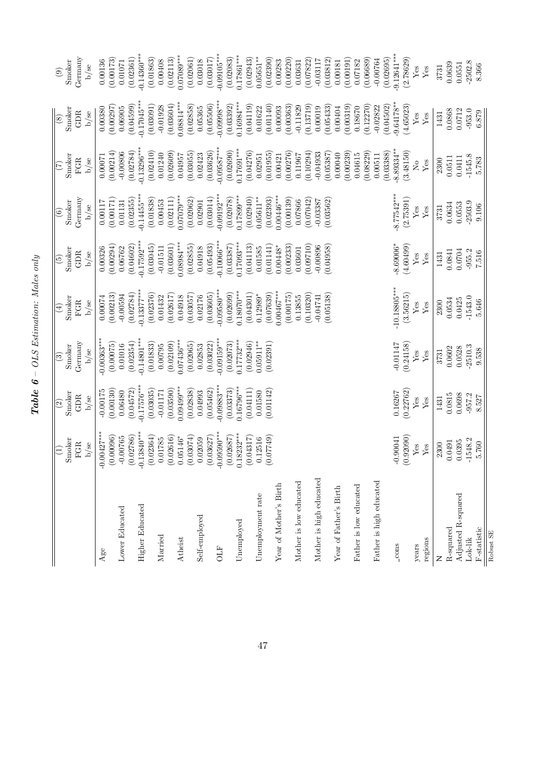<span id="page-46-0"></span>

|                         | Smoker<br>$\widehat{\Xi}$                                                                                                                                          | Smoker<br>$\widehat{\omega}$ | Smoker<br>$\odot$         | Smoker<br>$\widehat{\mathbb{F}}$ | Smoker<br>$\widetilde{5}$  | Smoker<br>$\widehat{6}$   | Smoker<br>$(\mathcal{I})$ | Smoker<br>$\circledast$    | Smoker<br>$\circledcirc$   |
|-------------------------|--------------------------------------------------------------------------------------------------------------------------------------------------------------------|------------------------------|---------------------------|----------------------------------|----------------------------|---------------------------|---------------------------|----------------------------|----------------------------|
|                         | $b$ /se<br><b>FGR</b>                                                                                                                                              | <b>GDR</b><br>b/se           | Germany<br>$\rm b/sec$    | FGR<br>$b$ /se                   | GDR<br>b/se                | Germany<br>b/se           | <b>FGR</b><br>b/se        | GDR<br>$b$ /se             | Germany<br>$b$ /se         |
| $\rm{Age}$              |                                                                                                                                                                    | $-0.00175$                   | $0.00363***$              | 0.00074                          | 0.00326                    | 0.00117                   | 0.00071                   | 0.00380                    | 0.00136                    |
|                         | $-0.00427***$<br>(0.00096)                                                                                                                                         | (0.00130)                    | (0.00075)                 | (0.00213)                        | (0.00294)                  | (0.00171)                 | (0.00214)                 | (0.00297)                  | (0.00173)                  |
| Lower Educated          |                                                                                                                                                                    | 0.06480                      | 0.01016                   | $-0.00594$                       | 0.06762                    | 0.01131                   | $-0.00806$                | 0.06905                    | 0.01071                    |
|                         |                                                                                                                                                                    | (0.04572)                    | (0.02354)                 | (0.02784)                        | (0.04602)                  | (0.02355)                 | (0.02784)                 | (0.04599)                  | (0.02361)                  |
| <b>Higher Educated</b>  |                                                                                                                                                                    | $0.17576***$                 | $-0.14801***$             | $0.13377***$                     | $-0.17592***$              | $0.14455***$              | $0.13296***$              | $-0.17045***$              | $0.14360**$                |
|                         |                                                                                                                                                                    | (0.03035)                    | (0.01833)                 | (0.02376)                        | (0.03045)                  | (0.01838)                 | (0.02410)                 | (0.03091)                  | (0.01863)                  |
| Married                 |                                                                                                                                                                    | (0.03590)<br>$-0.01171$      | (0.02109)<br>0.00795      | (0.02617)<br>0.01432             | (0.03601)<br>$-0.01511$    | (0.02111)<br>0.00453      | (0.02609)<br>0.01240      | (0.03604)<br>$-0.01928$    | (0.02113)<br>0.00408       |
| Atheist                 | $\begin{array}{c} -0.00765 \\ (0.02786) \\ -0.13840^{***} \\ (0.02364) \\ (0.02364) \\ 0.01785 \\ 0.01785 \\ (0.02616) \\ 0.05146^{*} \\ (0.03074) \\ \end{array}$ | $0.09499***$                 | $0.07436***$              | 0.04918                          | $0.08984***$               | $0.07079***$              | 0.04957                   | $0.08814***$               | $0.07089***$               |
|                         |                                                                                                                                                                    | (0.02838)                    | (0.02065)                 | (0.03057)                        | (0.02855)                  | (0.02062)                 | (0.03055)                 | (0.02858)                  | (0.02061)                  |
| Self-employed           | 0.02059                                                                                                                                                            | 0.04993                      | 0.02853                   | 0.02176                          | 0.04918                    | 0.02901                   | 0.02423                   | 0.05365                    | 0.03018                    |
|                         |                                                                                                                                                                    | (0.05462)                    | (0.03022)                 | (0.03605)                        | (0.05493)                  | (0.03014)                 | (0.03626)                 | (0.05506)                  | (0.03017)                  |
| <b>FTO</b>              | $\begin{array}{c} (0.03627) \\ -0.09590^{***} \\ (0.02687) \\ 0.18232^{***} \\ 0.18232^{***} \\ (0.04317) \end{array}$                                             | $-0.09883***$<br>(0.03373)   | $0.09159***$<br>(0.02073) | $0.09580***$<br>(0.02699)        | $-0.10066***$<br>(0.03387) | $0.09192***$<br>(0.02078) | $0.09587***$<br>(0.02690) | $-0.09998***$<br>(0.03392) | $-0.09105***$<br>(0.02083) |
| Unemployed              |                                                                                                                                                                    | $0.16796***$                 | $0.17732***$              | $0.18070***$                     | $0.17093***$               | $0.17899**$               | $0.17691***$              | $0.16984***$               | $0.17861***$               |
|                         |                                                                                                                                                                    | (0.04111)                    | (0.02946)                 | (0.04301)                        | (0.04113)                  | (0.02940)                 | (0.04276)                 | (0.04119)                  | (0.02943)                  |
| Unemployment rate       | $(0.12516$<br>$(0.07749)$                                                                                                                                          | 0.01580                      | $0.05911***$              | $0.12989*$                       | 0.01585                    | $0.05611***$              | 0.02951                   | 0.01622                    | $0.05651***$               |
|                         |                                                                                                                                                                    | (0.01142)                    | (0.02391)                 | (0.07639)                        | (0.01141)                  | (0.02393)                 | (0.01955)                 | (0.01140)                  | (0.02390)                  |
| Year of Mother's Birth  |                                                                                                                                                                    |                              |                           | $0.00467***$                     | $0.00448*$                 | $0.00446***$              | 0.00421                   | 0.00093                    | 0.00283                    |
| Mother is low educated  |                                                                                                                                                                    |                              |                           | (0.00175)<br>0.13855             | (0.00233)<br>0.03601       | (0.00139)<br>0.07866      | (0.00276)<br>0.11967      | (0.00363)<br>$-0.11829$    | (0.00220)<br>0.03631       |
|                         |                                                                                                                                                                    |                              |                           | (0.10320)                        | (0.09710)                  | (0.07042)                 | (0.10294)                 | (0.13719)                  | (0.07822)                  |
| Mother is high educated |                                                                                                                                                                    |                              |                           | $-0.04741$                       | $-0.00896$                 | $-0.03387$                | $-0.04933$                | 0.00019                    | $-0.03117$                 |
|                         |                                                                                                                                                                    |                              |                           | (0.05138)                        | (0.04958)                  | (0.03562)                 | (0.05387)                 | (0.05433)                  | (0.03812)                  |
| Year of Father's Birth  |                                                                                                                                                                    |                              |                           |                                  |                            |                           | (0.00239)<br>0.00040      | (0.00319)<br>0.00404       | (0.00191)<br>0.00181       |
| Father is low educated  |                                                                                                                                                                    |                              |                           |                                  |                            |                           | 0.04615                   | 0.18670                    | 0.07182                    |
|                         |                                                                                                                                                                    |                              |                           |                                  |                            |                           | (0.08229)                 | (0.12270)                  | (0.06689)                  |
| Father is high educated |                                                                                                                                                                    |                              |                           |                                  |                            |                           | 0.00511                   | $-0.02822$                 | $-0.00764$                 |
| $-{\rm cons}$           |                                                                                                                                                                    | 0.16267                      | $-0.01147$                | $-10.18805***$                   | $-8.69006*$                | $-8.77542***$             | $8.89334***$<br>(0.03388) | $-9.64178***$<br>(0.04502) | $-9.12641**$<br>(0.02695)  |
|                         | $(0.90041$<br>(0.92090)                                                                                                                                            | (0.22762)                    | (0.24158)                 | (3.56215)                        | (4.60499)                  | (2.75391)                 | (3.48150)                 | (4.65023)                  | (2.78629)                  |
| years                   | ${\it Yes}$                                                                                                                                                        | ${\rm Yes}$                  | ${\rm Yes}$               | ${\rm Yes}$                      | ${\rm Yes}$                | ${\rm Yes}$               | $\overline{N}$            | ${\rm Yes}$                | $\rm Yes$                  |
| regions                 | ${\rm Yes}$                                                                                                                                                        | ${\rm Yes}$                  | ${\rm Yes}$               | ${\rm Yes}$                      | ${\rm Yes}$                | ${\rm Yes}$               | ${\rm Yes}$               | ${\rm Yes}$                | ${\rm Yes}$                |
| Z                       | 2300                                                                                                                                                               | 1431                         | 3731                      | 2300                             | 1431                       | 3731                      | 2300                      | 1431                       | 3731                       |
| R-squared               | 0.0491                                                                                                                                                             | 0.0815                       | 0.0602                    | 0.0534                           | 0.0841                     | 0.0634                    | 0.0511                    | 0.0868                     | 0.0639                     |
| Adjusted R-squared      | 0.0395                                                                                                                                                             | 0.0698                       | 0.0528                    | 0.0425                           | 0.0704                     | 0.0553                    | 0.0411                    | 0.0712                     | 0.0551                     |
| Lok-lik                 | $-1548.2$                                                                                                                                                          | $-957.2$                     | $-2510.3$                 | $-1543.0$                        | $-955.2$                   | $-2503.9$                 | $-1545.8$                 | $-953.0$                   | $-2502.8$                  |
| $_{\rm F-static}$       | 5.760                                                                                                                                                              | 8.527                        | 9.538                     | 5.646                            | 7.516                      | 0.106                     | 5.783                     | 6.879                      | 8.366                      |
| Robust SE               |                                                                                                                                                                    |                              |                           |                                  |                            |                           |                           |                            |                            |

 $\textbf{Table 6}-OLS\ Estimation: \: Males\; only$  $Table\ \ 6-OLS\ Estimation{\rm :}\ Mason{\rm }s\ only$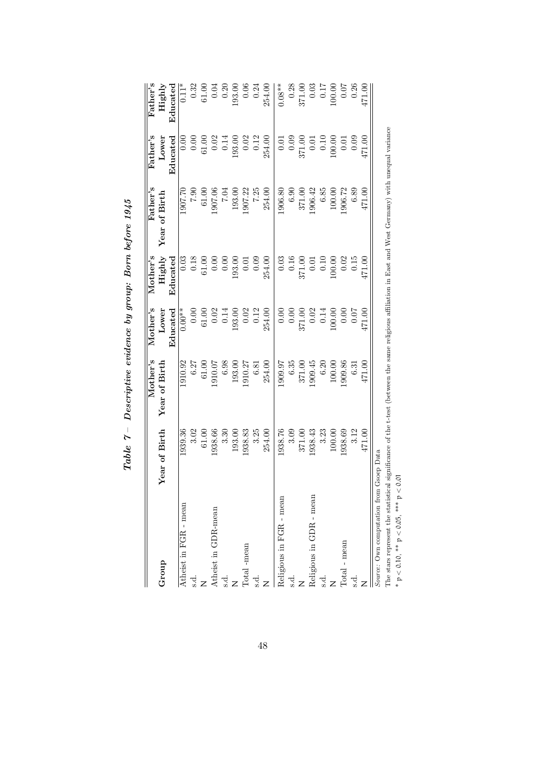|                                        |               | Mother's      | Mother's  | $M$ other's      | Father's                                                                                                               | ${\rm Father's}$ | ${\rm Fater's}$ |
|----------------------------------------|---------------|---------------|-----------|------------------|------------------------------------------------------------------------------------------------------------------------|------------------|-----------------|
| Group                                  | Year of Birth | Year of Birth | Lower     | Highly           | Year of Birth                                                                                                          | Lower            | Highly          |
|                                        |               |               | Educated  | $_{\rm{Educed}}$ |                                                                                                                        | Educated         | Educated        |
| Atheist in FGR - mean                  | 1939.36       | 1910.92       | $0.00**$  | 0.03             | 1907.70                                                                                                                |                  | $\vert 11^*$    |
| s.d.                                   | 3.02          | 6.27          | $0.00\,$  | $0.18\,$         | 06.7                                                                                                                   | 0.00             | 0.32            |
|                                        | 61.00         | 61.00         | $61.00\,$ | 61.00            | 61.00                                                                                                                  | 61.00            | 61.00           |
| Atheist in GDR-mean                    | 1938.66       | 1910.07       | $0.02\,$  | 0.00             | 1907.06                                                                                                                | 0.02             | 0.04            |
| $\frac{1}{2}$                          | 3.30          | 6.98          | 0.14      | 0.00             | FO.7                                                                                                                   | 0.14             | 0.20            |
|                                        | 193.00        | 193.00        | 93.00     | 93.00            | 193.00                                                                                                                 | 193.00           | 193.00          |
| Total -mean                            | 938.83        | 1910.27       | 0.02      | 0.01             | 1907.22                                                                                                                | 0.02             | 0.06            |
| s.d.                                   | 3.25          | 6.81          | 0.12      | 0.09             | 7.25                                                                                                                   | 0.12             | 0.24            |
|                                        | 254.00        | 254.00        | 254.00    | 254.00           | 254.00                                                                                                                 | 254.00           | 254.00          |
| Religious in FGR - mean                | 1938.76       | 1909.97       | $0.00$    | 0.03             | 1906.80                                                                                                                | 0.01             | $0.08**$        |
| s.d.                                   | 3.09          | 6.35          | 0.00      | 0.16             | 6.90                                                                                                                   | 0.09             | 0.28            |
|                                        | 371.00        | 371.00        | 371.00    | 371.00           | 371.00                                                                                                                 | 371.00           | 371.00          |
| Religious in GDR - mean                | 1938.43       | 1909.45       | 0.02      | 0.01             | 1906.42                                                                                                                | 0.01             | 0.03            |
| s.d.                                   | 3.23          | 6.20          | 0.14      | $0.10\,$         | 6.85                                                                                                                   | 0.10             | 0.17            |
|                                        | 100.00        | 100.00        | 00.00     | 00.00            | 100.00                                                                                                                 | 00.00            | .00.00          |
| Total - mean                           | 1938.69       | .909.86       | 0.00      | 0.02             | 906.72                                                                                                                 | 0.01             | 0.07            |
| s.d.                                   | 3.12          | 6.31          | $0.07$    | 0.15             | 6.89                                                                                                                   | 0.09             | 0.26            |
|                                        | 471.00        | 471.00        | 171.00    | 171.00           | 471.00                                                                                                                 | 471.00           | 171.00          |
| Source: Own computation from           | Gsoep Data    |               |           |                  |                                                                                                                        |                  |                 |
| The stars represent the statistic      |               |               |           |                  | cal significance of the t-test (between the same religious affiliation in East and West Germany) with unequal variance |                  |                 |
| $* p < 0.10, ** p < 0.05, ** p < 0.01$ |               |               |           |                  |                                                                                                                        |                  |                 |

Table  $7-$  Descriptive evidence by group: Born before 1945  $Table~7-~Descriptive~e$  vidence by group: Born before  $1945$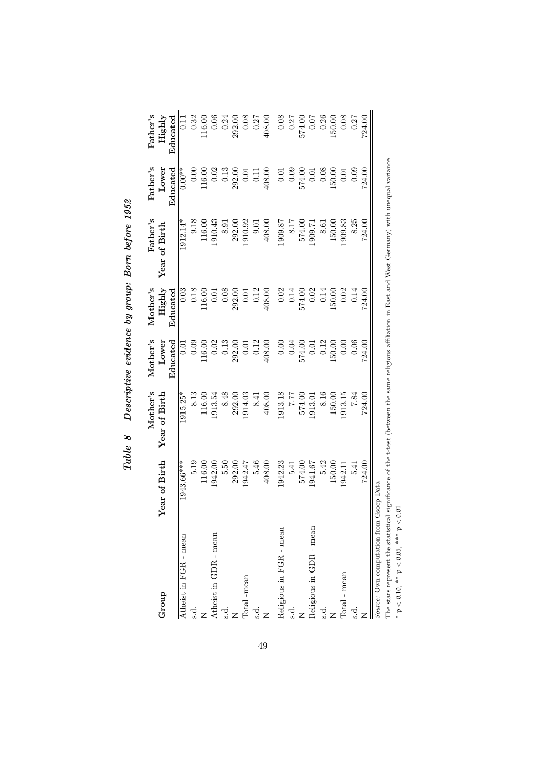|                                                                      |                   | Mother's                                                                                                                                                                                                                       | Mother's   | $M$ other's | Father's         | Father's          | Father's |
|----------------------------------------------------------------------|-------------------|--------------------------------------------------------------------------------------------------------------------------------------------------------------------------------------------------------------------------------|------------|-------------|------------------|-------------------|----------|
| Group                                                                | Year of Birth     | Year of Birth                                                                                                                                                                                                                  | Lower      | Highly      | of Birth<br>Year | Lower             | Highly   |
|                                                                      |                   |                                                                                                                                                                                                                                | Educated   | Educated    |                  | $_{\rm{Educed}}$  | Educated |
| Atheist in FGR - mean                                                | 1943.66***        | $1915.25*$                                                                                                                                                                                                                     | 0.01       | 0.03        | $1912.14*$       | $0.00**$          | 0.11     |
| s.d.                                                                 | 5.19              | 8.13                                                                                                                                                                                                                           | 0.09       | $0.18\,$    | 9.18             | 0.00              | 0.32     |
|                                                                      | 116.00            | 116.00                                                                                                                                                                                                                         | $116.00\,$ | 16.00       | $116.00\,$       | $116.00$          | 16.00    |
| Atheist in GDR - mean                                                | 1942.00           | 1913.54                                                                                                                                                                                                                        | $0.02\,$   | 0.01        | 1910.43          | 0.02              | $0.06$   |
| s.d.                                                                 | 5.50              | 8.48                                                                                                                                                                                                                           | $\,0.13$   | $0.08\,$    | 8.91             | $\,0.13$          | 0.24     |
|                                                                      | 292.00            | 292.00                                                                                                                                                                                                                         | 292.00     | 292.00      | 292.00           | 292.00            | 292.00   |
| Total -mean                                                          | 1942.47           | 1914.03                                                                                                                                                                                                                        | $0.01\,$   | 0.01        | 1910.92          | 0.01              | $0.08\,$ |
| s.d.                                                                 | 5.46              | 8.41                                                                                                                                                                                                                           | 0.12       | 0.12        | 9.01             | $\overline{0.11}$ | 0.27     |
|                                                                      | 408.00            | 408.00                                                                                                                                                                                                                         | 408.00     | 408.00      | 408.00           | 408.00            | 408.00   |
| Religious in FGR - mean                                              | 1942.23           | 1913.18                                                                                                                                                                                                                        | 0.00       | 0.02        | 1909.87          | 0.01              | 0.08     |
| s.d.                                                                 | 5.41              | 17.7                                                                                                                                                                                                                           | $0.04\,$   | 0.14        | 8.17             | 0.09              | 0.27     |
|                                                                      | 574.00            | 574.00                                                                                                                                                                                                                         | 574.00     | 574.00      | 574.00           | 574.00            | 574.00   |
| Religious in GDR - mean                                              | 1941.67           | 1913.01                                                                                                                                                                                                                        | 0.01       | 0.02        | 1909.71          | 0.01              | $0.07$   |
| s.d.                                                                 | 5.42              | 8.16                                                                                                                                                                                                                           | 0.12       | 0.14        | 8.61             | 0.08              | 0.26     |
|                                                                      | 150.00            | 150.00                                                                                                                                                                                                                         | 50.00      | 150.00      | 150.00           | 50.00             | 50.00    |
| Total - mean                                                         | 1942.1            | 913.15                                                                                                                                                                                                                         | 0.00       | 0.02        | .909.83          | $\overline{0}$ .  | 0.08     |
| <u>ನ</u>                                                             | 5.41              | 7.84                                                                                                                                                                                                                           | $0.06$     | 0.14        | 8.25             | 0.09              | 0.27     |
|                                                                      | 724.00            | 724.00                                                                                                                                                                                                                         | 724.00     | 724.00      | 724.00           | 724.00            | 724.00   |
| The stems nonneart the statistics.<br>Source: Own computation from ( | <b>Georp</b> Data | control that the first leader the common the control in East of East and III III is a second of the first of the second control in the second control of the first of the control of the second second second the second secon |            |             |                  |                   |          |

Table  $8$  – Descriptive evidence by group: Born before 1952  $Table\,\,\,8-$  Descriptive evidence by group: Born before 1952

49

The stars represent the statistical significance of the t-test (between the same religious affiliation in East and West Germany) with unequal variance The stars represent the statistical significance of the t-test (between the same religious affiliation in East and West Germany) with unequal variance \*  $p < 0.10$ , \*\*  $p < 0.05$ , \*\*\*  $p < 0.01$ 

p < 0.10, \*\* p < 0.05, \*\*\* p < 0.01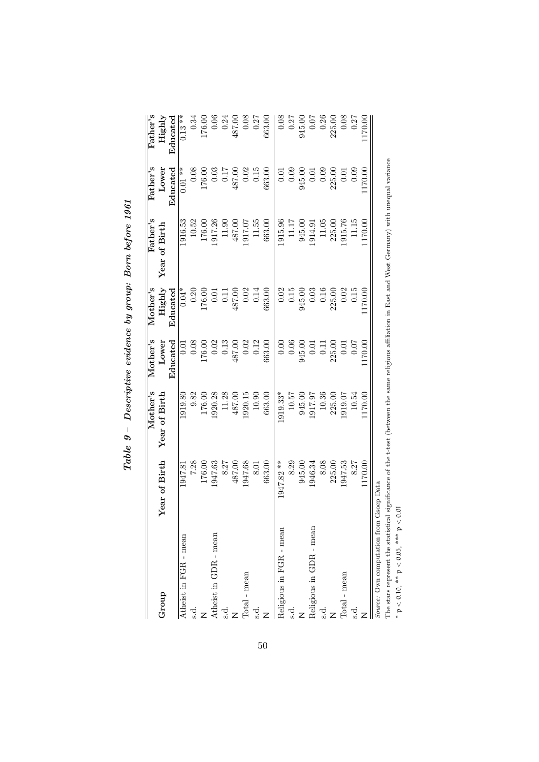|                                                                                                                                                        |               | Mother's      | Mother's           | Mother's                                    | ${\rm Father's}$ | $\rm{Fater's}$ | $\rm{Father's}$                               |
|--------------------------------------------------------------------------------------------------------------------------------------------------------|---------------|---------------|--------------------|---------------------------------------------|------------------|----------------|-----------------------------------------------|
| Group                                                                                                                                                  | Year of Birth | Year of Birth | Lower              | Highly                                      | Year of Birth    | Lower          | Highly                                        |
|                                                                                                                                                        |               |               | Educated           | Educated                                    |                  | ${\rm End}$    | $_{\rm{Educed}}$                              |
| Atheist in FGR - mean                                                                                                                                  | 1947.81       | 1919.80       | $\overline{0}$ .01 | $0.04*$                                     | 1916.53          | $0.01**$       | $0.13**$                                      |
| s.d.                                                                                                                                                   | 7.28          | 9.82          | $0.08\,$           | 0.20                                        | 10.52            | $0.08\,$       | 0.34                                          |
|                                                                                                                                                        | 176.00        | 176.00        | 76.00              | 176.00                                      | 176.00           | 176.00         | 176.00                                        |
| Atheist in GDR - mean                                                                                                                                  | 1947.63       | 1920.28       | 0.02               | 0.01                                        | 1917.26          | 0.03           | $0.06$                                        |
| s.d                                                                                                                                                    | 8.27          | 11.28         | 0.13               | 0.11                                        | 11.90            | 0.17           | $\begin{array}{c} 0.24 \\ 487.00 \end{array}$ |
|                                                                                                                                                        | 487.00        | 487.00        | 487.00             | 487.00                                      | 487.00           | 487.00         |                                               |
| Total - mean                                                                                                                                           | 1947.68       | 1920.15       | $0.02\,$           | 0.02                                        | 1917.07          | 0.02           | 0.08                                          |
| s.d.                                                                                                                                                   | 8.01          | 10.90         | 0.12               | 0.14                                        | 11.55            | $0.15\,$       | 0.27                                          |
|                                                                                                                                                        | 663.00        | 663.00        | 663.00             | 663.00                                      | 663.00           | 663.00         | 663.00                                        |
| Religious in FGR - mean                                                                                                                                | 1947.82 **    | 1919.33*      | 0.00               |                                             | 1915.96          | 0.01           | 0.08                                          |
| s.d.                                                                                                                                                   | 8.29          | 10.57         | $0.06\,$           | $\begin{array}{c} 0.02 \\ 0.15 \end{array}$ | 11.17            | 0.09           | 0.27                                          |
|                                                                                                                                                        | 945.00        | 945.00        | 945.00             | 945.00                                      | 945.00           | 945.00         | 945.00                                        |
| Religious in GDR - mean                                                                                                                                | 1946.34       | 1917.97       | 0.01               | $0.03\,$                                    | 1914.91          | 0.01           | 0.07                                          |
| s.d.                                                                                                                                                   | 8.08          | 10.36         | 0.11               | 0.16                                        | 11.05            | 0.09           | 0.26                                          |
|                                                                                                                                                        | 225.00        | 225.00        | 225.00             | 225.00                                      | 225.00           | 225.00         | 225.00                                        |
| Total - mean                                                                                                                                           | 1947.53       | 1919.07       | 0.01               | 0.02                                        | 1915.76          | 0.01           | 0.08                                          |
| s.d.                                                                                                                                                   | 8.27          | 10.54         | $0.07$             | 0.15                                        | 11.15            | 0.09           | 0.27                                          |
|                                                                                                                                                        | 1170.00       | 170.00        | 170.00             | 170.00                                      | 170.00           | 170.00         | 170.00                                        |
| Source: Own computation from                                                                                                                           | Gsoep Data    |               |                    |                                             |                  |                |                                               |
| The stars represent the statistical significance of the t-test (between the same religious affiliation in East and West Germany) with unequal variance |               |               |                    |                                             |                  |                |                                               |
| * $p < 0.10$ , ** $p < 0.05$ , *** $p <$                                                                                                               | 0.01          |               |                    |                                             |                  |                |                                               |

 $Table \ 9 - Descriptive \ evidence \ by \ group \:: \: Born \ before \ 1961$  $Table\,\,9-$  Descriptive evidence by group: Born before  $1961$ 

p < 0.10, \*\* p < 0.05, \*\*\* p < 0.01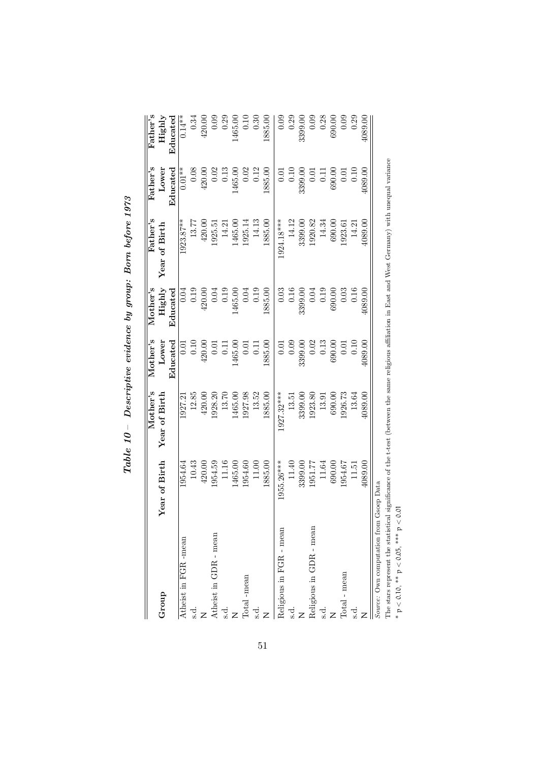|                                                                                                                                                                  |               | Mother's      | Mother's       | Mother's | Father's      | Father's         | Father's  |
|------------------------------------------------------------------------------------------------------------------------------------------------------------------|---------------|---------------|----------------|----------|---------------|------------------|-----------|
| Group                                                                                                                                                            | Year of Birth | Year of Birth | Lower          | Highly   | Year of Birth | Lower            | Highly    |
|                                                                                                                                                                  |               |               | Educated       | Educated |               | $_{\rm{Educed}}$ | Educated  |
| Atheist in FGR -mean                                                                                                                                             | 1954.64       | 1927.2        | 5<br>0.0       | 0.04     | $1923.87***$  | $0.01**$         | $0.14***$ |
| s.d.                                                                                                                                                             | 10.43         | 12.85         | 0.10           | 0.19     | 13.77         | 0.08             | 0.34      |
|                                                                                                                                                                  | 420.00        | 420.00        | 420.00         | 420.00   | 420.00        | 420.00           | 420.00    |
| Atheist in GDR - mean                                                                                                                                            | 1954.59       | 1928.20       | 0.01           | 0.04     | 1925.51       | 0.02             | 0.09      |
| s.d.                                                                                                                                                             | 11.16         | 13.70         | $\overline{0}$ | 0.19     | 14.21         | $\,0.13$         | 0.29      |
|                                                                                                                                                                  | 1465.00       | 1465.00       | 1465.00        | 1465.00  | 1465.00       | 1465.00          | 1465.00   |
| Total -mean                                                                                                                                                      | 1954.60       | 1927.98       | 0.01           | 0.04     | 1925.14       | 0.02             | $0.10\,$  |
| s.d.                                                                                                                                                             | 11.00         | 13.52         | $\overline{0}$ | 0.19     | 14.13         | 0.12             | 0.30      |
|                                                                                                                                                                  | 1885.00       | 1885.00       | 1885.00        | 1885.00  | 1885.00       | 1885.00          | 1885.00   |
| Religious in FGR - mean                                                                                                                                          | 1955.26***    | 1927.32***    | 0.01           | $0.03\,$ | 1924.18***    | 0.01             | 0.09      |
| s.d.                                                                                                                                                             | 11.40         | 13.51         | 0.09           | $0.16\,$ | 14.12         | 0.10             | 0.29      |
|                                                                                                                                                                  | 3399.00       | 3399.00       | 3399.00        | 3399.00  | 3399.00       | 3399.00          | 3399.00   |
| Religious in GDR - mean                                                                                                                                          | 1951.77       | 1923.80       | 0.02           | $0.04\,$ | 1920.82       | 0.01             | 0.09      |
| s.d.                                                                                                                                                             | 11.64         | 13.91         | 0.13           | 0.19     | 14.34         | 0.11             | $0.28\,$  |
|                                                                                                                                                                  | 690.00        | 690.00        | 690.00         | 690.00   | 690.00        | 690.00           | 690.00    |
| Total - mean                                                                                                                                                     | 1954.67       | 926.73        | 0.01           | 0.03     | 1923.61       | 0.01             | 0.09      |
| <u>ರ</u>                                                                                                                                                         | 11.51         | 13.64         | 0.10           | 0.16     | 14.21         | 0.10             | 0.29      |
|                                                                                                                                                                  | 4089.00       | 4089.00       | 4089.00        | 4089.00  | 1089.00       | 1089.00          | 4089.00   |
| The stems were the stripped signification in the compact that the stripped will be account in Dest and IMast Counces with weaver<br>Source: Own computation from | Gsoep Data    |               |                |          |               |                  |           |

 $Table\ 10 - Descriptive\ evidence\ by\ group\colon Born\ before\ 1973$  $Table\ \ 10 -\ Descriptive\ \ evidence\ by\ group\colon\ Borm\ before\ 1973$ 

51

The stars represent the statistical significance of the t-test (between the same religious affiliation in East and West Germany) with unequal variance The stars represent the statistical significance of the t-test (between the same religious affiliation in East and West Germany) with unequal variance \*  $p < 0.10$ , \*\*  $p < 0.05$ , \*\*\*  $p < 0.01$ p < 0.10, \*\* p < 0.05, \*\*\* p < 0.01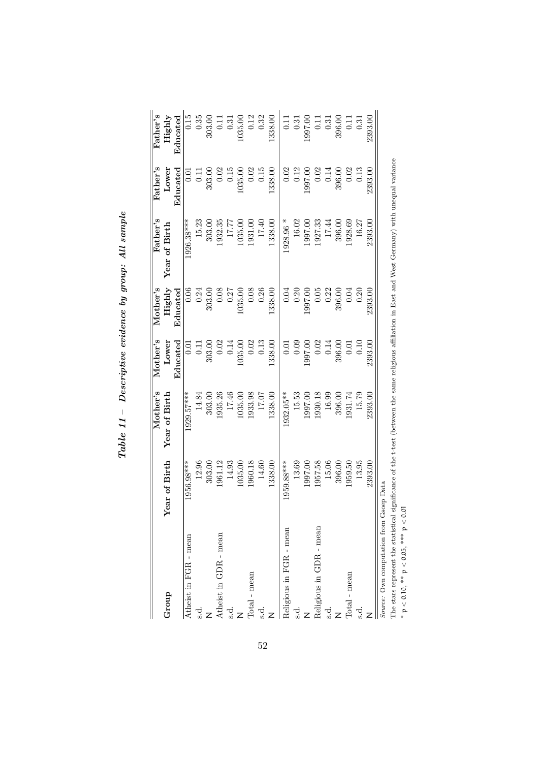|                                         |              | Mother's      | Mother's | Mother's | ${\rm Father's}$ | Father's    | $\rm{Father's}$ |
|-----------------------------------------|--------------|---------------|----------|----------|------------------|-------------|-----------------|
| Group                                   | ear of Birth | Year of Birth | Lower    | Highly   | of Birth<br>Year | Lower       | Highly          |
|                                         |              |               | Educated | Educated |                  | ${\rm End}$ | Educated        |
| Atheist in FGR - mean                   | 1956.98***   | 1929.57***    | 0.01     | 0.06     | $1926.38***$     | 0.01        | 0.15            |
| s.d.                                    | 12.96        | 14.84         | $0.11\,$ | 0.24     | 15.23            | $0.11\,$    | 0.35            |
|                                         | 303.00       | 303.00        | 303.00   | 303.00   | 303.00           | 303.00      | 303.00          |
| Atheist in GDR - mean                   | 1961.12      | 1935.26       | 0.02     | $0.08\,$ | 1932.35          | 0.02        | 0.11            |
| s.d.                                    | 14.93        | 17.46         | 0.14     | 0.27     | 17.77            | 0.15        | 0.31            |
|                                         | 035.00       | 1035.00       | 035.00   | 1035.00  | 1035.00          | 1035.00     | 1035.00         |
| Total - mean                            | 1960.18      | 1933.98       | 0.02     | 0.08     | 1931.00          | 0.02        | 0.12            |
| s.d.                                    | 14.60        | 17.07         | $0.13\,$ | 0.26     | 17.40            | 0.15        | 0.32            |
|                                         | 338.00       | 1338.00       | .338.00  | 1338.00  | 1338.00          | .338.00     | 1338.00         |
| Religious in FGR - mean                 | 1959.88***   | 932.05**      | 0.01     | 0.04     | $1928.96$ *      | 0.02        | $\Xi$           |
| s.d.                                    | 13.69        | 15.53         | 0.09     | 0.20     | 16.02            | 0.12        | 0.31            |
|                                         | 1997.00      | 1997.00       | 1997.00  | 1997.00  | 1997.00          | 1997.00     | 1997.00         |
| Religious in GDR - mean                 | 1957.58      | 1930.18       | 0.02     | 0.05     | 1927.33          | 0.02        | 0.11            |
| s.d.                                    | 15.06        | 16.99         | 0.14     | 0.22     | 17.44            | 0.14        | 0.31            |
| z                                       | 396.00       | 396.00        | 396.00   | 396.00   | 396.00           | 396.00      | 396.00          |
| Total - mean                            | 959.50       | 1931.74       | 0.01     | 0.04     | 1928.69          | 0.02        | 0.11            |
| s.d.                                    | 13.95        | 15.79         | 0.10     | 0.20     | 16.27            | 0.13        | 0.31            |
|                                         | 2393.00      | 2393.00       | 2393.00  | 2393.00  | 2393.00          | 2393.00     | 2393.00         |
| Source: Own computation from Gsoep Data |              |               |          |          |                  |             |                 |

 $Table~11 - Descriptive~ evidence~ by~group:~All~sample$  $Table \ \ 11 - Descriptive \ \ evidence \ by \ group: \ All \ sample$ 

The stars represent the statistical significance of the t-test (between the same religious affiliation in East and West Germany) with unequal variance The stars represent the statistical significance of the t-test (between the same religious affiliation in East and West Germany) with unequal variance  $* p < 0.10$ ,  $** p < 0.05$ ,  $*** p < 0.01$ p < 0.10, \*\* p < 0.05, \*\*\* p < 0.01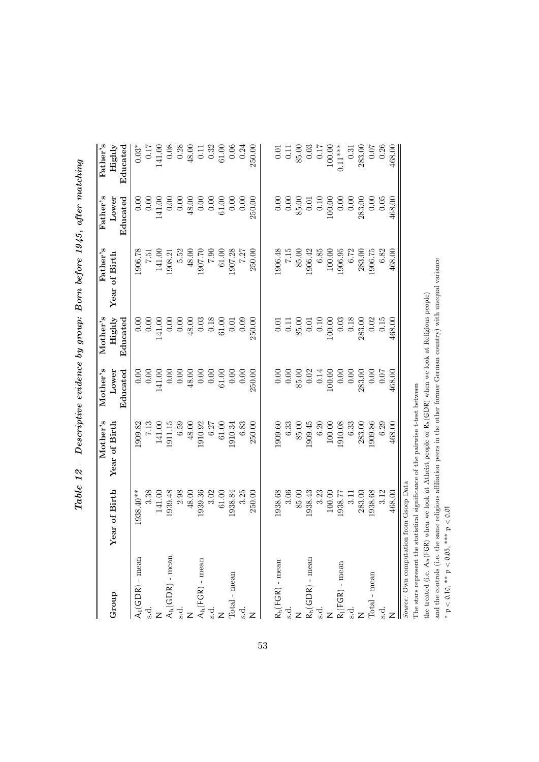| Group                                           | Year of Birth                           | Mother's<br>Year of Birth | Mother's<br>Educated<br>Lower | $M$ ot $her$ 's<br>Highly<br>Educated       | Father's<br>Year of Birth | Father's<br>Educated<br>Lower               | Father's<br>Highly<br>Educated |
|-------------------------------------------------|-----------------------------------------|---------------------------|-------------------------------|---------------------------------------------|---------------------------|---------------------------------------------|--------------------------------|
| $A_l(GDR)$ - mean                               | 1938.40**                               | 1909.82                   | 0.00                          | 0.00                                        | 1906.78                   | 0.00                                        | $0.03*$                        |
|                                                 | 3.38                                    | 7.13                      | 0.00                          | 0.00                                        | 7.51                      | $0.00\,$                                    | 0.17                           |
|                                                 | 141.00                                  | 141.00                    | 41.00                         | 141.00                                      | 141.00                    | 41.00                                       | 141.00                         |
|                                                 | 1939.48                                 | 1911.15                   |                               | 0.00                                        | 1908.21                   |                                             | 0.08                           |
| $\ensuremath{\mathcal{A}}_{h}(GDR)$ - mean s.d. | 2.98                                    | 6.59                      | 0.00000                       | 0.00                                        | 5.52                      |                                             | 0.28                           |
|                                                 | 48.00                                   | 48.00                     | 48.00                         | $48.00$                                     | 48.00                     | 48.00                                       | $48.00$                        |
|                                                 | 1939.36                                 | 1910.92                   | 0.00                          | 0.03                                        | 1907.70                   | 0.00                                        | $0.11\,$                       |
| $\mathcal{A}_h(FGR)$ - mean s.d. $\mathcal{A}$  | 3.02                                    | 6.27                      | 0.00                          | 0.18                                        | 06.7                      | 0.00                                        | 0.32                           |
|                                                 | 61.00                                   | 61.00                     | $61.00\,$                     | 61.00                                       | 61.00                     | 61.00                                       | $61.00\,$                      |
| $\mbox{Total}$ - $\mbox{mean}$                  | 1938.84                                 | 1910.34                   | 0.00                          | 0.01                                        | 1907.28                   | 0.00                                        | 0.06                           |
| s.d.                                            | 3.25                                    | 6.83                      | 0.00                          | 0.09                                        | 7.27                      | 0.00                                        | 0.24                           |
|                                                 | 250.00                                  | 250.00                    | 250.00                        | 250.00                                      | 250.00                    | 250.00                                      | 250.00                         |
|                                                 |                                         |                           |                               |                                             |                           |                                             |                                |
| $R_h(FGR)$ - mean                               | 1938.68                                 | 1909.60                   | 0.00                          | 0.01                                        | 1906.48                   | 0.00                                        | $0.01\,$                       |
| $\ddot{a}$ .                                    | 3.06                                    | 6.33                      | $0.00\,$                      | 0.11                                        | 7.15                      | 0.00                                        | 0.11                           |
|                                                 | 85.00                                   | 85.00                     | 85.00                         | 85.00                                       | 85.00                     | 85.00                                       | 85.00                          |
|                                                 | 1938.43                                 | 1909.45                   | 0.02                          |                                             | 1906.42                   |                                             | 0.03                           |
| $R_h({\rm GDR})$ - mean s.d.                    | 3.23                                    | 6.20                      | 0.14                          | $\begin{array}{c} 0.01 \\ 0.10 \end{array}$ | 6.85                      | $\begin{array}{c} 0.01 \\ 0.10 \end{array}$ | $0.17$                         |
|                                                 | 100.00                                  | 100.00                    | 00.00                         | 100.00                                      | 100.00                    | 00.00                                       | 100.00                         |
| $R_l(FGR)$ - mean                               | 1938.77                                 | 1910.08                   | 0.00                          | 0.03                                        | 1906.95                   | 0.00                                        | $0.11***$                      |
| s.d.                                            | 3.11                                    | 6.33                      | 0.00                          | 0.18                                        | 6.72                      | 0.00                                        | 0.31                           |
|                                                 | 283.00                                  | 283.00                    | 283.00                        | 283.00                                      | 283.00                    | 283.00                                      | 283.00                         |
| $\mbox{Total}$ - $\mbox{mean}$                  | 1938.68                                 | 1909.86                   | 0.00                          | 0.02                                        | 1906.75                   | 0.00                                        | 0.07                           |
| s.d.                                            | 3.12                                    | 6.29                      | 0.07                          | 0.15                                        | 6.82                      | 0.05                                        | 0.26                           |
|                                                 | 468.00                                  | 468.00                    | 168.00                        | 468.00                                      | 468.00                    | 468.00                                      | 468.00                         |
|                                                 | Source: Own computation from Gsoep Data |                           |                               |                                             |                           |                                             |                                |

Table  $12$  – Descriptive evidence by group: Born before 1945, after matching  $Table~12-$  Descriptive evidence by group: Born before 1945, after matching

the treated (i.e. A<sub>n</sub>(FGR) when we look at Atheist people or R<sub>n</sub>(GDR) when we look at Religious people) the treated (i.e.  $A_h$ (FGR) when we look at Atheist people or  $R_h$ (GDR) when we look at Religious people) The stars represent the statistical significance of the pairwise t-test between The stars represent the statistical significance of the pairwise t-test between

and the controls (i.e. the same religious affiliation peers in the other former German country) with unequal variance and the controls (i.e. the same religious affiliation peers in the other former German country) with unequal variance  $* p < 0.10$ ,  $** p < 0.05$ ,  $*** p < 0.01$ p < 0.10, \*\* p < 0.05, \*\*\* p < 0.01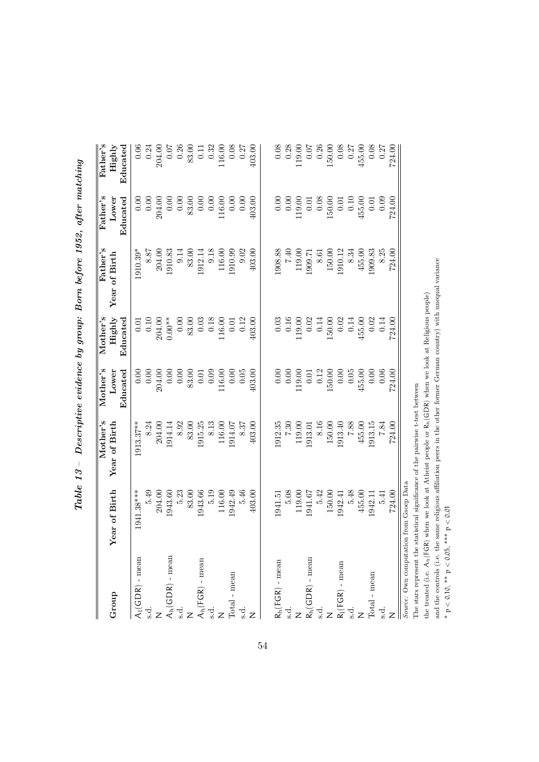| Group                                           | Year of Birth                           | Mother's<br>Year of Birth | Mother's<br>Educated<br>Lower | Mother's<br>Highly<br>Educated | Father's<br>Year of Birth | Father's<br>Educated<br>Lower               | ${\rm Father's}$<br>Educated<br>Highly |
|-------------------------------------------------|-----------------------------------------|---------------------------|-------------------------------|--------------------------------|---------------------------|---------------------------------------------|----------------------------------------|
| $\mathcal{A}_l(\mathsf{GDR})$ - mean            | 1941.38***                              | 1913.37**                 |                               | 0.01                           | 1910.39*                  |                                             | 0.06                                   |
|                                                 |                                         |                           |                               |                                |                           |                                             |                                        |
|                                                 | 5.49                                    | 8.24                      |                               | $0.10\,$                       | 8.87                      |                                             | 0.24                                   |
|                                                 | 204.00                                  | 204.00                    | 204.00                        | 204.00                         | 204.00                    | 204.00                                      | 204.00                                 |
|                                                 | 1943.60                                 | 1914.14                   |                               | $0.00**$                       | 1910.83                   |                                             | 0.07                                   |
| $\ensuremath{\mathcal{A}}_{h}(GDR)$ - mean s.d. | 5.23                                    | 8.92                      |                               | 0.00                           | 9.14                      | 0.00000                                     | 0.26                                   |
|                                                 | 83.00                                   | 83.00                     | 83.00                         | 83.00                          | 83.00                     | 83.00                                       | 83.00                                  |
| $\mathsf{A}_{\mathsf{h}}(\mathsf{FGR})$ - mean  | 1943.66                                 | 1915.25                   | 0.01                          | 0.03                           | 1912.14                   | 0.00                                        | 0.11                                   |
|                                                 | 5.19                                    | 8.13                      | 0.09                          | 0.18                           | 9.18                      | 0.00                                        | 0.32                                   |
|                                                 | 116.00                                  | 116.00                    | 16.00                         | 16.00                          | 116.00                    | $116.00$                                    | 116.00                                 |
| $\mbox{Total}$ - $\mbox{mean}$                  | 1942.49                                 | 1914.07                   | 0.00                          | 0.01                           | 1910.99                   | 0.00                                        | 0.08                                   |
| $\frac{1}{\dot{a}}$ z                           | 5.46                                    | 8.37                      | 0.05                          | 0.12                           | 9.02                      | 0.00                                        | 0.27                                   |
|                                                 | 403.00                                  | 403.00                    | 403.00                        | 403.00                         | 403.00                    | 403.00                                      | 403.00                                 |
|                                                 |                                         |                           |                               |                                |                           |                                             |                                        |
| $R_h(\mathsf{FGR})$ - mean                      | 1941.51                                 | 1912.35                   | 0.00                          | 0.03                           | 1908.88                   | 0.000000                                    | 0.08                                   |
|                                                 | 5.08                                    | 7.30                      | 0.00                          | 0.16                           | 7.40                      |                                             | 0.28                                   |
| $R_h({\rm GDR})$ - mean s.d.                    | 119.00                                  | 119.00                    | 19.00                         | .19.00                         | 119.00                    | 19.00                                       | 119.00                                 |
|                                                 | 1941.67                                 | 1913.01                   | 0.01                          | 0.02                           | 1909.71                   | 0.01                                        | 0.07                                   |
|                                                 | 5.42                                    | 8.16                      | 0.12                          | 0.14                           | 8.61                      | 0.08                                        | 0.26                                   |
|                                                 | 150.00                                  | 150.00                    | 50.00                         | 50.00                          | 150.00                    | $-50.00$                                    | 150.00                                 |
| $R_l(FGR)$ - mean                               | 1942.41                                 | 1913.40                   | 0.00                          | 0.02                           | 1910.12                   | 0.01                                        | 0.08                                   |
| s.d.                                            | 5.48                                    | 7.88                      | 0.05                          | 0.14                           | 8.34                      | 0.10                                        | 0.27                                   |
|                                                 | 455.00                                  | 455.00                    | 155.00                        | 455.00                         | 455.00                    | 455.00                                      | 455.00                                 |
| $\mbox{Total}$ - $\mbox{mean}$                  | 1942.1                                  | .913.15                   | 0.00                          | 0.02                           | 1909.83                   |                                             | 0.08                                   |
|                                                 | 5.41                                    | 7.84                      | 0.06                          | 0.14                           | 8.25                      | $\begin{array}{c} 0.01 \\ 0.09 \end{array}$ | 0.27                                   |
|                                                 | 724.00                                  | 724.00                    | 724.00                        | 724.00                         | 724.00                    | 724.00                                      | 724.00                                 |
|                                                 | Source: Own computation from Gsoep Data |                           |                               |                                |                           |                                             |                                        |

Table  $13$  – Descriptive evidence by group: Born before 1952, after matching  $Table\ 13 - Descriptive\ evidence\ by\ group: \ Born\ before\ 1952,\ after\ matching$ 

the treated (i.e. A<sub>n</sub>(FGR) when we look at Atheist people or R<sub>n</sub>(GDR) when we look at Religious people) the treated (i.e.  $A_h$ (FGR) when we look at Atheist people or  $R_h$ (GDR) when we look at Religious people) The stars represent the statistical significance of the pairwise t-test between The stars represent the statistical significance of the pairwise t-test between

and the controls (i.e. the same religious affiliation peers in the other former German country) with unequal variance and the controls (i.e. the same religious affiliation peers in the other former German country) with unequal variance  $* p < 0.10$ ,  $** p < 0.05$ ,  $*** p < 0.01$ p < 0.10, \*\* p < 0.05, \*\*\* p < 0.01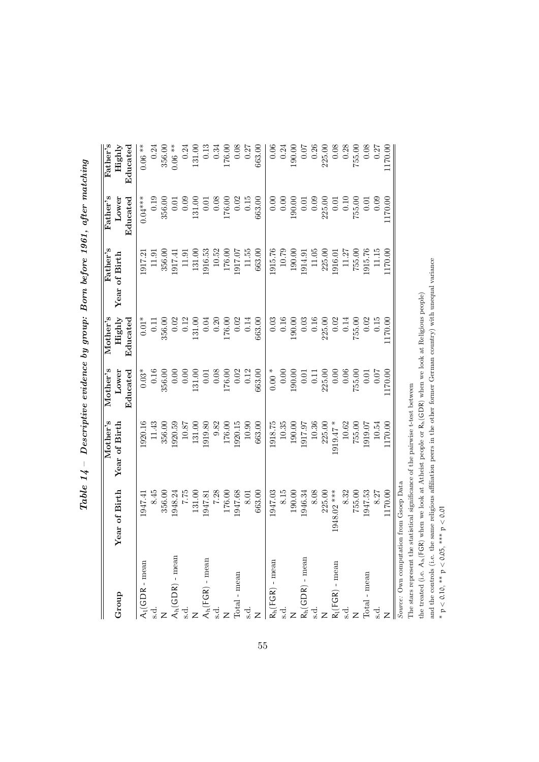| Group                                                 | Year of Birth                           | Mother's<br>Year of Birth | Mother's<br>Lower                           | $M$ ot $her$ 's<br>Highly                   | Father's<br>Year of Birth | ${\rm Father's}$<br>Lower | $_{\rm Father's}$<br>Highly                   |
|-------------------------------------------------------|-----------------------------------------|---------------------------|---------------------------------------------|---------------------------------------------|---------------------------|---------------------------|-----------------------------------------------|
|                                                       |                                         |                           | Educated                                    | Educated                                    |                           | Educated                  | ${\rm End}$ ed                                |
| $\mathcal{A}_l(\mathsf{GDR}\,\text{-}\,\mathsf{mean}$ | 1947.41                                 | .920.16                   | $0.03*$                                     | $0.01*$                                     | 1917.21                   | $0.04***$                 | $0.06***$                                     |
| $\ddot{s}.$                                           | 8.45                                    | 11.43                     | 0.16                                        | 0.11                                        | 11.91                     | 0.19                      | 0.24                                          |
|                                                       | 356.00                                  | 356.00                    | 356.00                                      | 356.00                                      | 356.00                    | 356.00                    | 356.00                                        |
| $A_h(GDR)$ - mean                                     | 1948.24                                 | 1920.59                   | 0.00                                        | 0.02                                        | 1917.41                   | 0.01                      | $0.06***$                                     |
|                                                       | 7.75                                    | 10.87                     | 0.00                                        | 0.12                                        | 11.91                     | 0.09                      |                                               |
|                                                       | 131.00                                  | 131.00                    | 131.00                                      | 131.00                                      | 131.00                    | 131.00                    | $\begin{array}{c} 0.24 \\ 131.00 \end{array}$ |
| $\ensuremath{\mathcal{A}}_{h}(FGR)$ - mean s.d.       | 1947.81                                 | 1919.80                   | $\begin{array}{c} 0.01 \\ 0.08 \end{array}$ |                                             | 1916.53                   | 0.01                      |                                               |
|                                                       | 7.28                                    | 9.82                      |                                             | $0.04$<br>0.20                              | 10.52                     | 0.08                      | $\begin{array}{c} 0.13 \\ 0.34 \end{array}$   |
|                                                       | 176.00                                  | 176.00                    | 176.00                                      | 176.00                                      | 176.00                    | 176.00                    | 176.00                                        |
| Iotal - mean                                          | 1947.68                                 | 1920.15                   | 0.02                                        | 0.02                                        | 1917.07                   | 0.02                      |                                               |
| $\ddot{a}$ .                                          | 8.01                                    | 10.90                     | 0.12                                        | 0.14                                        | 11.55                     | $0.15\,$                  | $\begin{array}{c} 0.08 \\ 0.27 \end{array}$   |
|                                                       | 663.00                                  | 663.00                    | 663.00                                      | 663.00                                      | 663.00                    | 663.00                    | 663.00                                        |
| $R_h(FGR)$ - mean                                     | 1947.03                                 | 1918.75                   | $0.00 *$                                    | 0.03                                        | 1915.76                   | 0.00                      | $0.06\,$                                      |
| s.d.                                                  | 8.15                                    | 10.35                     | 0.00                                        | 0.16                                        | 10.79                     | 0.00                      | 0.24                                          |
|                                                       | 190.00                                  | 190.00                    | 190.00                                      | 190.00                                      | 190.00                    | 190.00                    | 190.00                                        |
| $R_h(GDR)$ - mean                                     | 1946.34                                 | 1917.97                   | 0.01                                        |                                             | 1914.91                   | 0.01                      |                                               |
|                                                       | 8.08                                    | 10.36                     | 0.11                                        | $\begin{array}{c} 0.03 \\ 0.16 \end{array}$ | 11.05                     | 0.09                      | $\begin{array}{c} 0.07 \\ 0.26 \end{array}$   |
|                                                       | 225.00                                  | 225.00                    | 225.00                                      | 225.00                                      | 225.00                    | 225.00                    | 225.00                                        |
| $R_l(FGR)$ - mean                                     | 1948.02 ***                             | $-19.47*$                 | 0.00                                        | 0.02                                        | 1916.01                   | 0.01                      | $0.08\,$                                      |
| $\ddot{a}$                                            | 8.32                                    | 10.62                     | 0.06                                        | 0.14                                        | 11.27                     | 0.10                      | 0.28                                          |
|                                                       | 755.00                                  | 755.00                    | 755.00                                      | 755.00                                      | 755.00                    | 755.00                    | 755.00                                        |
| $\operatorname{Total}$ - $\operatorname{mean}$        | 1947.53                                 | 1919.07                   | 0.01                                        | 0.02                                        | 1915.76                   | 0.01                      | 0.08                                          |
| $\ddot{a}$ .                                          | 8.27                                    | 10.54                     | 0.07                                        | 0.15                                        | 11.15                     | 0.09                      | 0.27                                          |
|                                                       | 1170.00                                 | 170.00                    | 1170.00                                     | 170.00                                      | 170.00                    | 170.00                    | 170.00                                        |
|                                                       | Source: Own computation from Gsoep Data |                           |                                             |                                             |                           |                           |                                               |

Table  $14$  – Descriptive evidence by group: Born before 1961, after matching  $Table\ 14$  – Descriptive evidence by group: Born before 1961, after matching

The stars represent the statistical significance of the pairwise t-test between The stars represent the statistical significance of the pairwise t-test between

the treated (i.e.  $A_h(FGR)$  when we look at Atheist people or  $R_h(GDR)$  when we look at Religious people)<br>and the controls (i.e. the same religious affiliation peers in the other former German country) with unequal variance the treated (i.e.  $A_h$ (FGR) when we look at Atheist people or  $R_h$ (GDR) when we look at Religious people)

and the controls (i.e. the same religious affiliation peers in the other former German country) with unequal variance

\*  $p < 0.10$ , \*\*  $p < 0.05$ , \*\*\*  $p < 0.01$ p < 0.10, \*\* p < 0.05, \*\*\* p < 0.01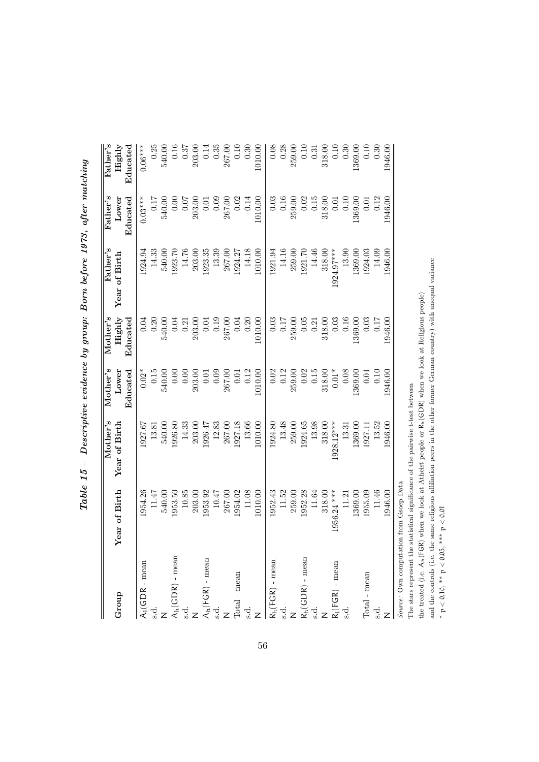| Group                                             | Year of Birth                           | Mother's<br>Year of Birth | $\rm Mother's$<br>Educated<br>Lower | $M$ ot $her$ 's<br>Educated<br>Highly | ${\rm Father's}$<br>Year of Birth | ${\rm Father's}$<br>Educated<br>Lower | ${\rm Father's}$<br>Highly<br>${\rm End}$ ed |
|---------------------------------------------------|-----------------------------------------|---------------------------|-------------------------------------|---------------------------------------|-----------------------------------|---------------------------------------|----------------------------------------------|
| $\mathcal{A}_l(\mathsf{GDR}\text{-}\mathsf{mean}$ | 1954.26                                 | 1927.67                   | $0.02*$                             | 0.04                                  | 1924.94                           | $0.03***$                             | $0.06***$                                    |
|                                                   |                                         |                           |                                     |                                       |                                   |                                       |                                              |
| $\ddot{s}.$                                       | 11.47                                   | 13.81                     | 0.15                                | 0.20                                  | 14.33                             | 0.17                                  | 0.25                                         |
|                                                   | 540.00                                  | 540.00                    | 540.00                              | 540.00                                | 540.00                            | 540.00                                | 540.00                                       |
| $\mathsf{A}_{\mathsf{h}}(\mathsf{GDR})$ - mean    | 1953.50                                 | 1926.80                   | 0.00                                | 0.04                                  | 1923.70                           | 0.00                                  | 0.16                                         |
|                                                   | 10.85                                   | 14.33                     | $0.00\,$                            | 0.21                                  | 14.76                             | 0.07                                  | 0.37                                         |
|                                                   | 203.00                                  | 203.00                    | 203.00                              | 203.00                                | 203.00                            | 203.00                                | 203.00                                       |
| $\mathcal{A}_h(\mathsf{FGR})$ - mean              | 1953.92                                 | 1926.47                   | 0.01                                |                                       | 1923.35                           | 0.01                                  | 0.14                                         |
| $\ddot{\mathbf{c}}$ .                             | 10.47                                   | 12.83                     | 0.09                                | $0.04$<br>0.19                        | 13.39                             | 0.09                                  | 0.35                                         |
|                                                   | 267.00                                  | 267.00                    | 267.00                              | 267.00                                | 267.00                            | 267.00                                | 267.00                                       |
| Iotal - mean                                      | 1954.02                                 | 1927.18                   | 0.01                                | 0.04                                  | 1924.27                           |                                       | 0.10                                         |
| s.d.                                              | 11.08                                   | 13.66                     | $0.12\,$                            | 0.20                                  | 14.18                             | $\frac{0.02}{0.14}$                   | 0.30                                         |
|                                                   | 1010.00                                 | 1010.00                   | 1010.00                             | 1010.00                               | 1010.00                           | 1010.00                               | 1010.00                                      |
| $R_h(FGR)$ - mean                                 | 1952.43                                 | 1924.80                   | 0.02                                | 0.03                                  | 1921.94                           | 0.03                                  | 0.08                                         |
| s.d.                                              | 11.52                                   | 13.48                     | 0.12                                | <b>117</b>                            | 14.16                             | 0.16                                  | 0.28                                         |
|                                                   | 259.00                                  | 259.00                    | 259.00                              | 259.00                                | 259.00                            | 259.00                                | 259.00                                       |
| $R_h(GDR)$ - mean                                 | 1952.28                                 | 1924.65                   | 0.02                                | 0.05                                  | 1921.70                           | 0.02                                  | 0.10                                         |
|                                                   | 11.64                                   | 13.98                     | 0.15                                | 0.21                                  | 14.46                             | 0.15                                  | 0.31                                         |
|                                                   | 318.00                                  | 318.00                    | 318.00                              | 318.00                                | 318.00                            | 318.00                                | 318.00                                       |
| $h_l(FGR)$ - mean                                 | 1956.24 ***                             | 1928.12***                | $0.01*$                             | 0.03                                  | 1924.97***                        | 0.01                                  | $0.10\,$                                     |
| d.<br>si                                          | 11.21                                   | 13.31                     | 0.08                                | 0.16                                  | 13.90                             | 0.10                                  | 0.30                                         |
|                                                   | 1369.00                                 | 1369.00                   | 1369.00                             | 1369.00                               | 1369.00                           | 1369.00                               | 1369.00                                      |
| $\operatorname{Total}$ - $\operatorname{mean}$    | 1955.09                                 | 1927.1                    | 0.01                                | 0.03                                  | 1924.03                           | 0.01                                  | 0.10                                         |
| s.d.                                              | 11.46                                   | 13.52                     | 0.10                                | 0.17                                  | 14.09                             | 0.12                                  | 0.30                                         |
|                                                   | 1946.00                                 | 1946.00                   | 1946.00                             | 1946.00                               | 1946.00                           | 1946.00                               | 1946.00                                      |
|                                                   | Source: Own computation from Gsoep Data |                           |                                     |                                       |                                   |                                       |                                              |

Table  $15$  – Descriptive evidence by group: Born before 1973, after matching  $Table\ 15 - Descriptive\ evidence\ by\ group: \ Borm\ before\ 1973,\ after\ matching$ 

The stars represent the statistical significance of the pairwise t-test between The stars represent the statistical significance of the pairwise t-test between

the treated (i.e.  $A_h(FGR)$  when we look at Atheist people or  $R_h(GDR)$  when we look at Religious people)<br>and the controls (i.e. the same religious affiliation peers in the other former German country) with unequal variance the treated (i.e.  $A_h$ (FGR) when we look at Atheist people or  $R_h$ (GDR) when we look at Religious people)

and the controls (i.e. the same religious affiliation peers in the other former German country) with unequal variance

\*  $p < 0.10$ , \*\*  $p < 0.05$ , \*\*\*  $p < 0.01$ p < 0.10, \*\* p < 0.05, \*\*\* p < 0.01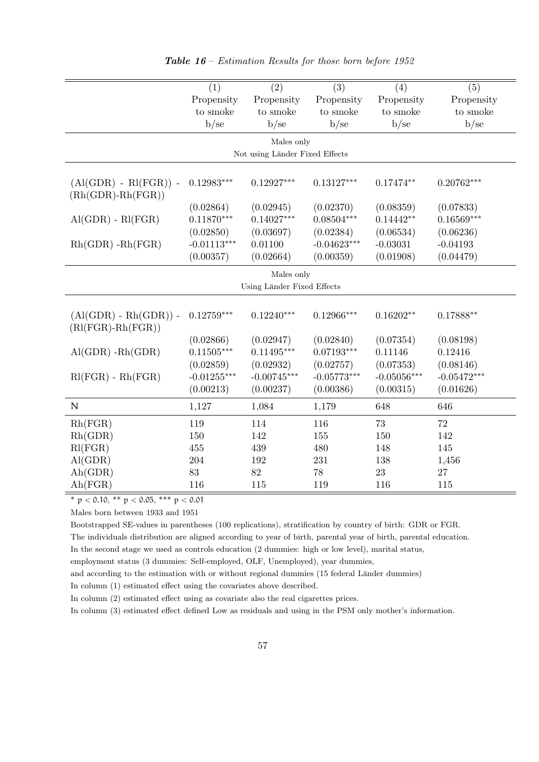<span id="page-56-0"></span>

|                                                   | (1)           | (2)                            | (3)           | (4)           | (5)           |
|---------------------------------------------------|---------------|--------------------------------|---------------|---------------|---------------|
|                                                   | Propensity    | Propensity                     | Propensity    | Propensity    | Propensity    |
|                                                   | to smoke      | to smoke                       | to smoke      | to smoke      | to smoke      |
|                                                   | b/sec         | b/sec                          | b/sec         | b/sec         | b/sec         |
|                                                   |               | Males only                     |               |               |               |
|                                                   |               | Not using Länder Fixed Effects |               |               |               |
| $(Al(GDR) - Rl(FGR))$ -<br>$(Rh(GDR)-Rh(FGR))$    | $0.12983***$  | $0.12927***$                   | $0.13127***$  | $0.17474**$   | $0.20762***$  |
|                                                   | (0.02864)     | (0.02945)                      | (0.02370)     | (0.08359)     | (0.07833)     |
| $\text{Al}(\text{GDR})$ - $\text{Rl}(\text{FGR})$ | $0.11870***$  | $0.14027***$                   | $0.08504***$  | $0.14442**$   | $0.16569***$  |
|                                                   | (0.02850)     | (0.03697)                      | (0.02384)     | (0.06534)     | (0.06236)     |
| $Rh(GDR) - Rh(FGR)$                               | $-0.01113***$ | 0.01100                        | $-0.04623***$ | $-0.03031$    | $-0.04193$    |
|                                                   | (0.00357)     | (0.02664)                      | (0.00359)     | (0.01908)     | (0.04479)     |
|                                                   |               | Males only                     |               |               |               |
|                                                   |               | Using Länder Fixed Effects     |               |               |               |
|                                                   |               |                                |               |               |               |
| $(Al(GDR) - Rh(GDR)) -$<br>$(Rl(FGR)-Rh(FGR))$    | $0.12759***$  | $0.12240***$                   | $0.12966***$  | $0.16202**$   | $0.17888**$   |
|                                                   | (0.02866)     | (0.02947)                      | (0.02840)     | (0.07354)     | (0.08198)     |
| $\text{Al}(\text{GDR}) - \text{Rh}(\text{GDR})$   | $0.11505***$  | $0.11495***$                   | $0.07193***$  | 0.11146       | 0.12416       |
|                                                   | (0.02859)     | (0.02932)                      | (0.02757)     | (0.07353)     | (0.08146)     |
| $Rl(FGR) - Rh(FGR)$                               | $-0.01255***$ | $-0.00745***$                  | $-0.05773***$ | $-0.05056***$ | $-0.05472***$ |
|                                                   | (0.00213)     | (0.00237)                      | (0.00386)     | (0.00315)     | (0.01626)     |
| $\mathbb N$                                       | 1,127         | 1,084                          | 1,179         | 648           | 646           |
| Rh(FGR)                                           | 119           | 114                            | 116           | 73            | 72            |
| Rh(GDR)                                           | 150           | 142                            | 155           | 150           | 142           |
| Rl(FGR)                                           | 455           | 439                            | 480           | 148           | 145           |
| AI(GDR)                                           | 204           | 192                            | 231           | 138           | 1,456         |
| Ah(GDR)                                           | 83            | 82                             | 78            | 23            | 27            |
| Ah(FGR)                                           | 116           | 115                            | 119           | 116           | 115           |

Table 16 – Estimation Results for those born before 1952

 $*$  p < 0.10, \*\* p < 0.05, \*\*\* p < 0.01

Males born between 1933 and 1951

Bootstrapped SE-values in parentheses (100 replications), stratification by country of birth: GDR or FGR. The individuals distribution are aligned according to year of birth, parental year of birth, parental education.

In the second stage we used as controls education (2 dummies: high or low level), marital status,

employment status (3 dummies: Self-employed, OLF, Unemployed), year dummies,

and according to the estimation with or without regional dummies (15 federal Länder dummies)

In column (1) estimated effect using the covariates above described.

In column (2) estimated effect using as covariate also the real cigarettes prices.

In column (3) estimated effect defined Low as residuals and using in the PSM only mother's information.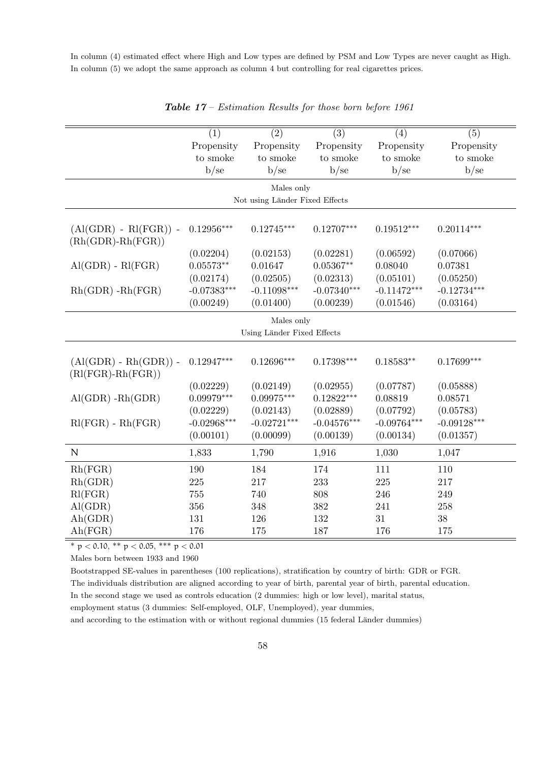In column (4) estimated effect where High and Low types are defined by PSM and Low Types are never caught as High. In column (5) we adopt the same approach as column 4 but controlling for real cigarettes prices.

<span id="page-57-0"></span>

|                                                   | $\overline{(1)}$ | $\overline{(2)}$               | $\overline{(3)}$ | $\overline{(4)}$ | $\overline{(5)}$ |
|---------------------------------------------------|------------------|--------------------------------|------------------|------------------|------------------|
|                                                   | Propensity       | Propensity                     | Propensity       | Propensity       | Propensity       |
|                                                   | to smoke         | to smoke                       | to smoke         | to smoke         | to smoke         |
|                                                   | b/sec            | b/sec                          | b/sec            | b/sec            | b/sec            |
|                                                   |                  | Males only                     |                  |                  |                  |
|                                                   |                  | Not using Länder Fixed Effects |                  |                  |                  |
|                                                   |                  |                                |                  |                  |                  |
| $(Al(GDR) - Rl(FGR))$ -<br>$(Rh(GDR)-Rh(FGR))$    | $0.12956***$     | $0.12745***$                   | $0.12707***$     | $0.19512***$     | $0.20114***$     |
|                                                   | (0.02204)        | (0.02153)                      | (0.02281)        | (0.06592)        | (0.07066)        |
| $\text{Al}(\text{GDR})$ - $\text{RI}(\text{FGR})$ | $0.05573**$      | 0.01647                        | $0.05367^{**}$   | 0.08040          | 0.07381          |
|                                                   | (0.02174)        | (0.02505)                      | (0.02313)        | (0.05101)        | (0.05250)        |
| $Rh(GDR) - Rh(FGR)$                               | $-0.07383***$    | $-0.11098***$                  | $-0.07340***$    | $-0.11472***$    | $-0.12734***$    |
|                                                   | (0.00249)        | (0.01400)                      | (0.00239)        | (0.01546)        | (0.03164)        |
|                                                   |                  | Males only                     |                  |                  |                  |
|                                                   |                  | Using Länder Fixed Effects     |                  |                  |                  |
|                                                   |                  |                                |                  |                  |                  |
| $(Al(GDR) - Rh(GDR)) -$<br>$(Rl(FGR)-Rh(FGR))$    | $0.12947***$     | $0.12696***$                   | $0.17398***$     | $0.18583**$      | $0.17699***$     |
|                                                   | (0.02229)        | (0.02149)                      | (0.02955)        | (0.07787)        | (0.05888)        |
| $\text{Al}(\text{GDR}) - \text{Rh}(\text{GDR})$   | $0.09979***$     | $0.09975***$                   | $0.12822***$     | 0.08819          | 0.08571          |
|                                                   | (0.02229)        | (0.02143)                      | (0.02889)        | (0.07792)        | (0.05783)        |
| $\text{RI}(\text{FGR})$ - $\text{Rh}(\text{FGR})$ | $-0.02968***$    | $-0.02721***$                  | $-0.04576***$    | $-0.09764***$    | $-0.09128***$    |
|                                                   | (0.00101)        | (0.00099)                      | (0.00139)        | (0.00134)        | (0.01357)        |
| $\mathbb N$                                       | 1,833            | 1,790                          | 1,916            | 1,030            | 1,047            |
| Rh(FGR)                                           | 190              | 184                            | 174              | 111              | 110              |
| Rh(GDR)                                           | $225\,$          | 217                            | 233              | 225              | 217              |
| Rl(FGR)                                           | 755              | 740                            | 808              | 246              | 249              |
| AI(GDR)                                           | 356              | 348                            | 382              | 241              | 258              |
| Ah(GDR)                                           | 131              | 126                            | 132              | 31               | 38               |
| Ah(FGR)                                           | 176              | 175                            | 187              | 176              | 175              |

Table 17 – Estimation Results for those born before 1961

 $* p < 0.10, ** p < 0.05, ** p < 0.01$ 

Males born between 1933 and 1960

Bootstrapped SE-values in parentheses (100 replications), stratification by country of birth: GDR or FGR. The individuals distribution are aligned according to year of birth, parental year of birth, parental education.

In the second stage we used as controls education (2 dummies: high or low level), marital status,

employment status (3 dummies: Self-employed, OLF, Unemployed), year dummies,

and according to the estimation with or without regional dummies (15 federal Länder dummies)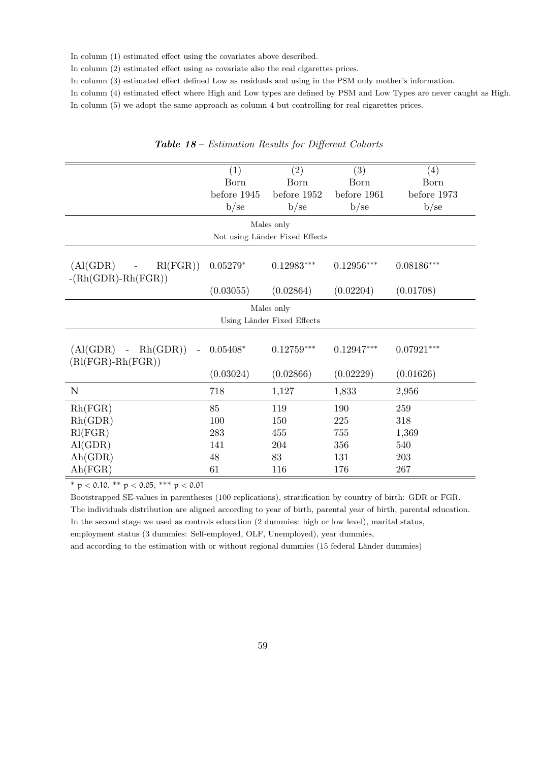In column (1) estimated effect using the covariates above described.

In column (2) estimated effect using as covariate also the real cigarettes prices.

In column (3) estimated effect defined Low as residuals and using in the PSM only mother's information.

In column (4) estimated effect where High and Low types are defined by PSM and Low Types are never caught as High.

In column (5) we adopt the same approach as column 4 but controlling for real cigarettes prices.

<span id="page-58-0"></span>

|                                            | (1)         | (2)                            | (3)          | (4)          |
|--------------------------------------------|-------------|--------------------------------|--------------|--------------|
|                                            | Born        | Born                           | Born         | Born         |
|                                            | before 1945 | before 1952                    | before 1961  | before 1973  |
|                                            | b/se        | b/se                           | b/se         | b/se         |
|                                            |             | Males only                     |              |              |
|                                            |             | Not using Länder Fixed Effects |              |              |
|                                            |             |                                |              |              |
| Rl(FGR)<br>(Al(GDR))                       | $0.05279*$  | $0.12983***$                   | $0.12956***$ | $0.08186***$ |
| $-(Rh(GDR)-Rh(FGR))$                       |             |                                |              |              |
|                                            | (0.03055)   | (0.02864)                      | (0.02204)    | (0.01708)    |
|                                            |             | Males only                     |              |              |
|                                            |             | Using Länder Fixed Effects     |              |              |
|                                            |             |                                |              |              |
| $(Al(GDR) -$<br>Rh(GDR))<br>$\overline{a}$ | $0.05408*$  | $0.12759***$                   | $0.12947***$ | $0.07921***$ |
| $(Rl(FGR)-Rh(FGR))$                        |             |                                |              |              |
|                                            | (0.03024)   | (0.02866)                      | (0.02229)    | (0.01626)    |
| N                                          | 718         | 1,127                          | 1,833        | 2,956        |
| Rh(FGR)                                    | 85          | 119                            | 190          | 259          |
| Rh(GDR)                                    | 100         | 150                            | 225          | 318          |
| Rl(FGR)                                    | 283         | 455                            | $755\,$      | 1,369        |
| AI(GDR)                                    | 141         | 204                            | 356          | 540          |
| Ah(GDR)                                    | 48          | 83                             | 131          | 203          |
| Ah(FGR)                                    | 61          | 116                            | 176          | 267          |

Table 18 – Estimation Results for Different Cohorts

 $*$  p < 0.10, \*\* p < 0.05, \*\*\* p < 0.01

Bootstrapped SE-values in parentheses (100 replications), stratification by country of birth: GDR or FGR. The individuals distribution are aligned according to year of birth, parental year of birth, parental education. In the second stage we used as controls education (2 dummies: high or low level), marital status, employment status (3 dummies: Self-employed, OLF, Unemployed), year dummies, and according to the estimation with or without regional dummies (15 federal Länder dummies)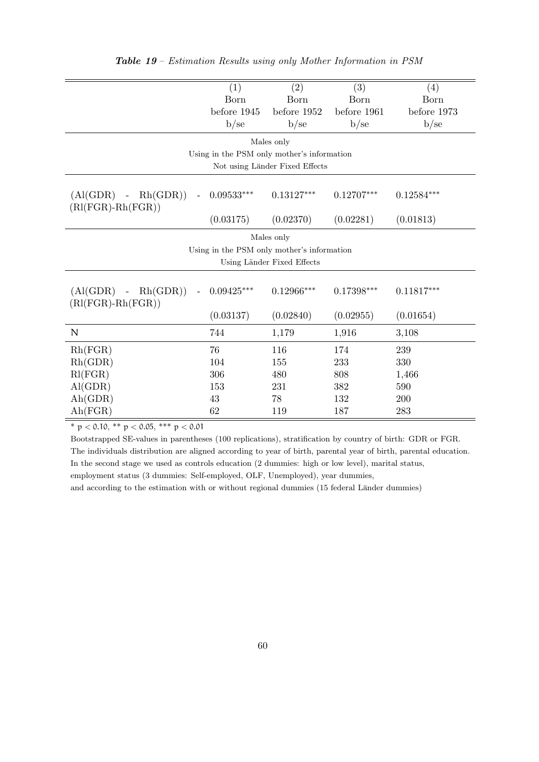<span id="page-59-0"></span>

|                                     | (1)          | (2)                                        | (3)          | (4)          |  |  |
|-------------------------------------|--------------|--------------------------------------------|--------------|--------------|--|--|
|                                     | Born         | Born                                       | Born         | Born         |  |  |
|                                     | before 1945  | before 1952                                | before 1961  | before 1973  |  |  |
|                                     | b/sec        | b/sec                                      | b/se         | b/se         |  |  |
|                                     |              | Males only                                 |              |              |  |  |
|                                     |              | Using in the PSM only mother's information |              |              |  |  |
|                                     |              | Not using Länder Fixed Effects             |              |              |  |  |
|                                     |              |                                            |              |              |  |  |
| Rh(GDR)<br>$(Al(GDR) -$<br>$\equiv$ | $0.09533***$ | $0.13127***$                               | $0.12707***$ | $0.12584***$ |  |  |
| $(Rl(FGR)-Rh(FGR))$                 |              |                                            |              |              |  |  |
|                                     | (0.03175)    | (0.02370)                                  | (0.02281)    | (0.01813)    |  |  |
|                                     |              | Males only                                 |              |              |  |  |
|                                     |              | Using in the PSM only mother's information |              |              |  |  |
| Using Länder Fixed Effects          |              |                                            |              |              |  |  |
|                                     |              |                                            |              |              |  |  |
| $(Al(GDR) - Rh(GDR))$               | $0.09425***$ | $0.12966***$                               | $0.17398***$ | $0.11817***$ |  |  |
| $(Rl(FGR)-Rh(FGR))$                 |              |                                            |              |              |  |  |
|                                     | (0.03137)    | (0.02840)                                  | (0.02955)    | (0.01654)    |  |  |
| N                                   | 744          | 1,179                                      | 1,916        | 3,108        |  |  |
| Rh(FGR)                             | 76           | 116                                        | 174          | 239          |  |  |
| Rh(GDR)                             | 104          | 155                                        | 233          | 330          |  |  |
| Rl(FGR)                             | 306          | 480                                        | 808          | 1,466        |  |  |
| AI(GDR)                             | 153          | 231                                        | 382          | 590          |  |  |
| Ah(GDR)                             | 43           | 78                                         | 132          | 200          |  |  |
| Ah(FGR)                             | 62           | 119                                        | 187          | 283          |  |  |

\* p < 0.10, \*\* p < 0.05, \*\*\* p < 0.01

Bootstrapped SE-values in parentheses (100 replications), stratification by country of birth: GDR or FGR. The individuals distribution are aligned according to year of birth, parental year of birth, parental education. In the second stage we used as controls education (2 dummies: high or low level), marital status, employment status (3 dummies: Self-employed, OLF, Unemployed), year dummies,

and according to the estimation with or without regional dummies (15 federal Länder dummies)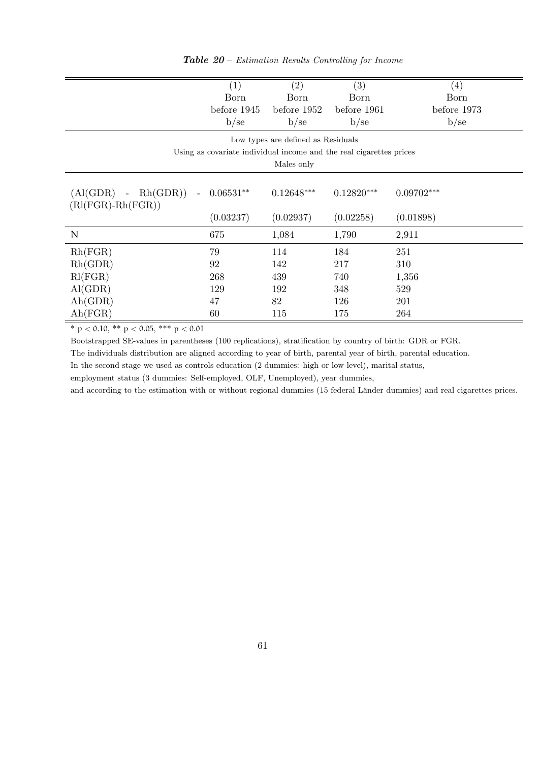<span id="page-60-0"></span>

|                                                    | (1)                                                                 | (2)                                | (3)          | $\left( 4\right)$ |
|----------------------------------------------------|---------------------------------------------------------------------|------------------------------------|--------------|-------------------|
|                                                    | Born                                                                | Born                               | Born         | Born              |
|                                                    | before 1945                                                         | before 1952                        | before 1961  | before 1973       |
|                                                    | b/se                                                                | b/se                               | b/se         | b/se              |
|                                                    |                                                                     | Low types are defined as Residuals |              |                   |
|                                                    | Using as covariate individual income and the real cigarettes prices |                                    |              |                   |
|                                                    |                                                                     | Males only                         |              |                   |
|                                                    |                                                                     |                                    |              |                   |
| Rh(GDR)<br>$\rm{(Al(GDR)}$<br>$\equiv$<br>$\equiv$ | $0.06531**$                                                         | $0.12648***$                       | $0.12820***$ | $0.09702***$      |
| $(Rl(FGR)-Rh(FGR))$                                |                                                                     |                                    |              |                   |
|                                                    | (0.03237)                                                           | (0.02937)                          | (0.02258)    | (0.01898)         |
| N                                                  | 675                                                                 | 1,084                              | 1,790        | 2,911             |
| Rh(FGR)                                            | 79                                                                  | 114                                | 184          | 251               |
| Rh(GDR)                                            | 92                                                                  | 142                                | 217          | 310               |
| Rl(FGR)                                            | 268                                                                 | 439                                | 740          | 1,356             |
| AI(GDR)                                            | 129                                                                 | 192                                | 348          | 529               |
| Ah(GDR)                                            | 47                                                                  | 82                                 | 126          | 201               |
| Ah(FGR)                                            | 60                                                                  | 115                                | 175          | 264               |

**Table 20** – Estimation Results Controlling for Income

\* p < 0.10, \*\* p < 0.05, \*\*\* p < 0.01

Bootstrapped SE-values in parentheses (100 replications), stratification by country of birth: GDR or FGR.

The individuals distribution are aligned according to year of birth, parental year of birth, parental education.

In the second stage we used as controls education (2 dummies: high or low level), marital status,

employment status (3 dummies: Self-employed, OLF, Unemployed), year dummies,

and according to the estimation with or without regional dummies (15 federal Länder dummies) and real cigarettes prices.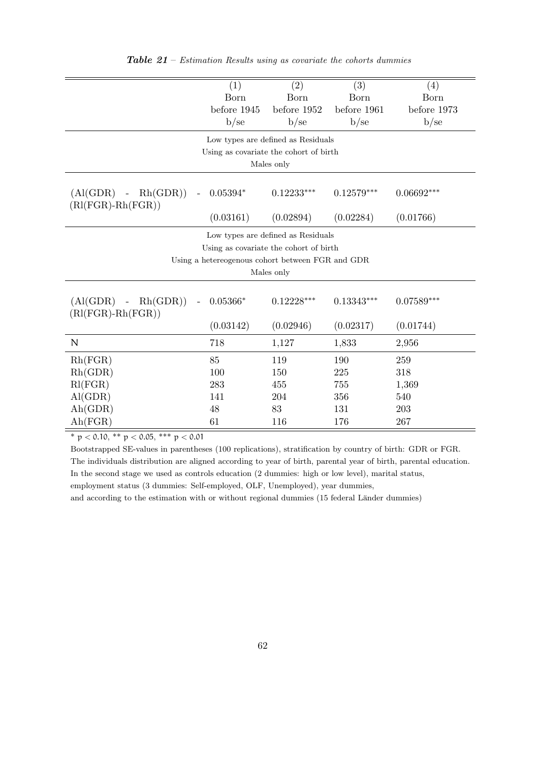<span id="page-61-0"></span>

|                             | (1)                                              | (2)                                | (3)          | (4)          |
|-----------------------------|--------------------------------------------------|------------------------------------|--------------|--------------|
|                             | Born                                             | Born                               | Born         | Born         |
|                             | before 1945                                      | before 1952                        | before 1961  | before 1973  |
|                             | b/se                                             | b/se                               | b/se         | b/se         |
|                             |                                                  | Low types are defined as Residuals |              |              |
|                             | Using as covariate the cohort of birth           |                                    |              |              |
|                             |                                                  | Males only                         |              |              |
|                             |                                                  |                                    |              |              |
| Rh(GDR))<br>$(Al(GDR) -$    | $0.05394*$                                       | $0.12233***$                       | $0.12579***$ | $0.06692***$ |
| $(Rl(FGR)-Rh(FGR))$         |                                                  |                                    |              |              |
|                             | (0.03161)                                        | (0.02894)                          | (0.02284)    | (0.01766)    |
|                             |                                                  | Low types are defined as Residuals |              |              |
|                             | Using as covariate the cohort of birth           |                                    |              |              |
|                             | Using a hetereogenous cohort between FGR and GDR |                                    |              |              |
|                             |                                                  | Males only                         |              |              |
|                             |                                                  |                                    |              |              |
| Rh(GDR)<br>$(Al(GDR) -$     | $0.05366*$                                       | $0.12228***$                       | $0.13343***$ | $0.07589***$ |
| $(Rl(FGR)-Rh(FGR))$         |                                                  |                                    |              |              |
|                             | (0.03142)                                        | (0.02946)                          | (0.02317)    | (0.01744)    |
| N                           | 718                                              | 1,127                              | 1,833        | 2,956        |
| Rh(FGR)                     | 85                                               | 119                                | 190          | 259          |
| Rh(GDR)                     | 100                                              | 150                                | 225          | 318          |
| Rl(FGR)                     | 283                                              | 455                                | 755          | 1,369        |
| AI(GDR)                     | 141                                              | 204                                | 356          | 540          |
| $\mathrm{Ah}(\mathrm{GDR})$ | 48                                               | 83                                 | 131          | 203          |
| Ah(FGR)                     | 61                                               | 116                                | 176          | 267          |

**Table 21** – Estimation Results using as covariate the cohorts dummies

 $\frac{1}{\sqrt{p}}$   $\times$  0.10, \*\* p  $\times$  0.05, \*\*\* p  $\times$  0.01

Bootstrapped SE-values in parentheses (100 replications), stratification by country of birth: GDR or FGR. The individuals distribution are aligned according to year of birth, parental year of birth, parental education. In the second stage we used as controls education (2 dummies: high or low level), marital status, employment status (3 dummies: Self-employed, OLF, Unemployed), year dummies,

and according to the estimation with or without regional dummies (15 federal Länder dummies)